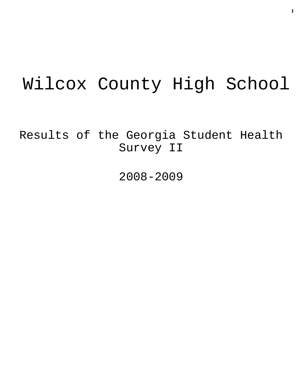# Wilcox County High School

Results of the Georgia Student Health Survey II

2008-2009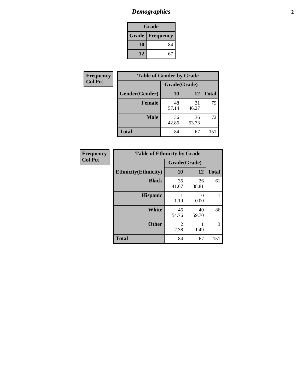# *Demographics* **2**

| Grade                    |    |  |  |  |
|--------------------------|----|--|--|--|
| <b>Grade   Frequency</b> |    |  |  |  |
| 10                       | 84 |  |  |  |
| 12                       | 67 |  |  |  |

| Frequency      | <b>Table of Gender by Grade</b> |              |             |              |
|----------------|---------------------------------|--------------|-------------|--------------|
| <b>Col Pct</b> |                                 | Grade(Grade) |             |              |
|                | Gender(Gender)                  | <b>10</b>    | 12          | <b>Total</b> |
|                | <b>Female</b>                   | 48<br>57.14  | 31<br>46.27 | 79           |
|                | <b>Male</b>                     | 36<br>42.86  | 36<br>53.73 | 72           |
|                | <b>Total</b>                    | 84           | 67          | 151          |

| Frequency<br>Col Pct |
|----------------------|
|                      |

| <b>Table of Ethnicity by Grade</b> |              |             |              |  |  |  |
|------------------------------------|--------------|-------------|--------------|--|--|--|
|                                    | Grade(Grade) |             |              |  |  |  |
| <b>Ethnicity</b> (Ethnicity)       | 10           | 12          | <b>Total</b> |  |  |  |
| <b>Black</b>                       | 35<br>41.67  | 26<br>38.81 | 61           |  |  |  |
| <b>Hispanic</b>                    | 1.19         | 0<br>0.00   | 1            |  |  |  |
| White                              | 46<br>54.76  | 40<br>59.70 | 86           |  |  |  |
| <b>Other</b>                       | 2<br>2.38    | 1.49        | 3            |  |  |  |
| <b>Total</b>                       | 84           | 67          | 151          |  |  |  |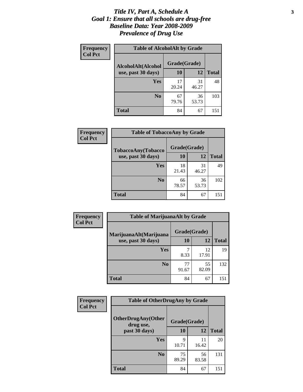### *Title IV, Part A, Schedule A* **3** *Goal 1: Ensure that all schools are drug-free Baseline Data: Year 2008-2009 Prevalence of Drug Use*

| Frequency<br><b>Col Pct</b> | <b>Table of AlcoholAlt by Grade</b> |              |             |              |  |  |
|-----------------------------|-------------------------------------|--------------|-------------|--------------|--|--|
|                             | AlcoholAlt(Alcohol                  | Grade(Grade) |             |              |  |  |
|                             | use, past 30 days)                  | 10           | 12          | <b>Total</b> |  |  |
|                             | Yes                                 | 17<br>20.24  | 31<br>46.27 | 48           |  |  |
|                             | N <sub>0</sub>                      | 67<br>79.76  | 36<br>53.73 | 103          |  |  |
|                             | <b>Total</b>                        | 84           | 67          | 151          |  |  |

| Frequency      | <b>Table of TobaccoAny by Grade</b> |              |             |              |  |
|----------------|-------------------------------------|--------------|-------------|--------------|--|
| <b>Col Pct</b> | <b>TobaccoAny(Tobacco</b>           | Grade(Grade) |             |              |  |
|                | use, past 30 days)                  | 10           | 12          | <b>Total</b> |  |
|                | Yes                                 | 18<br>21.43  | 31<br>46.27 | 49           |  |
|                | N <sub>0</sub>                      | 66<br>78.57  | 36<br>53.73 | 102          |  |
|                | <b>Total</b>                        | 84           | 67          | 151          |  |

| Frequency      | <b>Table of MarijuanaAlt by Grade</b> |              |             |              |  |
|----------------|---------------------------------------|--------------|-------------|--------------|--|
| <b>Col Pct</b> | MarijuanaAlt(Marijuana                | Grade(Grade) |             |              |  |
|                | use, past 30 days)                    | 10           | 12          | <b>Total</b> |  |
|                | Yes                                   | 8.33         | 12<br>17.91 | 19           |  |
|                | N <sub>0</sub>                        | 77<br>91.67  | 55<br>82.09 | 132          |  |
|                | <b>Total</b>                          | 84           | 67          | 151          |  |

| Frequency<br><b>Col Pct</b> | <b>Table of OtherDrugAny by Grade</b>  |              |             |              |  |
|-----------------------------|----------------------------------------|--------------|-------------|--------------|--|
|                             | <b>OtherDrugAny(Other</b><br>drug use, | Grade(Grade) |             |              |  |
|                             | past 30 days)                          | 10           | 12          | <b>Total</b> |  |
|                             | Yes                                    | q<br>10.71   | 11<br>16.42 | 20           |  |
|                             | N <sub>0</sub>                         | 75<br>89.29  | 56<br>83.58 | 131          |  |
|                             | <b>Total</b>                           | 84           | 67          | 151          |  |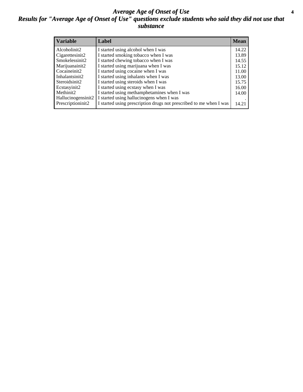### *Average Age of Onset of Use* **4** *Results for "Average Age of Onset of Use" questions exclude students who said they did not use that substance*

| <b>Variable</b>    | Label                                                              | <b>Mean</b> |
|--------------------|--------------------------------------------------------------------|-------------|
| Alcoholinit2       | I started using alcohol when I was                                 | 14.22       |
| Cigarettesinit2    | I started smoking tobacco when I was                               | 13.89       |
| Smokelessinit2     | I started chewing tobacco when I was                               | 14.55       |
| Marijuanainit2     | I started using marijuana when I was                               | 15.12       |
| Cocaineinit2       | I started using cocaine when I was                                 | 11.00       |
| Inhalantsinit2     | I started using inhalants when I was                               | 13.00       |
| Steroidsinit2      | I started using steroids when I was                                | 15.75       |
| Ecstasyinit2       | I started using ecstasy when I was                                 | 16.00       |
| Methinit2          | I started using methamphetamines when I was                        | 14.00       |
| Hallucinogensinit2 | I started using hallucinogens when I was                           |             |
| Prescriptioninit2  | I started using prescription drugs not prescribed to me when I was | 14.21       |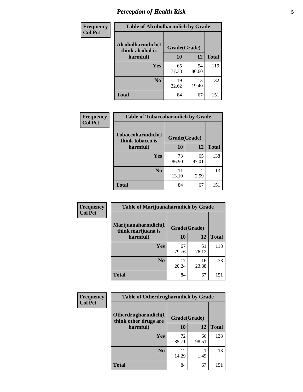# *Perception of Health Risk* **5**

| <b>Frequency</b> | <b>Table of Alcoholharmdich by Grade</b> |              |             |              |  |
|------------------|------------------------------------------|--------------|-------------|--------------|--|
| <b>Col Pct</b>   | Alcoholharmdich(I<br>think alcohol is    | Grade(Grade) |             |              |  |
|                  | harmful)                                 | 10           | 12          | <b>Total</b> |  |
|                  | Yes                                      | 65<br>77.38  | 54<br>80.60 | 119          |  |
|                  | N <sub>0</sub>                           | 19<br>22.62  | 13<br>19.40 | 32           |  |
|                  | <b>Total</b>                             | 84           | 67          | 151          |  |

| Frequency      | <b>Table of Tobaccoharmdich by Grade</b> |              |             |              |
|----------------|------------------------------------------|--------------|-------------|--------------|
| <b>Col Pct</b> | Tobaccoharmdich(I<br>think tobacco is    | Grade(Grade) |             |              |
|                | harmful)                                 | 10           | 12          | <b>Total</b> |
|                | <b>Yes</b>                               | 73<br>86.90  | 65<br>97.01 | 138          |
|                | N <sub>0</sub>                           | 11<br>13.10  | 2<br>2.99   | 13           |
|                | <b>Total</b>                             | 84           | 67          | 151          |

| Frequency      | <b>Table of Marijuanaharmdich by Grade</b> |              |             |              |  |
|----------------|--------------------------------------------|--------------|-------------|--------------|--|
| <b>Col Pct</b> | Marijuanaharmdich(I<br>think marijuana is  | Grade(Grade) |             |              |  |
|                | harmful)                                   | 10           | 12          | <b>Total</b> |  |
|                | <b>Yes</b>                                 | 67<br>79.76  | 51<br>76.12 | 118          |  |
|                | N <sub>0</sub>                             | 17<br>20.24  | 16<br>23.88 | 33           |  |
|                | <b>Total</b>                               | 84           | 67          | 151          |  |

| Frequency      | <b>Table of Otherdrugharmdich by Grade</b>                   |             |             |              |  |  |  |  |
|----------------|--------------------------------------------------------------|-------------|-------------|--------------|--|--|--|--|
| <b>Col Pct</b> | Otherdrugharmdich(I<br>Grade(Grade)<br>think other drugs are |             |             |              |  |  |  |  |
|                | harmful)                                                     | 10          | 12          | <b>Total</b> |  |  |  |  |
|                | <b>Yes</b>                                                   | 72<br>85.71 | 66<br>98.51 | 138          |  |  |  |  |
|                | N <sub>0</sub>                                               | 12<br>14.29 | 1.49        | 13           |  |  |  |  |
|                | <b>Total</b>                                                 | 84          | 67          | 151          |  |  |  |  |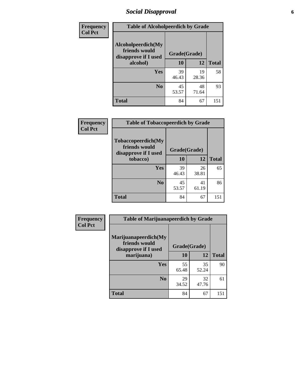# *Social Disapproval* **6**

| Frequency      | <b>Table of Alcoholpeerdich by Grade</b>                    |             |              |              |  |
|----------------|-------------------------------------------------------------|-------------|--------------|--------------|--|
| <b>Col Pct</b> | Alcoholpeerdich(My<br>friends would<br>disapprove if I used |             | Grade(Grade) |              |  |
|                | alcohol)                                                    | 10          | 12           | <b>Total</b> |  |
|                | <b>Yes</b>                                                  | 39<br>46.43 | 19<br>28.36  | 58           |  |
|                | N <sub>0</sub>                                              | 45<br>53.57 | 48<br>71.64  | 93           |  |
|                | <b>Total</b>                                                | 84          | 67           | 151          |  |

| <b>Frequency</b> |
|------------------|
| <b>Col Pct</b>   |

| <b>Table of Tobaccopeerdich by Grade</b>                    |              |             |              |  |  |  |
|-------------------------------------------------------------|--------------|-------------|--------------|--|--|--|
| Tobaccopeerdich(My<br>friends would<br>disapprove if I used | Grade(Grade) |             |              |  |  |  |
| tobacco)                                                    | 10           | 12          | <b>Total</b> |  |  |  |
| Yes                                                         | 39<br>46.43  | 26<br>38.81 | 65           |  |  |  |
| N <sub>0</sub>                                              | 45<br>53.57  | 41<br>61.19 | 86           |  |  |  |
| <b>Total</b>                                                | 84           | 67          | 151          |  |  |  |

| Frequency      | <b>Table of Marijuanapeerdich by Grade</b>                    |              |             |              |  |  |  |
|----------------|---------------------------------------------------------------|--------------|-------------|--------------|--|--|--|
| <b>Col Pct</b> | Marijuanapeerdich(My<br>friends would<br>disapprove if I used | Grade(Grade) |             |              |  |  |  |
|                | marijuana)                                                    | 10           | 12          | <b>Total</b> |  |  |  |
|                | <b>Yes</b>                                                    | 55<br>65.48  | 35<br>52.24 | 90           |  |  |  |
|                | N <sub>0</sub>                                                | 29<br>34.52  | 32<br>47.76 | 61           |  |  |  |
|                | <b>Total</b>                                                  | 84           | 67          | 151          |  |  |  |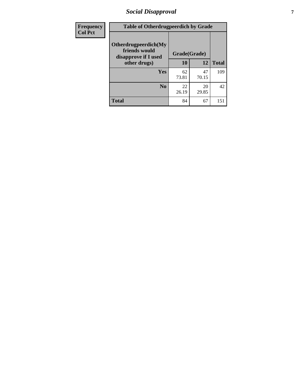# *Social Disapproval* **7**

| Frequency      | <b>Table of Otherdrugpeerdich by Grade</b>                    |              |             |              |  |  |  |
|----------------|---------------------------------------------------------------|--------------|-------------|--------------|--|--|--|
| <b>Col Pct</b> | Otherdrugpeerdich(My<br>friends would<br>disapprove if I used | Grade(Grade) |             |              |  |  |  |
|                | other drugs)                                                  | 10           | 12          | <b>Total</b> |  |  |  |
|                | <b>Yes</b>                                                    | 62<br>73.81  | 47<br>70.15 | 109          |  |  |  |
|                | N <sub>0</sub>                                                | 22<br>26.19  | 20<br>29.85 | 42           |  |  |  |
|                | <b>Total</b>                                                  | 84           | 67          | 151          |  |  |  |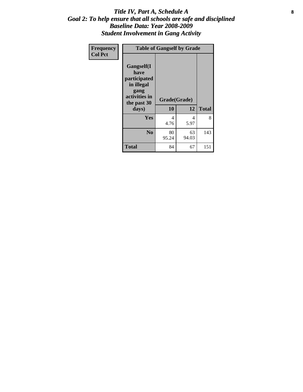### Title IV, Part A, Schedule A **8** *Goal 2: To help ensure that all schools are safe and disciplined Baseline Data: Year 2008-2009 Student Involvement in Gang Activity*

| Frequency      |                                                                                                   | <b>Table of Gangself by Grade</b> |             |              |
|----------------|---------------------------------------------------------------------------------------------------|-----------------------------------|-------------|--------------|
| <b>Col Pct</b> | Gangself(I<br>have<br>participated<br>in illegal<br>gang<br>activities in<br>the past 30<br>days) | Grade(Grade)<br>10                | 12          | <b>Total</b> |
|                | Yes                                                                                               | 4<br>4.76                         | 4<br>5.97   | 8            |
|                | N <sub>0</sub>                                                                                    | 80<br>95.24                       | 63<br>94.03 | 143          |
|                | <b>Total</b>                                                                                      | 84                                | 67          | 151          |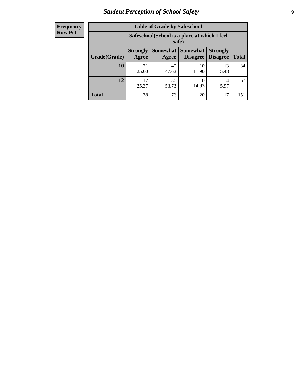# *Student Perception of School Safety* **9**

| <b>Frequency</b><br>Row Pct |
|-----------------------------|
|                             |

| <b>Table of Grade by Safeschool</b> |                                                        |                          |                             |                                    |              |  |
|-------------------------------------|--------------------------------------------------------|--------------------------|-----------------------------|------------------------------------|--------------|--|
|                                     | Safeschool (School is a place at which I feel<br>safe) |                          |                             |                                    |              |  |
| Grade(Grade)                        | <b>Strongly</b><br>Agree                               | <b>Somewhat</b><br>Agree | <b>Somewhat</b><br>Disagree | <b>Strongly</b><br><b>Disagree</b> | <b>Total</b> |  |
| <b>10</b>                           | 21<br>25.00                                            | 40<br>47.62              | 10<br>11.90                 | 13<br>15.48                        | 84           |  |
| 12                                  | 17<br>25.37                                            | 36<br>53.73              | 10<br>14.93                 | 4<br>5.97                          | 67           |  |
| <b>Total</b>                        | 38                                                     | 76                       | 20                          | 17                                 | 151          |  |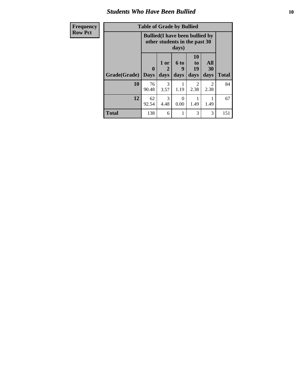### *Students Who Have Been Bullied* **10**

| Frequency      |  |
|----------------|--|
| <b>Row Pct</b> |  |

# **Table of Grade by Bullied**

┑

| <u>cy</u> | Lavic VI Grauc Dy Dunicu |                         |                                                                                  |                   |                        |                   |              |  |
|-----------|--------------------------|-------------------------|----------------------------------------------------------------------------------|-------------------|------------------------|-------------------|--------------|--|
|           |                          |                         | <b>Bullied</b> (I have been bullied by<br>other students in the past 30<br>days) |                   |                        |                   |              |  |
|           | Grade(Grade)             | $\bf{0}$<br><b>Days</b> | 1 or<br>2<br>days                                                                | 6 to<br>9<br>days | 10<br>to<br>19<br>days | All<br>30<br>days | <b>Total</b> |  |
|           | 10                       | 76<br>90.48             | 3<br>3.57                                                                        | 1.19              | 2<br>2.38              | 2<br>2.38         | 84           |  |
|           | 12                       | 62<br>92.54             | 3<br>4.48                                                                        | 0<br>0.00         | 1.49                   | 1.49              | 67           |  |
|           | <b>Total</b>             | 138                     | 6                                                                                | 1                 | 3                      | 3                 | 151          |  |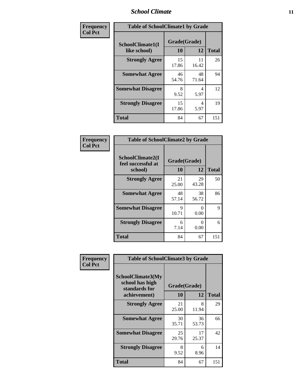### *School Climate* **11**

| Frequency      | <b>Table of SchoolClimate1 by Grade</b> |                    |             |              |  |  |  |
|----------------|-----------------------------------------|--------------------|-------------|--------------|--|--|--|
| <b>Col Pct</b> | SchoolClimate1(I<br>like school)        | Grade(Grade)<br>10 | 12          | <b>Total</b> |  |  |  |
|                | <b>Strongly Agree</b>                   | 15<br>17.86        | 11<br>16.42 | 26           |  |  |  |
|                | <b>Somewhat Agree</b>                   | 46<br>54.76        | 48<br>71.64 | 94           |  |  |  |
|                | <b>Somewhat Disagree</b>                | 8<br>9.52          | 4<br>5.97   | 12           |  |  |  |
|                | <b>Strongly Disagree</b>                | 15<br>17.86        | 4<br>5.97   | 19           |  |  |  |
|                | <b>Total</b>                            | 84                 | 67          | 151          |  |  |  |

| Frequency      | <b>Table of SchoolClimate2 by Grade</b>           |                    |                           |              |
|----------------|---------------------------------------------------|--------------------|---------------------------|--------------|
| <b>Col Pct</b> | SchoolClimate2(I<br>feel successful at<br>school) | Grade(Grade)<br>10 | 12                        | <b>Total</b> |
|                | <b>Strongly Agree</b>                             | 21<br>25.00        | 29<br>43.28               | 50           |
|                | <b>Somewhat Agree</b>                             | 48<br>57.14        | 38<br>56.72               | 86           |
|                | <b>Somewhat Disagree</b>                          | 9<br>10.71         | $\mathbf{\Omega}$<br>0.00 | 9            |
|                | <b>Strongly Disagree</b>                          | 6<br>7.14          | $\mathbf{0}$<br>0.00      | 6            |
|                | <b>Total</b>                                      | 84                 | 67                        | 151          |

| Frequency      | <b>Table of SchoolClimate3 by Grade</b>               |              |             |              |  |
|----------------|-------------------------------------------------------|--------------|-------------|--------------|--|
| <b>Col Pct</b> | SchoolClimate3(My<br>school has high<br>standards for | Grade(Grade) |             |              |  |
|                | achievement)                                          | <b>10</b>    | 12          | <b>Total</b> |  |
|                | <b>Strongly Agree</b>                                 | 21<br>25.00  | 8<br>11.94  | 29           |  |
|                | <b>Somewhat Agree</b>                                 | 30<br>35.71  | 36<br>53.73 | 66           |  |
|                | <b>Somewhat Disagree</b>                              | 25<br>29.76  | 17<br>25.37 | 42           |  |
|                | <b>Strongly Disagree</b>                              | 8<br>9.52    | 6<br>8.96   | 14           |  |
|                | Total                                                 | 84           | 67          | 151          |  |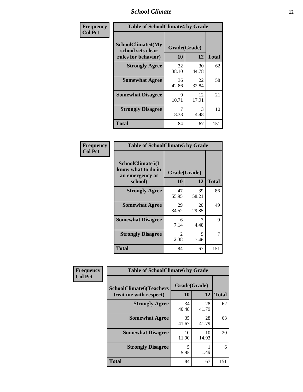### *School Climate* **12**

| Frequency      | <b>Table of SchoolClimate4 by Grade</b>                              |                    |             |              |
|----------------|----------------------------------------------------------------------|--------------------|-------------|--------------|
| <b>Col Pct</b> | <b>SchoolClimate4(My</b><br>school sets clear<br>rules for behavior) | Grade(Grade)<br>10 | 12          | <b>Total</b> |
|                | <b>Strongly Agree</b>                                                | 32<br>38.10        | 30<br>44.78 | 62           |
|                | <b>Somewhat Agree</b>                                                | 36<br>42.86        | 22<br>32.84 | 58           |
|                | <b>Somewhat Disagree</b>                                             | 9<br>10.71         | 12<br>17.91 | 21           |
|                | <b>Strongly Disagree</b>                                             | 7<br>8.33          | 3<br>4.48   | 10           |
|                | Total                                                                | 84                 | 67          | 151          |

| <b>Table of SchoolClimate5 by Grade</b>                              |                    |       |              |  |  |
|----------------------------------------------------------------------|--------------------|-------|--------------|--|--|
| SchoolClimate5(I<br>know what to do in<br>an emergency at<br>school) | Grade(Grade)<br>10 | 12    | <b>Total</b> |  |  |
| <b>Strongly Agree</b>                                                | 47                 | 39    | 86           |  |  |
|                                                                      | 55.95              | 58.21 |              |  |  |
| <b>Somewhat Agree</b>                                                | 29                 | 20    | 49           |  |  |
|                                                                      | 34.52              | 29.85 |              |  |  |
| <b>Somewhat Disagree</b>                                             | 6                  | 3     | 9            |  |  |
|                                                                      | 7.14               | 4.48  |              |  |  |
| <b>Strongly Disagree</b>                                             | 2                  | 5     | 7            |  |  |
|                                                                      | 2.38               | 7.46  |              |  |  |
| Total                                                                | 84                 | 67    | 151          |  |  |

| Frequency      | <b>Table of SchoolClimate6 by Grade</b>                  |                    |             |              |
|----------------|----------------------------------------------------------|--------------------|-------------|--------------|
| <b>Col Pct</b> | <b>SchoolClimate6(Teachers</b><br>treat me with respect) | Grade(Grade)<br>10 | 12          | <b>Total</b> |
|                | <b>Strongly Agree</b>                                    | 34<br>40.48        | 28<br>41.79 | 62           |
|                | <b>Somewhat Agree</b>                                    | 35<br>41.67        | 28<br>41.79 | 63           |
|                | <b>Somewhat Disagree</b>                                 | 10<br>11.90        | 10<br>14.93 | 20           |
|                | <b>Strongly Disagree</b>                                 | 5<br>5.95          | 1.49        | 6            |
|                | <b>Total</b>                                             | 84                 | 67          | 151          |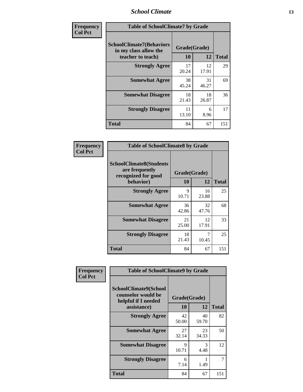### *School Climate* **13**

| Frequency      | <b>Table of SchoolClimate7 by Grade</b>                                       |                           |             |              |
|----------------|-------------------------------------------------------------------------------|---------------------------|-------------|--------------|
| <b>Col Pct</b> | <b>SchoolClimate7(Behaviors</b><br>in my class allow the<br>teacher to teach) | Grade(Grade)<br><b>10</b> | 12          | <b>Total</b> |
|                | <b>Strongly Agree</b>                                                         | 17<br>20.24               | 12<br>17.91 | 29           |
|                | <b>Somewhat Agree</b>                                                         | 38<br>45.24               | 31<br>46.27 | 69           |
|                | <b>Somewhat Disagree</b>                                                      | 18<br>21.43               | 18<br>26.87 | 36           |
|                | <b>Strongly Disagree</b>                                                      | 11<br>13.10               | 6<br>8.96   | 17           |
|                | <b>Total</b>                                                                  | 84                        | 67          | 151          |

| Frequency      | <b>Table of SchoolClimate8 by Grade</b>                                 |              |             |              |
|----------------|-------------------------------------------------------------------------|--------------|-------------|--------------|
| <b>Col Pct</b> | <b>SchoolClimate8(Students</b><br>are frequently<br>recognized for good | Grade(Grade) |             |              |
|                | behavior)                                                               | 10           | 12          | <b>Total</b> |
|                | <b>Strongly Agree</b>                                                   | 9<br>10.71   | 16<br>23.88 | 25           |
|                | <b>Somewhat Agree</b>                                                   | 36<br>42.86  | 32<br>47.76 | 68           |
|                | <b>Somewhat Disagree</b>                                                | 21<br>25.00  | 12<br>17.91 | 33           |
|                | <b>Strongly Disagree</b>                                                | 18<br>21.43  | 7<br>10.45  | 25           |
|                | <b>Total</b>                                                            | 84           | 67          | 151          |

| Frequency      | <b>Table of SchoolClimate9 by Grade</b>                                           |                    |             |              |
|----------------|-----------------------------------------------------------------------------------|--------------------|-------------|--------------|
| <b>Col Pct</b> | SchoolClimate9(School<br>counselor would be<br>helpful if I needed<br>assistance) | Grade(Grade)<br>10 | 12          | <b>Total</b> |
|                | <b>Strongly Agree</b>                                                             | 42<br>50.00        | 40<br>59.70 | 82           |
|                | <b>Somewhat Agree</b>                                                             | 27<br>32.14        | 23<br>34.33 | 50           |
|                | <b>Somewhat Disagree</b>                                                          | 9<br>10.71         | 3<br>4.48   | 12           |
|                | <b>Strongly Disagree</b>                                                          | 6<br>7.14          | 1.49        | 7            |
|                | Total                                                                             | 84                 | 67          | 151          |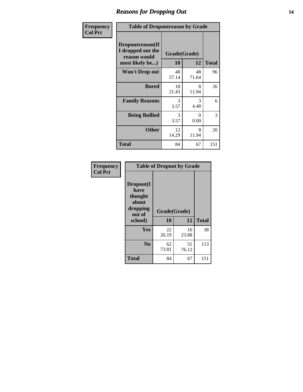### *Reasons for Dropping Out* **14**

| Frequency      | <b>Table of Dropoutreason by Grade</b>                                   |                    |             |              |
|----------------|--------------------------------------------------------------------------|--------------------|-------------|--------------|
| <b>Col Pct</b> | Dropoutreason(If<br>I dropped out the<br>reason would<br>most likely be) | Grade(Grade)<br>10 | 12          | <b>Total</b> |
|                | <b>Won't Drop out</b>                                                    | 48<br>57.14        | 48<br>71.64 | 96           |
|                | <b>Bored</b>                                                             | 18<br>21.43        | 8<br>11.94  | 26           |
|                | <b>Family Reasons</b>                                                    | 3<br>3.57          | 3<br>4.48   | 6            |
|                | <b>Being Bullied</b>                                                     | 3<br>3.57          | 0<br>0.00   | 3            |
|                | <b>Other</b>                                                             | 12<br>14.29        | 8<br>11.94  | 20           |
|                | <b>Total</b>                                                             | 84                 | 67          | 151          |

| Frequency<br><b>Col Pct</b> | <b>Table of Dropout by Grade</b>                                       |                    |              |     |  |
|-----------------------------|------------------------------------------------------------------------|--------------------|--------------|-----|--|
|                             | Dropout(I<br>have<br>thought<br>about<br>dropping<br>out of<br>school) | Grade(Grade)<br>10 | <b>Total</b> |     |  |
|                             |                                                                        |                    | 12           |     |  |
|                             | Yes                                                                    | 22<br>26.19        | 16<br>23.88  | 38  |  |
|                             | N <sub>0</sub>                                                         | 62<br>73.81        | 51<br>76.12  | 113 |  |
|                             |                                                                        |                    |              |     |  |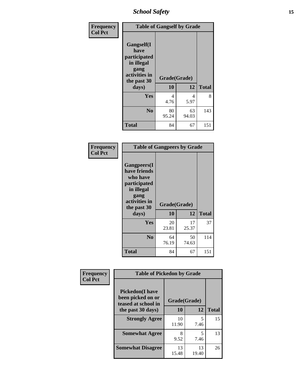*School Safety* **15**

| Frequency      | <b>Table of Gangself by Grade</b>                                                                 |                          |             |              |
|----------------|---------------------------------------------------------------------------------------------------|--------------------------|-------------|--------------|
| <b>Col Pct</b> | Gangself(I<br>have<br>participated<br>in illegal<br>gang<br>activities in<br>the past 30<br>days) | Grade(Grade)<br>10<br>12 |             | <b>Total</b> |
|                | Yes                                                                                               | 4<br>4.76                | 4<br>5.97   | 8            |
|                | N <sub>0</sub>                                                                                    | 80<br>95.24              | 63<br>94.03 | 143          |
|                | <b>Total</b>                                                                                      | 84                       | 67          | 151          |

| Frequency<br><b>Col Pct</b> | <b>Table of Gangpeers by Grade</b>                                                                                     |                    |             |              |
|-----------------------------|------------------------------------------------------------------------------------------------------------------------|--------------------|-------------|--------------|
|                             | Gangpeers(I<br>have friends<br>who have<br>participated<br>in illegal<br>gang<br>activities in<br>the past 30<br>days) | Grade(Grade)<br>10 | 12          | <b>Total</b> |
|                             | Yes                                                                                                                    | 20<br>23.81        | 17<br>25.37 | 37           |
|                             | N <sub>0</sub>                                                                                                         | 64<br>76.19        | 50<br>74.63 | 114          |
|                             | <b>Total</b>                                                                                                           | 84                 | 67          | 151          |

| Frequency      | <b>Table of Pickedon by Grade</b>                                  |              |             |              |
|----------------|--------------------------------------------------------------------|--------------|-------------|--------------|
| <b>Col Pct</b> | <b>Pickedon(I have</b><br>been picked on or<br>teased at school in | Grade(Grade) |             |              |
|                | the past 30 days)                                                  | 10           | 12          | <b>Total</b> |
|                | <b>Strongly Agree</b>                                              | 10<br>11.90  | 5<br>7.46   | 15           |
|                | <b>Somewhat Agree</b>                                              | 8<br>9.52    | 5<br>7.46   | 13           |
|                | <b>Somewhat Disagree</b>                                           | 13<br>15.48  | 13<br>19.40 | 26           |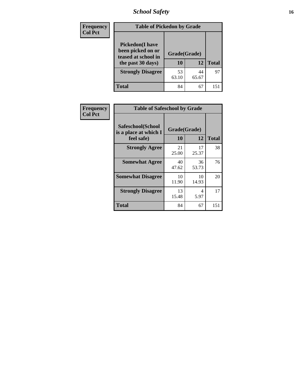# *School Safety* **16**

| <b>Frequency</b> |                                                                                          | <b>Table of Pickedon by Grade</b> |              |    |  |  |  |  |  |  |  |
|------------------|------------------------------------------------------------------------------------------|-----------------------------------|--------------|----|--|--|--|--|--|--|--|
| <b>Col Pct</b>   | <b>Pickedon</b> (I have<br>been picked on or<br>teased at school in<br>the past 30 days) | Grade(Grade)<br>10                | <b>Total</b> |    |  |  |  |  |  |  |  |
|                  | <b>Strongly Disagree</b>                                                                 | 53<br>63.10                       | 44<br>65.67  | 97 |  |  |  |  |  |  |  |
|                  | Total                                                                                    | 84                                | 67           | 15 |  |  |  |  |  |  |  |

| Frequency      |                                                          | <b>Table of Safeschool by Grade</b> |              |     |  |  |  |  |  |  |
|----------------|----------------------------------------------------------|-------------------------------------|--------------|-----|--|--|--|--|--|--|
| <b>Col Pct</b> | Safeschool(School<br>is a place at which I<br>feel safe) | Grade(Grade)<br>10                  | <b>Total</b> |     |  |  |  |  |  |  |
|                | <b>Strongly Agree</b>                                    | 21<br>25.00                         | 17<br>25.37  | 38  |  |  |  |  |  |  |
|                | <b>Somewhat Agree</b>                                    | 40<br>47.62                         | 36<br>53.73  | 76  |  |  |  |  |  |  |
|                | <b>Somewhat Disagree</b>                                 | 10<br>11.90                         | 10<br>14.93  | 20  |  |  |  |  |  |  |
|                | <b>Strongly Disagree</b>                                 | 13<br>15.48                         | 4<br>5.97    | 17  |  |  |  |  |  |  |
|                | <b>Total</b>                                             | 84                                  | 67           | 151 |  |  |  |  |  |  |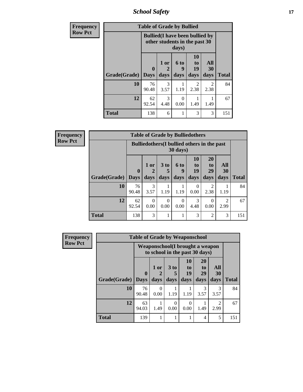*School Safety* **17**

| <b>Frequency</b> |              | <b>Table of Grade by Bullied</b>                                        |                   |                   |                        |                   |              |
|------------------|--------------|-------------------------------------------------------------------------|-------------------|-------------------|------------------------|-------------------|--------------|
| <b>Row Pct</b>   |              | <b>Bullied</b> (I have been bullied by<br>other students in the past 30 |                   |                   |                        |                   |              |
|                  | Grade(Grade) | 0<br><b>Days</b>                                                        | 1 or<br>2<br>days | 6 to<br>9<br>days | 10<br>to<br>19<br>days | All<br>30<br>days | <b>Total</b> |
|                  | 10           | 76<br>90.48                                                             | 3<br>3.57         | 1.19              | 2<br>2.38              | 2<br>2.38         | 84           |
|                  | 12           | 62<br>92.54                                                             | 3<br>4.48         | $\Omega$<br>0.00  | 1.49                   | 1.49              | 67           |
|                  | <b>Total</b> | 138                                                                     | 6                 | 1                 | 3                      | 3                 | 151          |

| Frequency      |              |                                                    |                  | <b>Table of Grade by Bulliedothers</b> |                  |                       |                       |                        |              |
|----------------|--------------|----------------------------------------------------|------------------|----------------------------------------|------------------|-----------------------|-----------------------|------------------------|--------------|
| <b>Row Pct</b> |              | <b>Bulliedothers</b> (I bullied others in the past |                  |                                        |                  |                       |                       |                        |              |
|                |              | $\mathbf{0}$                                       | $1$ or           | 3 to<br>5                              | 6 to<br>9        | <b>10</b><br>to<br>19 | 20<br>to<br>29        | All<br>30              |              |
|                | Grade(Grade) | <b>Days</b>                                        | days             | days                                   | days             | days                  | days                  | days                   | <b>Total</b> |
|                | 10           | 76<br>90.48                                        | 3<br>3.57        | 1.19                                   | 1.19             | $\Omega$<br>0.00      | $\mathcal{L}$<br>2.38 | 1.19                   | 84           |
|                | 12           | 62<br>92.54                                        | $\Omega$<br>0.00 | $\Omega$<br>0.00                       | $\Omega$<br>0.00 | 3<br>4.48             | $\Omega$<br>0.00      | $\overline{c}$<br>2.99 | 67           |
|                | <b>Total</b> | 138                                                | 3                |                                        |                  | 3                     | $\mathfrak{D}$        | 3                      | 151          |

| <b>Frequency</b> | <b>Table of Grade by Weaponschool</b> |                                                                   |                  |                 |                |                                   |                        |              |
|------------------|---------------------------------------|-------------------------------------------------------------------|------------------|-----------------|----------------|-----------------------------------|------------------------|--------------|
| <b>Row Pct</b>   |                                       | Weaponschool(I brought a weapon<br>to school in the past 30 days) |                  |                 |                |                                   |                        |              |
|                  |                                       | $\mathbf 0$                                                       | 1 or             | 3 <sub>to</sub> | 10<br>to<br>19 | <b>20</b><br>t <sub>0</sub><br>29 | All<br>30              |              |
|                  | Grade(Grade)                          | <b>Days</b>                                                       | days             | days            | days           | days                              | days                   | <b>Total</b> |
|                  | 10                                    | 76<br>90.48                                                       | $\theta$<br>0.00 | 1.19            | 1.19           | 3<br>3.57                         | 3<br>3.57              | 84           |
|                  | 12                                    | 63<br>94.03                                                       | 1.49             | 0.00            | 0<br>0.00      | 1.49                              | $\overline{2}$<br>2.99 | 67           |
|                  | <b>Total</b>                          | 139                                                               |                  |                 |                | 4                                 | 5                      | 151          |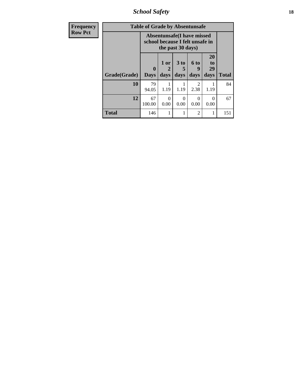*School Safety* **18**

| <b>Frequency</b> |              | <b>Table of Grade by Absentunsafe</b> |                                                                |                              |                        |                        |              |
|------------------|--------------|---------------------------------------|----------------------------------------------------------------|------------------------------|------------------------|------------------------|--------------|
| <b>Row Pct</b>   |              |                                       | Absentunsafe (I have missed<br>school because I felt unsafe in | the past 30 days)            |                        |                        |              |
|                  | Grade(Grade) | $\mathbf{0}$<br><b>Days</b>           | $1$ or<br>2<br>days                                            | 3 <sub>to</sub><br>5<br>days | 6 to<br>9<br>days      | 20<br>to<br>29<br>days | <b>Total</b> |
|                  | 10           | 79<br>94.05                           | 1.19                                                           | 1.19                         | $\mathfrak{D}$<br>2.38 | 1.19                   | 84           |
|                  | 12           | 67<br>100.00                          | 0<br>0.00                                                      | 0<br>0.00                    | $\Omega$<br>0.00       | 0.00                   | 67           |
|                  | <b>Total</b> | 146                                   |                                                                | 1                            | 2                      |                        | 151          |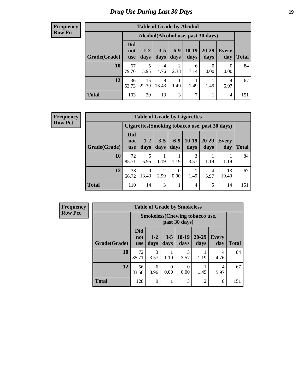# *Drug Use During Last 30 Days* **19**

#### **Frequency Row Pct**

| <b>Table of Grade by Alcohol</b> |                                 |                                     |                 |               |                 |                   |                     |              |  |  |  |
|----------------------------------|---------------------------------|-------------------------------------|-----------------|---------------|-----------------|-------------------|---------------------|--------------|--|--|--|
|                                  |                                 | Alcohol (Alcohol use, past 30 days) |                 |               |                 |                   |                     |              |  |  |  |
| Grade(Grade)                     | <b>Did</b><br>not<br><b>use</b> | $1-2$<br>days                       | $3 - 5$<br>days | $6-9$<br>days | $10-19$<br>days | $20 - 29$<br>days | <b>Every</b><br>day | <b>Total</b> |  |  |  |
| 10                               | 67<br>79.76                     | 5<br>5.95                           | 4<br>4.76       | 2<br>2.38     | 6<br>7.14       | 0<br>0.00         | $\Omega$<br>0.00    | 84           |  |  |  |
| 12                               | 36<br>53.73                     | 15<br>22.39                         | 9<br>13.43      | 1.49          | 1.49            | 1.49              | 4<br>5.97           | 67           |  |  |  |
| <b>Total</b>                     | 103                             | 20                                  | 13              | 3             | 7               |                   | 4                   | 151          |  |  |  |

#### **Frequency Row Pct**

| <b>Table of Grade by Cigarettes</b> |                                                |               |                 |               |                 |               |                     |       |  |  |  |
|-------------------------------------|------------------------------------------------|---------------|-----------------|---------------|-----------------|---------------|---------------------|-------|--|--|--|
|                                     | Cigarettes (Smoking tobacco use, past 30 days) |               |                 |               |                 |               |                     |       |  |  |  |
| Grade(Grade)                        | Did<br>not<br><b>use</b>                       | $1-2$<br>days | $3 - 5$<br>days | $6-9$<br>days | $10-19$<br>days | 20-29<br>days | <b>Every</b><br>day | Total |  |  |  |
| 10                                  | 72<br>85.71                                    | 5<br>5.95     | 1.19            | 1.19          | 3<br>3.57       | 1.19          | 1.19                | 84    |  |  |  |
| 12                                  | 38<br>56.72                                    | 9<br>13.43    | 2<br>2.99       | 0<br>0.00     | 1.49            | 4<br>5.97     | 13<br>19.40         | 67    |  |  |  |
| <b>Total</b>                        | 110                                            | 14            | 3               |               | 4               | 5             | 14                  | 151   |  |  |  |

| <b>Frequency</b> |
|------------------|
| <b>Row Pct</b>   |

| <b>Table of Grade by Smokeless</b> |                                                        |               |                 |                 |                   |                     |              |  |  |  |
|------------------------------------|--------------------------------------------------------|---------------|-----------------|-----------------|-------------------|---------------------|--------------|--|--|--|
|                                    | <b>Smokeless</b> (Chewing tobaccouse,<br>past 30 days) |               |                 |                 |                   |                     |              |  |  |  |
| Grade(Grade)                       | Did<br>not<br><b>use</b>                               | $1-2$<br>days | $3 - 5$<br>days | $10-19$<br>days | $20 - 29$<br>days | <b>Every</b><br>day | <b>Total</b> |  |  |  |
| 10                                 | 72<br>85.71                                            | 3<br>3.57     | 1.19            | 3<br>3.57       | 1.19              | 4<br>4.76           | 84           |  |  |  |
| 12                                 | 56<br>83.58                                            | 6<br>8.96     | 0<br>0.00       | 0<br>0.00       | 1.49              | 4<br>5.97           | 67           |  |  |  |
| <b>Total</b>                       | 128                                                    | 9             |                 | 3               | $\overline{c}$    | 8                   | 151          |  |  |  |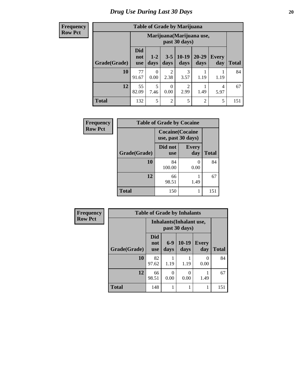**Frequency Row Pct**

| <b>Table of Grade by Marijuana</b> |                                 |                                            |                        |                 |               |                     |       |  |  |  |  |
|------------------------------------|---------------------------------|--------------------------------------------|------------------------|-----------------|---------------|---------------------|-------|--|--|--|--|
|                                    |                                 | Marijuana (Marijuana use,<br>past 30 days) |                        |                 |               |                     |       |  |  |  |  |
| Grade(Grade)                       | <b>Did</b><br>not<br><b>use</b> | $1 - 2$<br>days                            | $3 - 5$<br>days        | $10-19$<br>days | 20-29<br>days | <b>Every</b><br>day | Total |  |  |  |  |
| 10                                 | 77<br>91.67                     | 0<br>0.00                                  | $\mathfrak{D}$<br>2.38 | 3<br>3.57       | 1.19          | 1.19                | 84    |  |  |  |  |
| 12                                 | 55<br>82.09                     | 5<br>7.46                                  | $\Omega$<br>0.00       | 2<br>2.99       | 1.49          | 4<br>5.97           | 67    |  |  |  |  |
| <b>Total</b>                       | 132                             | 5                                          | $\mathfrak{D}$         | 5               | 2             | 5                   | 151   |  |  |  |  |

| Frequency      | <b>Table of Grade by Cocaine</b> |                                               |                     |              |
|----------------|----------------------------------|-----------------------------------------------|---------------------|--------------|
| <b>Row Pct</b> |                                  | <b>Cocaine</b> (Cocaine<br>use, past 30 days) |                     |              |
|                | Grade(Grade)                     | Did not<br><b>use</b>                         | <b>Every</b><br>day | <b>Total</b> |
|                | 10                               | 84<br>100.00                                  | 0.00                | 84           |
|                | 12                               | 66<br>98.51                                   | 1.49                | 67           |
|                | <b>Total</b>                     | 150                                           |                     | 151          |

| Frequency      | <b>Table of Grade by Inhalants</b> |                                 |               |                                                  |                     |              |  |
|----------------|------------------------------------|---------------------------------|---------------|--------------------------------------------------|---------------------|--------------|--|
| <b>Row Pct</b> |                                    |                                 |               | <b>Inhalants</b> (Inhalant use,<br>past 30 days) |                     |              |  |
|                | Grade(Grade)                       | <b>Did</b><br>not<br><b>use</b> | $6-9$<br>days | $10-19$<br>days                                  | <b>Every</b><br>day | <b>Total</b> |  |
|                | 10                                 | 82<br>97.62                     | 1.19          | 1.19                                             | 0<br>0.00           | 84           |  |
|                | 12                                 | 66<br>98.51                     | 0.00          | 0.00                                             | 1.49                | 67           |  |
|                | <b>Total</b>                       | 148                             |               |                                                  | 1                   | 151          |  |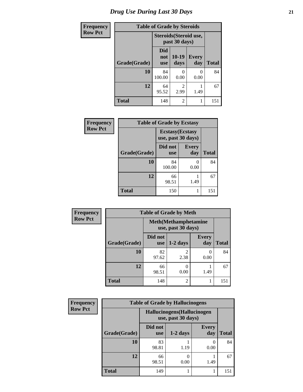| <b>Frequency</b> | <b>Table of Grade by Steroids</b> |                                         |                 |              |              |  |  |  |
|------------------|-----------------------------------|-----------------------------------------|-----------------|--------------|--------------|--|--|--|
| <b>Row Pct</b>   |                                   | Steroids (Steroid use,<br>past 30 days) |                 |              |              |  |  |  |
|                  | Grade(Grade)                      | Did<br>not<br><b>use</b>                | $10-19$<br>days | Every<br>day | <b>Total</b> |  |  |  |
|                  | 10                                | 84<br>100.00                            | 0<br>0.00       | 0.00         | 84           |  |  |  |
|                  | 12                                | 64<br>95.52                             | 2<br>2.99       | 1.49         | 67           |  |  |  |
|                  | <b>Total</b>                      | 148                                     | $\overline{2}$  |              | 151          |  |  |  |

| Frequency      | <b>Table of Grade by Ecstasy</b> |                                               |                     |              |
|----------------|----------------------------------|-----------------------------------------------|---------------------|--------------|
| <b>Row Pct</b> |                                  | <b>Ecstasy</b> (Ecstasy<br>use, past 30 days) |                     |              |
|                | Grade(Grade)                     | Did not<br><b>use</b>                         | <b>Every</b><br>day | <b>Total</b> |
|                | 10                               | 84<br>100.00                                  | 0.00                | 84           |
|                | 12                               | 66<br>98.51                                   | 1.49                | 67           |
|                | <b>Total</b>                     | 150                                           |                     | 151          |

| <b>Frequency</b> | <b>Table of Grade by Meth</b> |                                                    |                        |                     |              |  |  |
|------------------|-------------------------------|----------------------------------------------------|------------------------|---------------------|--------------|--|--|
| <b>Row Pct</b>   |                               | <b>Meth</b> (Methamphetamine<br>use, past 30 days) |                        |                     |              |  |  |
|                  | Grade(Grade)                  | Did not<br><b>use</b>                              | $1-2$ days             | <b>Every</b><br>day | <b>Total</b> |  |  |
|                  | 10                            | 82<br>97.62                                        | $\mathfrak{D}$<br>2.38 | 0<br>0.00           | 84           |  |  |
|                  | 12                            | 66<br>98.51                                        | 0.00                   | 1.49                | 67           |  |  |
|                  | <b>Total</b>                  | 148                                                | $\overline{c}$         |                     | 151          |  |  |

| Frequency      | <b>Table of Grade by Hallucinogens</b> |                                                   |            |                          |              |  |  |
|----------------|----------------------------------------|---------------------------------------------------|------------|--------------------------|--------------|--|--|
| <b>Row Pct</b> |                                        | Hallucinogens (Hallucinogen<br>use, past 30 days) |            |                          |              |  |  |
|                | Grade(Grade)                           | Did not<br><b>use</b>                             | $1-2$ days | <b>Every</b><br>day      | <b>Total</b> |  |  |
|                | 10                                     | 83<br>98.81                                       | 1.19       | $\left( \right)$<br>0.00 | 84           |  |  |
|                | 12                                     | 66<br>98.51                                       | 0.00       | 1.49                     | 67           |  |  |
|                | <b>Total</b>                           | 149                                               |            |                          | 151          |  |  |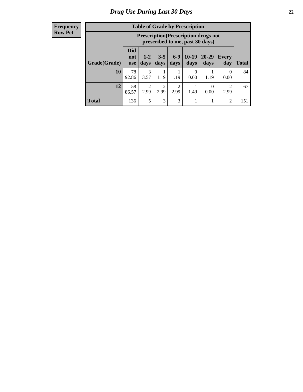#### **Frequency Row Pct**

| <b>Table of Grade by Prescription</b> |                          |                                                                                |               |                        |                 |                   |                     |       |
|---------------------------------------|--------------------------|--------------------------------------------------------------------------------|---------------|------------------------|-----------------|-------------------|---------------------|-------|
|                                       |                          | <b>Prescription</b> (Prescription drugs not<br>prescribed to me, past 30 days) |               |                        |                 |                   |                     |       |
| Grade(Grade)                          | Did<br>not<br><b>use</b> | $1 - 2$<br>days                                                                | $3-5$<br>days | $6-9$<br>days          | $10-19$<br>days | $20 - 29$<br>days | <b>Every</b><br>day | Total |
| 10                                    | 78<br>92.86              | 3<br>3.57                                                                      | 1.19          | 1.19                   | 0<br>0.00       | 1.19              | 0<br>0.00           | 84    |
| 12                                    | 58<br>86.57              | $\overline{c}$<br>2.99                                                         | 2<br>2.99     | $\overline{2}$<br>2.99 | 1.49            | 0.00              | 2<br>2.99           | 67    |
| <b>Total</b>                          | 136                      | 5                                                                              | 3             | 3                      |                 |                   | $\overline{2}$      | 151   |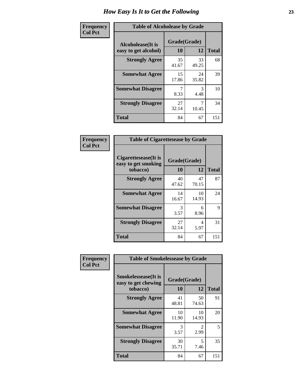| Frequency      | <b>Table of Alcoholease by Grade</b>              |                    |             |              |  |
|----------------|---------------------------------------------------|--------------------|-------------|--------------|--|
| <b>Col Pct</b> | <b>Alcoholease</b> (It is<br>easy to get alcohol) | Grade(Grade)<br>10 | 12          | <b>Total</b> |  |
|                | <b>Strongly Agree</b>                             | 35<br>41.67        | 33<br>49.25 | 68           |  |
|                | <b>Somewhat Agree</b>                             | 15<br>17.86        | 24<br>35.82 | 39           |  |
|                | <b>Somewhat Disagree</b>                          | 7<br>8.33          | 3<br>4.48   | 10           |  |
|                | <b>Strongly Disagree</b>                          | 27<br>32.14        | 10.45       | 34           |  |
|                | <b>Total</b>                                      | 84                 | 67          | 151          |  |

| Frequency      | <b>Table of Cigarettesease by Grade</b>                 |                    |             |              |  |
|----------------|---------------------------------------------------------|--------------------|-------------|--------------|--|
| <b>Col Pct</b> | Cigarettesease(It is<br>easy to get smoking<br>tobacco) | Grade(Grade)<br>10 | 12          | <b>Total</b> |  |
|                | <b>Strongly Agree</b>                                   | 40<br>47.62        | 47<br>70.15 | 87           |  |
|                | <b>Somewhat Agree</b>                                   | 14<br>16.67        | 10<br>14.93 | 24           |  |
|                | <b>Somewhat Disagree</b>                                | 3<br>3.57          | 6<br>8.96   | 9            |  |
|                | <b>Strongly Disagree</b>                                | 27<br>32.14        | 4<br>5.97   | 31           |  |
|                | Total                                                   | 84                 | 67          | 151          |  |

| Frequency      | <b>Table of Smokelessease by Grade</b>                         |                    |             |              |
|----------------|----------------------------------------------------------------|--------------------|-------------|--------------|
| <b>Col Pct</b> | <b>Smokelessease</b> (It is<br>easy to get chewing<br>tobacco) | Grade(Grade)<br>10 | 12          | <b>Total</b> |
|                | <b>Strongly Agree</b>                                          | 41                 | 50          | 91           |
|                |                                                                | 48.81              | 74.63       |              |
|                | <b>Somewhat Agree</b>                                          | 10<br>11.90        | 10<br>14.93 | 20           |
|                | <b>Somewhat Disagree</b>                                       | 3<br>3.57          | 2<br>2.99   | 5            |
|                | <b>Strongly Disagree</b>                                       | 30<br>35.71        | 5<br>7.46   | 35           |
|                | <b>Total</b>                                                   | 84                 | 67          | 151          |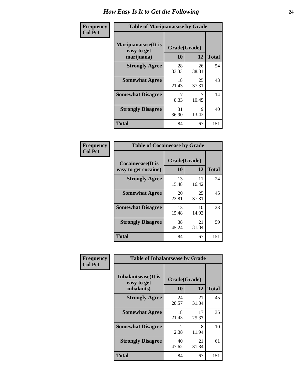| Frequency      | <b>Table of Marijuanaease by Grade</b>           |                    |             |              |  |
|----------------|--------------------------------------------------|--------------------|-------------|--------------|--|
| <b>Col Pct</b> | Marijuanaease(It is<br>easy to get<br>marijuana) | Grade(Grade)<br>10 | 12          | <b>Total</b> |  |
|                | <b>Strongly Agree</b>                            | 28<br>33.33        | 26<br>38.81 | 54           |  |
|                | <b>Somewhat Agree</b>                            | 18<br>21.43        | 25<br>37.31 | 43           |  |
|                | <b>Somewhat Disagree</b>                         | 8.33               | 10.45       | 14           |  |
|                | <b>Strongly Disagree</b>                         | 31<br>36.90        | 9<br>13.43  | 40           |  |
|                | <b>Total</b>                                     | 84                 | 67          | 151          |  |

| <b>Table of Cocaineease by Grade</b> |              |             |              |  |  |  |
|--------------------------------------|--------------|-------------|--------------|--|--|--|
| Cocaineease(It is                    | Grade(Grade) |             |              |  |  |  |
| easy to get cocaine)                 | 10           | 12          | <b>Total</b> |  |  |  |
| <b>Strongly Agree</b>                | 13<br>15.48  | 11<br>16.42 | 24           |  |  |  |
| <b>Somewhat Agree</b>                | 20<br>23.81  | 25<br>37.31 | 45           |  |  |  |
| <b>Somewhat Disagree</b>             | 13<br>15.48  | 10<br>14.93 | 23           |  |  |  |
| <b>Strongly Disagree</b>             | 38<br>45.24  | 21<br>31.34 | 59           |  |  |  |
| <b>Total</b>                         | 84           | 67          | 151          |  |  |  |

| Frequency      | <b>Table of Inhalantsease by Grade</b>     |                                     |             |              |
|----------------|--------------------------------------------|-------------------------------------|-------------|--------------|
| <b>Col Pct</b> | <b>Inhalantsease</b> (It is<br>easy to get | Grade(Grade)                        |             |              |
|                | inhalants)                                 | 10                                  | 12          | <b>Total</b> |
|                | <b>Strongly Agree</b>                      | 24<br>28.57                         | 21<br>31.34 | 45           |
|                | <b>Somewhat Agree</b>                      | 18<br>21.43                         | 17<br>25.37 | 35           |
|                | <b>Somewhat Disagree</b>                   | $\mathcal{D}_{\mathcal{L}}$<br>2.38 | 8<br>11.94  | 10           |
|                | <b>Strongly Disagree</b>                   | 40<br>47.62                         | 21<br>31.34 | 61           |
|                | <b>Total</b>                               | 84                                  | 67          | 151          |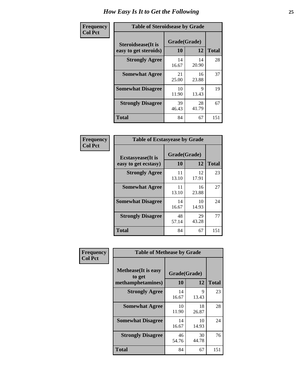| Frequency      |                                                     | <b>Table of Steroidsease by Grade</b> |              |     |  |  |  |  |  |  |  |
|----------------|-----------------------------------------------------|---------------------------------------|--------------|-----|--|--|--|--|--|--|--|
| <b>Col Pct</b> | <b>Steroidsease</b> (It is<br>easy to get steroids) | Grade(Grade)<br>10                    | <b>Total</b> |     |  |  |  |  |  |  |  |
|                | <b>Strongly Agree</b>                               | 14<br>16.67                           | 14<br>20.90  | 28  |  |  |  |  |  |  |  |
|                | <b>Somewhat Agree</b>                               | 21<br>25.00                           | 16<br>23.88  | 37  |  |  |  |  |  |  |  |
|                | <b>Somewhat Disagree</b>                            | 10<br>11.90                           | 9<br>13.43   | 19  |  |  |  |  |  |  |  |
|                | <b>Strongly Disagree</b>                            | 39<br>46.43                           | 28<br>41.79  | 67  |  |  |  |  |  |  |  |
|                | <b>Total</b>                                        | 84                                    | 67           | 151 |  |  |  |  |  |  |  |

| Frequency      | <b>Table of Ecstasyease by Grade</b>              |                    |              |     |  |  |  |  |  |  |
|----------------|---------------------------------------------------|--------------------|--------------|-----|--|--|--|--|--|--|
| <b>Col Pct</b> | <b>Ecstasyease</b> (It is<br>easy to get ecstasy) | Grade(Grade)<br>10 | <b>Total</b> |     |  |  |  |  |  |  |
|                | <b>Strongly Agree</b>                             | 11<br>13.10        | 12<br>17.91  | 23  |  |  |  |  |  |  |
|                | <b>Somewhat Agree</b>                             | 11<br>13.10        | 16<br>23.88  | 27  |  |  |  |  |  |  |
|                | <b>Somewhat Disagree</b>                          | 14<br>16.67        | 10<br>14.93  | 24  |  |  |  |  |  |  |
|                | <b>Strongly Disagree</b>                          | 48<br>57.14        | 29<br>43.28  | 77  |  |  |  |  |  |  |
|                | <b>Total</b>                                      | 84                 | 67           | 151 |  |  |  |  |  |  |

| Frequency      | <b>Table of Methease by Grade</b>                          |                    |             |              |
|----------------|------------------------------------------------------------|--------------------|-------------|--------------|
| <b>Col Pct</b> | <b>Methease</b> (It is easy<br>to get<br>methamphetamines) | Grade(Grade)<br>10 | 12          | <b>Total</b> |
|                |                                                            |                    |             |              |
|                | <b>Strongly Agree</b>                                      | 14<br>16.67        | 9<br>13.43  | 23           |
|                | <b>Somewhat Agree</b>                                      | 10<br>11.90        | 18<br>26.87 | 28           |
|                | <b>Somewhat Disagree</b>                                   | 14<br>16.67        | 10<br>14.93 | 24           |
|                | <b>Strongly Disagree</b>                                   | 46<br>54.76        | 30<br>44.78 | 76           |
|                | <b>Total</b>                                               | 84                 | 67          | 151          |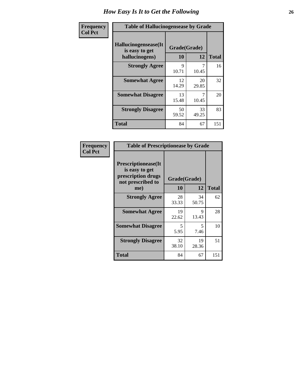| <b>Frequency</b> | <b>Table of Hallucinogensease by Grade</b>               |                    |             |              |  |  |  |  |  |  |
|------------------|----------------------------------------------------------|--------------------|-------------|--------------|--|--|--|--|--|--|
| <b>Col Pct</b>   | Hallucinogensease(It<br>is easy to get<br>hallucinogens) | Grade(Grade)<br>10 | 12          | <b>Total</b> |  |  |  |  |  |  |
|                  | <b>Strongly Agree</b>                                    | Q<br>10.71         | 7<br>10.45  | 16           |  |  |  |  |  |  |
|                  | <b>Somewhat Agree</b>                                    | 12<br>14.29        | 20<br>29.85 | 32           |  |  |  |  |  |  |
|                  | <b>Somewhat Disagree</b>                                 | 13<br>15.48        | 7<br>10.45  | 20           |  |  |  |  |  |  |
|                  | <b>Strongly Disagree</b>                                 | 50<br>59.52        | 33<br>49.25 | 83           |  |  |  |  |  |  |
|                  | <b>Total</b>                                             | 84                 | 67          | 151          |  |  |  |  |  |  |

| Frequency<br>Col Pct |
|----------------------|
|                      |

| <b>Table of Prescriptionease by Grade</b>                                                |              |             |              |  |  |  |  |  |  |
|------------------------------------------------------------------------------------------|--------------|-------------|--------------|--|--|--|--|--|--|
| <b>Prescriptionease</b> (It<br>is easy to get<br>prescription drugs<br>not prescribed to | Grade(Grade) |             |              |  |  |  |  |  |  |
| me)                                                                                      | 10           | 12          | <b>Total</b> |  |  |  |  |  |  |
| <b>Strongly Agree</b>                                                                    | 28<br>33.33  | 34<br>50.75 | 62           |  |  |  |  |  |  |
| <b>Somewhat Agree</b>                                                                    | 19<br>22.62  | 9<br>13.43  | 28           |  |  |  |  |  |  |
| <b>Somewhat Disagree</b>                                                                 | 5.<br>5.95   | 5<br>7.46   | 10           |  |  |  |  |  |  |
| <b>Strongly Disagree</b>                                                                 | 32<br>38.10  | 19<br>28.36 | 51           |  |  |  |  |  |  |
| Total                                                                                    | 84           | 67          | 151          |  |  |  |  |  |  |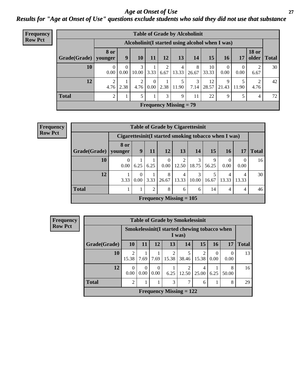### *Age at Onset of Use* **27** *Results for "Age at Onset of Use" questions exclude students who said they did not use that substance*

| <b>Frequency</b> | <b>Table of Grade by Alcoholinit</b> |             |                                                  |                        |                  |           |                               |            |             |                  |                  |                       |              |
|------------------|--------------------------------------|-------------|--------------------------------------------------|------------------------|------------------|-----------|-------------------------------|------------|-------------|------------------|------------------|-----------------------|--------------|
| <b>Row Pct</b>   |                                      |             | Alcoholinit (I started using alcohol when I was) |                        |                  |           |                               |            |             |                  |                  |                       |              |
|                  | Grade(Grade)   younger               | <b>8 or</b> | 9                                                | <b>10</b>              | 11               | 12        | 13                            | 14         | 15          | 16               | 17               | <b>18 or</b><br>older | <b>Total</b> |
|                  | 10                                   | 0.00        | $\Omega$<br>0.00                                 | 3<br>10.00             | 3.33             | റ<br>6.67 | 4<br>13.33                    | 8<br>26.67 | 10<br>33.33 | $\theta$<br>0.00 | $\theta$<br>0.00 | 6.67                  | 30           |
|                  | 12                                   | 4.76        | 2.38                                             | $\overline{2}$<br>4.76 | $\Omega$<br>0.00 | 2.38      | 5<br>11.90                    | 3<br>7.14  | 12<br>28.57 | 9<br>21.43       | 5<br>11.90       | 2<br>4.76             | 42           |
|                  | <b>Total</b>                         | 2           |                                                  | 5                      |                  | 3         | 9                             | 11         | 22          | 9                | 5                | 4                     | 72           |
|                  |                                      |             |                                                  |                        |                  |           | <b>Frequency Missing = 79</b> |            |             |                  |                  |                       |              |

| Frequency      | <b>Table of Grade by Cigarettesinit</b> |                                                       |                        |      |                  |                                |            |            |                  |                  |              |
|----------------|-----------------------------------------|-------------------------------------------------------|------------------------|------|------------------|--------------------------------|------------|------------|------------------|------------------|--------------|
| <b>Row Pct</b> |                                         | Cigarettesinit (I started smoking tobacco when I was) |                        |      |                  |                                |            |            |                  |                  |              |
|                | Grade(Grade)                            | 8 or<br>younger                                       | 9                      | 11   | 12               | 13                             | 14         | 15         | 16               | 17               | <b>Total</b> |
|                | 10                                      | $\Omega$<br>0.00                                      | 6.25                   | 6.25 | $\Omega$<br>0.00 | 2<br>12.50                     | 3<br>18.75 | 9<br>56.25 | $\Omega$<br>0.00 | $\theta$<br>0.00 | 16           |
|                | 12                                      | 3.33                                                  | 0<br>0.00 <sub>1</sub> | 3.33 | 8<br>26.67       | 4<br>13.33                     | 3<br>10.00 | 5<br>16.67 | 4<br>13.33       | 4<br>13.33       | 30           |
|                | <b>Total</b>                            |                                                       |                        | 2    | 8                | 6                              | 6          | 14         | 4                | $\overline{4}$   | 46           |
|                |                                         |                                                       |                        |      |                  | <b>Frequency Missing = 105</b> |            |            |                  |                  |              |

| <b>Frequency</b> |              |                         | <b>Table of Grade by Smokelessinit</b> |                  |                         |                                                         |            |           |            |              |  |  |
|------------------|--------------|-------------------------|----------------------------------------|------------------|-------------------------|---------------------------------------------------------|------------|-----------|------------|--------------|--|--|
| <b>Row Pct</b>   |              |                         |                                        |                  |                         | Smokelessinit (I started chewing tobacco when<br>I was) |            |           |            |              |  |  |
|                  | Grade(Grade) | 10                      | <b>11</b>                              | 12               | 13                      | 14                                                      | <b>15</b>  | <b>16</b> | 17         | <b>Total</b> |  |  |
|                  | <b>10</b>    | $\overline{2}$<br>15.38 | 7.69                                   | 7.69             | $\mathfrak{D}$<br>15.38 | 38.46                                                   | 2<br>15.38 | 0.00      | 0.00       | 13           |  |  |
|                  | 12           | $\Omega$<br>0.00        | $\theta$<br>0.00                       | $\Omega$<br>0.00 | 6.25                    | 12.50                                                   | 4<br>25.00 | 6.25      | 8<br>50.00 | 16           |  |  |
|                  | <b>Total</b> | $\overline{c}$          |                                        |                  | 3                       |                                                         | 6          |           | 8          | 29           |  |  |
|                  |              |                         |                                        |                  |                         | Frequency Missing $= 122$                               |            |           |            |              |  |  |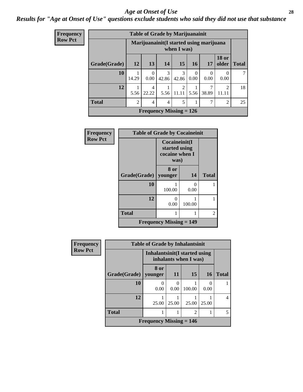#### *Age at Onset of Use* **28**

### *Results for "Age at Onset of Use" questions exclude students who said they did not use that substance*

| <b>Frequency</b> |              |                |                  | <b>Table of Grade by Marijuanainit</b> |                        |                  |                                          |                         |              |
|------------------|--------------|----------------|------------------|----------------------------------------|------------------------|------------------|------------------------------------------|-------------------------|--------------|
| <b>Row Pct</b>   |              |                |                  |                                        | when I was)            |                  | Marijuanainit (I started using marijuana |                         |              |
|                  | Grade(Grade) | 12             | 13 <sup>1</sup>  | 14                                     | 15 <sup>1</sup>        | <b>16</b>        | <b>17</b>                                | <b>18 or</b><br>older   | <b>Total</b> |
|                  | 10           | 14.29          | $\Omega$<br>0.00 | $\mathcal{F}$<br>42.86                 | $\mathcal{F}$<br>42.86 | $\Omega$<br>0.00 | $\Omega$<br>0.00                         | $\theta$<br>0.00        | 7            |
|                  | 12           | 5.56           | 4<br>22.22       | 5.56                                   | 2<br>11.11             | 5.56             | 7<br>38.89                               | $\overline{2}$<br>11.11 | 18           |
|                  | <b>Total</b> | $\mathfrak{D}$ | 4                | 4                                      | 5                      |                  | 7                                        | $\mathfrak{D}$          | 25           |
|                  |              |                |                  | Frequency Missing $= 126$              |                        |                  |                                          |                         |              |

| Frequency      | <b>Table of Grade by Cocaineinit</b> |                                             |                                                          |              |  |  |
|----------------|--------------------------------------|---------------------------------------------|----------------------------------------------------------|--------------|--|--|
| <b>Row Pct</b> |                                      |                                             | Cocaineinit(I<br>started using<br>cocaine when I<br>was) |              |  |  |
|                | Grade(Grade)   younger               | 8 or                                        | 14                                                       | <b>Total</b> |  |  |
|                | 10                                   | 100.00                                      | 0<br>0.00                                                |              |  |  |
|                | 12                                   | 0<br>0.00                                   | 100.00                                                   |              |  |  |
|                | <b>Total</b>                         |                                             |                                                          | 2            |  |  |
|                |                                      | <b>Frequency Missing <math>= 149</math></b> |                                                          |              |  |  |

| <b>Frequency</b> | <b>Table of Grade by Inhalantsinit</b> |                           |                                                         |                 |           |                |  |
|------------------|----------------------------------------|---------------------------|---------------------------------------------------------|-----------------|-----------|----------------|--|
| <b>Row Pct</b>   |                                        |                           | Inhalantsinit (I started using<br>inhalants when I was) |                 |           |                |  |
|                  | Grade(Grade)                           | 8 or<br>younger           | <b>11</b>                                               | 15 <sup>1</sup> | <b>16</b> | <b>Total</b>   |  |
|                  | 10                                     | 0.00                      | 0.00                                                    | 100.00          | 0<br>0.00 |                |  |
|                  | 12                                     | 25.00                     | 25.00                                                   | 25.00           | 25.00     | $\overline{4}$ |  |
|                  | <b>Total</b>                           |                           |                                                         | $\overline{c}$  |           | 5              |  |
|                  |                                        | Frequency Missing $= 146$ |                                                         |                 |           |                |  |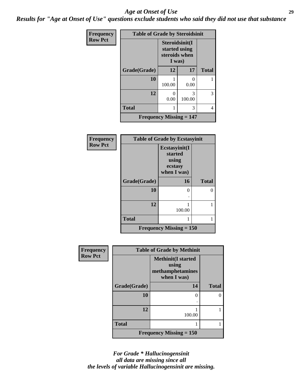#### *Age at Onset of Use* **29**

*Results for "Age at Onset of Use" questions exclude students who said they did not use that substance*

| Frequency      | <b>Table of Grade by Steroidsinit</b>       |                                                            |             |              |  |
|----------------|---------------------------------------------|------------------------------------------------------------|-------------|--------------|--|
| <b>Row Pct</b> |                                             | Steroidsinit(I<br>started using<br>steroids when<br>I was) |             |              |  |
|                | Grade(Grade)                                | 12                                                         | 17          | <b>Total</b> |  |
|                | 10                                          | 100.00                                                     | 0.00        |              |  |
|                | 12                                          | ∩<br>0.00                                                  | 3<br>100.00 | 3            |  |
|                | <b>Total</b>                                |                                                            | 3           | 4            |  |
|                | <b>Frequency Missing <math>= 147</math></b> |                                                            |             |              |  |

| <b>Frequency</b> | <b>Table of Grade by Ecstasyinit</b> |                                                             |              |  |
|------------------|--------------------------------------|-------------------------------------------------------------|--------------|--|
| <b>Row Pct</b>   |                                      | Ecstasyinit(I<br>started<br>using<br>ecstasy<br>when I was) |              |  |
|                  | Grade(Grade)                         | <b>16</b>                                                   | <b>Total</b> |  |
|                  | 10                                   | 0                                                           | O            |  |
|                  |                                      |                                                             |              |  |
|                  | 12                                   | 100.00                                                      |              |  |
|                  | <b>Total</b>                         |                                                             |              |  |
|                  |                                      | Frequency Missing $= 150$                                   |              |  |

| <b>Frequency</b> | <b>Table of Grade by Methinit</b> |                                                                       |              |  |
|------------------|-----------------------------------|-----------------------------------------------------------------------|--------------|--|
| <b>Row Pct</b>   |                                   | <b>Methinit(I started</b><br>using<br>methamphetamines<br>when I was) |              |  |
|                  | Grade(Grade)                      | 14                                                                    | <b>Total</b> |  |
|                  | 10                                | 0                                                                     |              |  |
|                  | 12                                | 100.00                                                                |              |  |
|                  | <b>Total</b>                      |                                                                       |              |  |
|                  |                                   | <b>Frequency Missing <math>= 150</math></b>                           |              |  |

*For Grade \* Hallucinogensinit all data are missing since all the levels of variable Hallucinogensinit are missing.*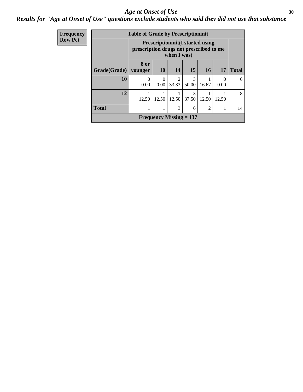#### Age at Onset of Use **30**

### *Results for "Age at Onset of Use" questions exclude students who said they did not use that substance*

| Frequency      | <b>Table of Grade by Prescriptioninit</b> |           |                                                                                                   |                                |            |                |           |              |
|----------------|-------------------------------------------|-----------|---------------------------------------------------------------------------------------------------|--------------------------------|------------|----------------|-----------|--------------|
| <b>Row Pct</b> |                                           |           | <b>Prescriptioninit(I started using</b><br>prescription drugs not prescribed to me<br>when I was) |                                |            |                |           |              |
|                | Grade(Grade)   younger                    | 8 or      | <b>10</b>                                                                                         | 14                             | 15         | <b>16</b>      | 17        | <b>Total</b> |
|                | 10                                        | 0<br>0.00 | 0<br>0.00                                                                                         | $\overline{2}$<br>33.33        | 3<br>50.00 | 16.67          | 0<br>0.00 | 6            |
|                | 12                                        | 12.50     | 12.50                                                                                             | 12.50                          | 3<br>37.50 | 12.50          | 12.50     | 8            |
|                | <b>Total</b>                              |           |                                                                                                   | 3                              | 6          | $\mathfrak{D}$ |           | 14           |
|                |                                           |           |                                                                                                   | <b>Frequency Missing = 137</b> |            |                |           |              |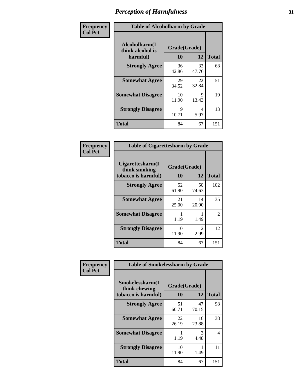| Frequency      | <b>Table of Alcoholharm by Grade</b>          |                    |             |              |
|----------------|-----------------------------------------------|--------------------|-------------|--------------|
| <b>Col Pct</b> | Alcoholharm(I<br>think alcohol is<br>harmful) | Grade(Grade)<br>10 | 12          | <b>Total</b> |
|                | <b>Strongly Agree</b>                         | 36<br>42.86        | 32<br>47.76 | 68           |
|                | <b>Somewhat Agree</b>                         | 29<br>34.52        | 22<br>32.84 | 51           |
|                | <b>Somewhat Disagree</b>                      | 10<br>11.90        | 9<br>13.43  | 19           |
|                | <b>Strongly Disagree</b>                      | 9<br>10.71         | 4<br>5.97   | 13           |
|                | <b>Total</b>                                  | 84                 | 67          | 151          |

| <b>Table of Cigarettesharm by Grade</b>                  |                    |                        |              |  |
|----------------------------------------------------------|--------------------|------------------------|--------------|--|
| Cigarettesharm(I<br>think smoking<br>tobacco is harmful) | Grade(Grade)<br>10 | 12                     | <b>Total</b> |  |
| <b>Strongly Agree</b>                                    | 52<br>61.90        | 50<br>74.63            | 102          |  |
| <b>Somewhat Agree</b>                                    | 21<br>25.00        | 14<br>20.90            | 35           |  |
| <b>Somewhat Disagree</b>                                 | 1<br>1.19          | 1.49                   | 2            |  |
| <b>Strongly Disagree</b>                                 | 10<br>11.90        | $\mathfrak{D}$<br>2.99 | 12           |  |
| <b>Total</b>                                             | 84                 | 67                     | 151          |  |

| Frequency      | <b>Table of Smokelessharm by Grade</b>                  |                    |             |              |
|----------------|---------------------------------------------------------|--------------------|-------------|--------------|
| <b>Col Pct</b> | Smokelessharm(I<br>think chewing<br>tobacco is harmful) | Grade(Grade)<br>10 | 12          | <b>Total</b> |
|                | <b>Strongly Agree</b>                                   | 51<br>60.71        | 47<br>70.15 | 98           |
|                | <b>Somewhat Agree</b>                                   | 22<br>26.19        | 16<br>23.88 | 38           |
|                | <b>Somewhat Disagree</b>                                | 1.19               | 3<br>4.48   | 4            |
|                | <b>Strongly Disagree</b>                                | 10<br>11.90        | 1.49        | 11           |
|                | <b>Total</b>                                            | 84                 | 67          | 151          |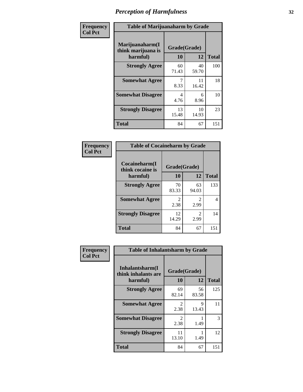| Frequency      | <b>Table of Marijuanaharm by Grade</b>            |                    |             |              |
|----------------|---------------------------------------------------|--------------------|-------------|--------------|
| <b>Col Pct</b> | Marijuanaharm(I<br>think marijuana is<br>harmful) | Grade(Grade)<br>10 | 12          | <b>Total</b> |
|                | <b>Strongly Agree</b>                             | 60<br>71.43        | 40<br>59.70 | 100          |
|                | <b>Somewhat Agree</b>                             | 7<br>8.33          | 11<br>16.42 | 18           |
|                | <b>Somewhat Disagree</b>                          | 4<br>4.76          | 6<br>8.96   | 10           |
|                | <b>Strongly Disagree</b>                          | 13<br>15.48        | 10<br>14.93 | 23           |
|                | <b>Total</b>                                      | 84                 | 67          | 151          |

| <b>Table of Cocaineharm by Grade</b> |                       |                        |              |  |  |
|--------------------------------------|-----------------------|------------------------|--------------|--|--|
| Cocaineharm(I<br>think cocaine is    | Grade(Grade)          |                        |              |  |  |
| harmful)                             | 10                    | 12                     | <b>Total</b> |  |  |
| <b>Strongly Agree</b>                | 70<br>83.33           | 63<br>94.03            | 133          |  |  |
| <b>Somewhat Agree</b>                | $\mathcal{L}$<br>2.38 | 2<br>2.99              | 4            |  |  |
| <b>Strongly Disagree</b>             | 12<br>14.29           | $\mathfrak{D}$<br>2.99 | 14           |  |  |
| <b>Total</b>                         | 84                    | 67                     | 151          |  |  |

| Frequency      | <b>Table of Inhalantsharm by Grade</b>              |                                     |                    |              |
|----------------|-----------------------------------------------------|-------------------------------------|--------------------|--------------|
| <b>Col Pct</b> | Inhalantsharm(I)<br>think inhalants are<br>harmful) | 10                                  | Grade(Grade)<br>12 | <b>Total</b> |
|                | <b>Strongly Agree</b>                               | 69<br>82.14                         | 56<br>83.58        | 125          |
|                | <b>Somewhat Agree</b>                               | $\mathcal{D}_{\mathcal{L}}$<br>2.38 | 9<br>13.43         | 11           |
|                | <b>Somewhat Disagree</b>                            | $\mathfrak{D}$<br>2.38              | 1.49               | 3            |
|                | <b>Strongly Disagree</b>                            | 11<br>13.10                         | 1.49               | 12           |
|                | <b>Total</b>                                        | 84                                  | 67                 | 151          |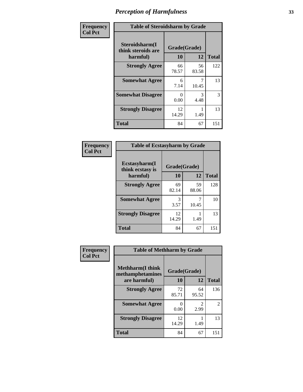| Frequency      | <b>Table of Steroidsharm by Grade</b>            |                    |             |              |
|----------------|--------------------------------------------------|--------------------|-------------|--------------|
| <b>Col Pct</b> | Steroidsharm(I<br>think steroids are<br>harmful) | Grade(Grade)<br>10 | 12          | <b>Total</b> |
|                | <b>Strongly Agree</b>                            | 66<br>78.57        | 56<br>83.58 | 122          |
|                | <b>Somewhat Agree</b>                            | 6<br>7.14          | 10.45       | 13           |
|                | <b>Somewhat Disagree</b>                         | 0<br>0.00          | 3<br>4.48   | 3            |
|                | <b>Strongly Disagree</b>                         | 12<br>14.29        | 1.49        | 13           |
|                | <b>Total</b>                                     | 84                 | 67          | 151          |

| <b>Table of Ecstasyharm by Grade</b> |              |             |              |  |  |
|--------------------------------------|--------------|-------------|--------------|--|--|
| Ecstasyharm(I<br>think ecstasy is    | Grade(Grade) |             |              |  |  |
| harmful)                             | 10           | 12          | <b>Total</b> |  |  |
| <b>Strongly Agree</b>                | 69<br>82.14  | 59<br>88.06 | 128          |  |  |
| <b>Somewhat Agree</b>                | 3<br>3.57    | 7<br>10.45  | 10           |  |  |
| <b>Strongly Disagree</b>             | 12<br>14.29  | 1.49        | 13           |  |  |
| <b>Total</b>                         | 84           | 67          | 151          |  |  |

| Frequency      |                                              | <b>Table of Methharm by Grade</b> |                       |                |  |
|----------------|----------------------------------------------|-----------------------------------|-----------------------|----------------|--|
| <b>Col Pct</b> | <b>Methharm</b> (I think<br>methamphetamines | Grade(Grade)                      |                       |                |  |
|                | are harmful)                                 | 10                                | 12                    | <b>Total</b>   |  |
|                | <b>Strongly Agree</b>                        | 72<br>85.71                       | 64<br>95.52           | 136            |  |
|                | <b>Somewhat Agree</b>                        | $\mathcal{O}$<br>0.00             | $\mathcal{D}$<br>2.99 | $\overline{2}$ |  |
|                | <b>Strongly Disagree</b>                     | 12<br>14.29                       | 1.49                  | 13             |  |
|                | <b>Total</b>                                 | 84                                | 67                    | 151            |  |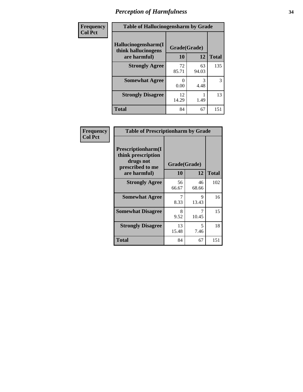| Frequency | <b>Table of Hallucinogensharm by Grade</b> |              |             |              |
|-----------|--------------------------------------------|--------------|-------------|--------------|
| Col Pct   | Hallucinogensharm(I<br>think hallucinogens | Grade(Grade) |             |              |
|           | are harmful)                               | 10           | 12          | <b>Total</b> |
|           | <b>Strongly Agree</b>                      | 72<br>85.71  | 63<br>94.03 | 135          |
|           | <b>Somewhat Agree</b>                      | 0.00         | 3<br>4.48   | 3            |
|           | <b>Strongly Disagree</b>                   | 12<br>14.29  | 1.49        | 13           |
|           | <b>Total</b>                               | 84           | 67          | 151          |

| Frequency      | <b>Table of Prescriptionharm by Grade</b>                                                 |                    |            |              |
|----------------|-------------------------------------------------------------------------------------------|--------------------|------------|--------------|
| <b>Col Pct</b> | Prescriptionharm(I<br>think prescription<br>drugs not<br>prescribed to me<br>are harmful) | Grade(Grade)<br>10 | 12         | <b>Total</b> |
|                | <b>Strongly Agree</b>                                                                     | 56                 | 46         | 102          |
|                | <b>Somewhat Agree</b>                                                                     | 66.67<br>7         | 68.66<br>9 | 16           |
|                |                                                                                           | 8.33               | 13.43      |              |
|                | <b>Somewhat Disagree</b>                                                                  | 8<br>9.52          | 10.45      | 15           |
|                | <b>Strongly Disagree</b>                                                                  | 13<br>15.48        | 5<br>7.46  | 18           |
|                | Total                                                                                     | 84                 | 67         | 151          |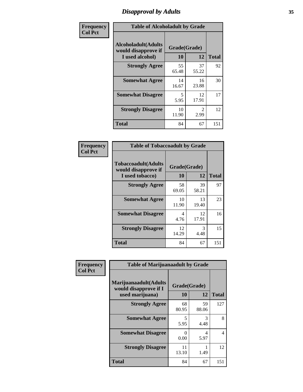# *Disapproval by Adults* **35**

| Frequency      | <b>Table of Alcoholadult by Grade</b>                                 |                    |                        |              |
|----------------|-----------------------------------------------------------------------|--------------------|------------------------|--------------|
| <b>Col Pct</b> | <b>Alcoholadult</b> (Adults<br>would disapprove if<br>I used alcohol) | Grade(Grade)<br>10 | 12                     | <b>Total</b> |
|                | <b>Strongly Agree</b>                                                 | 55<br>65.48        | 37<br>55.22            | 92           |
|                | <b>Somewhat Agree</b>                                                 | 14<br>16.67        | 16<br>23.88            | 30           |
|                | <b>Somewhat Disagree</b>                                              | 5<br>5.95          | 12<br>17.91            | 17           |
|                | <b>Strongly Disagree</b>                                              | 10<br>11.90        | $\mathfrak{D}$<br>2.99 | 12           |
|                | <b>Total</b>                                                          | 84                 | 67                     | 151          |

| <b>Table of Tobaccoadult by Grade</b>                                 |                    |             |              |  |
|-----------------------------------------------------------------------|--------------------|-------------|--------------|--|
| <b>Tobaccoadult</b> (Adults<br>would disapprove if<br>I used tobacco) | Grade(Grade)<br>10 | 12          | <b>Total</b> |  |
| <b>Strongly Agree</b>                                                 | 58<br>69.05        | 39<br>58.21 | 97           |  |
| <b>Somewhat Agree</b>                                                 | 10<br>11.90        | 13<br>19.40 | 23           |  |
| <b>Somewhat Disagree</b>                                              | 4<br>4.76          | 12<br>17.91 | 16           |  |
| <b>Strongly Disagree</b>                                              | 12<br>14.29        | 3<br>4.48   | 15           |  |
| Total                                                                 | 84                 | 67          | 151          |  |

| Frequency<br><b>Col Pct</b> | <b>Table of Marijuanaadult by Grade</b>                           |                                  |                       |              |
|-----------------------------|-------------------------------------------------------------------|----------------------------------|-----------------------|--------------|
|                             | Marijuanaadult(Adults<br>would disapprove if I<br>used marijuana) | Grade(Grade)<br>10               | 12                    | <b>Total</b> |
|                             | <b>Strongly Agree</b>                                             | 68<br>80.95                      | 59<br>88.06           | 127          |
|                             | <b>Somewhat Agree</b>                                             | $\overline{\phantom{0}}$<br>5.95 | $\mathcal{R}$<br>4.48 | 8            |
|                             | <b>Somewhat Disagree</b>                                          | 0<br>0.00                        | 4<br>5.97             | 4            |
|                             | <b>Strongly Disagree</b>                                          | 11<br>13.10                      | 1.49                  | 12           |
|                             | <b>Total</b>                                                      | 84                               | 67                    | 151          |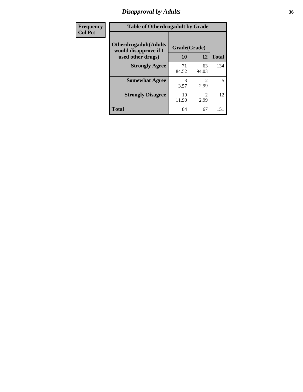# *Disapproval by Adults* **36**

| Frequency      | <b>Table of Otherdrugadult by Grade</b>                                     |                    |                                     |              |
|----------------|-----------------------------------------------------------------------------|--------------------|-------------------------------------|--------------|
| <b>Col Pct</b> | <b>Otherdrugadult</b> (Adults<br>would disapprove if I<br>used other drugs) | Grade(Grade)<br>10 | 12                                  | <b>Total</b> |
|                | <b>Strongly Agree</b>                                                       | 71<br>84.52        | 63<br>94.03                         | 134          |
|                | <b>Somewhat Agree</b>                                                       | 3<br>3.57          | 2.99                                | 5            |
|                | <b>Strongly Disagree</b>                                                    | 10<br>11.90        | $\mathcal{D}_{\mathcal{L}}$<br>2.99 | 12           |
|                | <b>Total</b>                                                                | 84                 | 67                                  | 151          |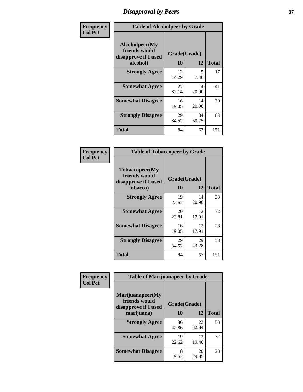## *Disapproval by Peers* **37**

| Frequency      | <b>Table of Alcoholpeer by Grade</b>                    |              |             |              |  |
|----------------|---------------------------------------------------------|--------------|-------------|--------------|--|
| <b>Col Pct</b> | Alcoholpeer(My<br>friends would<br>disapprove if I used | Grade(Grade) |             |              |  |
|                | alcohol)                                                | 10           | 12          | <b>Total</b> |  |
|                | <b>Strongly Agree</b>                                   | 12<br>14.29  | 5<br>7.46   | 17           |  |
|                | <b>Somewhat Agree</b>                                   | 27<br>32.14  | 14<br>20.90 | 41           |  |
|                | <b>Somewhat Disagree</b>                                | 16<br>19.05  | 14<br>20.90 | 30           |  |
|                | <b>Strongly Disagree</b>                                | 29<br>34.52  | 34<br>50.75 | 63           |  |
|                | Total                                                   | 84           | 67          | 151          |  |

| Frequency      | <b>Table of Tobaccopeer by Grade</b>                                |                    |             |              |
|----------------|---------------------------------------------------------------------|--------------------|-------------|--------------|
| <b>Col Pct</b> | Tobaccopeer(My<br>friends would<br>disapprove if I used<br>tobacco) | Grade(Grade)<br>10 | 12          | <b>Total</b> |
|                | <b>Strongly Agree</b>                                               | 19<br>22.62        | 14<br>20.90 | 33           |
|                | <b>Somewhat Agree</b>                                               | 20<br>23.81        | 12<br>17.91 | 32           |
|                | <b>Somewhat Disagree</b>                                            | 16<br>19.05        | 12<br>17.91 | 28           |
|                | <b>Strongly Disagree</b>                                            | 29<br>34.52        | 29<br>43.28 | 58           |
|                | Total                                                               | 84                 | 67          | 151          |

| Frequency      | <b>Table of Marijuanapeer by Grade</b>                    |              |             |              |
|----------------|-----------------------------------------------------------|--------------|-------------|--------------|
| <b>Col Pct</b> | Marijuanapeer(My<br>friends would<br>disapprove if I used | Grade(Grade) |             |              |
|                | marijuana)                                                | 10           | 12          | <b>Total</b> |
|                | <b>Strongly Agree</b>                                     | 36<br>42.86  | 22<br>32.84 | 58           |
|                | <b>Somewhat Agree</b>                                     | 19<br>22.62  | 13<br>19.40 | 32           |
|                | <b>Somewhat Disagree</b>                                  | 8<br>9.52    | 20<br>29.85 | 28           |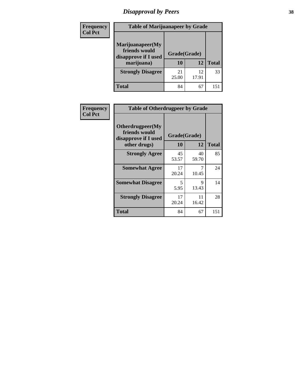# *Disapproval by Peers* **38**

| <b>Frequency</b> | <b>Table of Marijuanapeer by Grade</b>                                  |                           |             |              |  |
|------------------|-------------------------------------------------------------------------|---------------------------|-------------|--------------|--|
| <b>Col Pct</b>   | Marijuanapeer(My<br>friends would<br>disapprove if I used<br>marijuana) | Grade(Grade)<br><b>10</b> | 12          | <b>Total</b> |  |
|                  | <b>Strongly Disagree</b>                                                | 21<br>25.00               | 12<br>17.91 | 33           |  |
|                  | <b>Total</b>                                                            | 84                        | 67          | 15           |  |

| Frequency      | <b>Table of Otherdrugpeer by Grade</b>                                    |                    |             |              |
|----------------|---------------------------------------------------------------------------|--------------------|-------------|--------------|
| <b>Col Pct</b> | Otherdrugpeer(My<br>friends would<br>disapprove if I used<br>other drugs) | Grade(Grade)<br>10 | 12          | <b>Total</b> |
|                | <b>Strongly Agree</b>                                                     | 45<br>53.57        | 40<br>59.70 | 85           |
|                | <b>Somewhat Agree</b>                                                     | 17<br>20.24        | 7<br>10.45  | 24           |
|                | <b>Somewhat Disagree</b>                                                  | 5<br>5.95          | 9<br>13.43  | 14           |
|                | <b>Strongly Disagree</b>                                                  | 17<br>20.24        | 11<br>16.42 | 28           |
|                | <b>Total</b>                                                              | 84                 | 67          | 151          |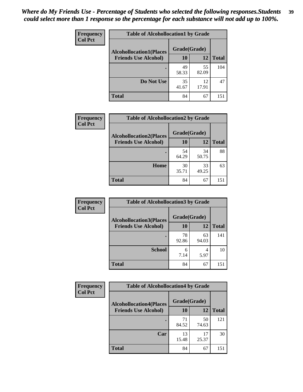| Frequency      | <b>Table of Alcohollocation1 by Grade</b> |              |             |              |
|----------------|-------------------------------------------|--------------|-------------|--------------|
| <b>Col Pct</b> | <b>Alcohollocation1(Places</b>            | Grade(Grade) |             |              |
|                | <b>Friends Use Alcohol)</b>               | 10           | 12          | <b>Total</b> |
|                |                                           | 49<br>58.33  | 55<br>82.09 | 104          |
|                | Do Not Use                                | 35<br>41.67  | 12<br>17.91 | 47           |
|                | <b>Total</b>                              | 84           | 67          | 151          |

| Frequency      | <b>Table of Alcohollocation2 by Grade</b>                     |                    |             |              |
|----------------|---------------------------------------------------------------|--------------------|-------------|--------------|
| <b>Col Pct</b> | <b>Alcohollocation2(Places</b><br><b>Friends Use Alcohol)</b> | Grade(Grade)<br>10 | <b>12</b>   | <b>Total</b> |
|                |                                                               | 54<br>64.29        | 34<br>50.75 | 88           |
|                | Home                                                          | 30<br>35.71        | 33<br>49.25 | 63           |
|                | <b>Total</b>                                                  | 84                 | 67          | 151          |

| Frequency<br><b>Col Pct</b> | <b>Table of Alcohollocation 3 by Grade</b>                    |                    |             |              |
|-----------------------------|---------------------------------------------------------------|--------------------|-------------|--------------|
|                             | <b>Alcohollocation3(Places</b><br><b>Friends Use Alcohol)</b> | Grade(Grade)<br>10 | 12          | <b>Total</b> |
|                             |                                                               | 78<br>92.86        | 63<br>94.03 | 141          |
|                             | <b>School</b>                                                 | 6<br>7.14          | 4<br>5.97   | 10           |
|                             | <b>Total</b>                                                  | 84                 | 67          | 151          |

| <b>Frequency</b> | <b>Table of Alcohollocation4 by Grade</b> |              |             |              |  |
|------------------|-------------------------------------------|--------------|-------------|--------------|--|
| <b>Col Pct</b>   | <b>Alcohollocation4(Places</b>            | Grade(Grade) |             |              |  |
|                  | <b>Friends Use Alcohol)</b>               | 10           | 12          | <b>Total</b> |  |
|                  |                                           | 71<br>84.52  | 50<br>74.63 | 121          |  |
|                  | Car                                       | 13<br>15.48  | 17<br>25.37 | 30           |  |
|                  | Total                                     | 84           | 67          | 151          |  |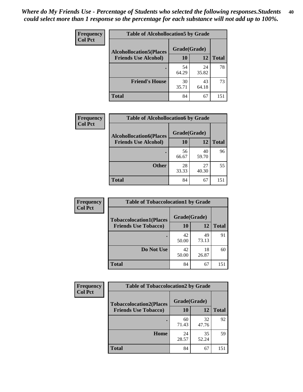| Frequency<br><b>Col Pct</b> | <b>Table of Alcohollocation5 by Grade</b> |              |             |              |  |
|-----------------------------|-------------------------------------------|--------------|-------------|--------------|--|
|                             | <b>Alcohollocation5(Places</b>            | Grade(Grade) |             |              |  |
|                             | <b>Friends Use Alcohol)</b>               | 10           | 12          | <b>Total</b> |  |
|                             |                                           | 54<br>64.29  | 24<br>35.82 | 78           |  |
|                             | <b>Friend's House</b>                     | 30<br>35.71  | 43<br>64.18 | 73           |  |
|                             | <b>Total</b>                              | 84           | 67          | 151          |  |

| <b>Frequency</b> | <b>Table of Alcohollocation6 by Grade</b> |              |             |              |  |  |
|------------------|-------------------------------------------|--------------|-------------|--------------|--|--|
| <b>Col Pct</b>   | <b>Alcohollocation6(Places</b>            | Grade(Grade) |             |              |  |  |
|                  | <b>Friends Use Alcohol)</b>               | 10           | 12          | <b>Total</b> |  |  |
|                  |                                           | 56<br>66.67  | 40<br>59.70 | 96           |  |  |
|                  | <b>Other</b>                              | 28<br>33.33  | 27<br>40.30 | 55           |  |  |
|                  | <b>Total</b>                              | 84           | 67          | 151          |  |  |

| Frequency      | <b>Table of Tobaccolocation1 by Grade</b> |              |             |              |
|----------------|-------------------------------------------|--------------|-------------|--------------|
| <b>Col Pct</b> | <b>Tobaccolocation1(Places</b>            | Grade(Grade) |             |              |
|                | <b>Friends Use Tobacco)</b>               | 10           | 12          | <b>Total</b> |
|                |                                           | 42<br>50.00  | 49<br>73.13 | 91           |
|                | Do Not Use                                | 42<br>50.00  | 18<br>26.87 | 60           |
|                | <b>Total</b>                              | 84           | 67          | 151          |

| <b>Frequency</b> | <b>Table of Tobaccolocation2 by Grade</b> |              |             |              |  |
|------------------|-------------------------------------------|--------------|-------------|--------------|--|
| <b>Col Pct</b>   | <b>Tobaccolocation2(Places</b>            | Grade(Grade) |             |              |  |
|                  | <b>Friends Use Tobacco)</b>               | 10           | 12          | <b>Total</b> |  |
|                  |                                           | 60<br>71.43  | 32<br>47.76 | 92           |  |
|                  | Home                                      | 24<br>28.57  | 35<br>52.24 | 59           |  |
|                  | <b>Total</b>                              | 84           | 67          | 151          |  |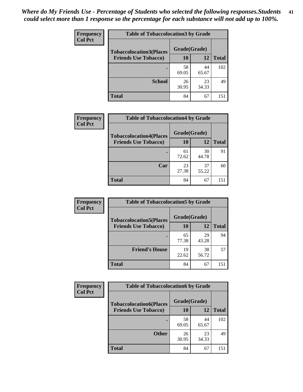| Frequency      | <b>Table of Tobaccolocation 3 by Grade</b> |              |             |              |  |
|----------------|--------------------------------------------|--------------|-------------|--------------|--|
| <b>Col Pct</b> | <b>Tobaccolocation3(Places</b>             | Grade(Grade) |             |              |  |
|                | <b>Friends Use Tobacco)</b>                | 10           | 12          | <b>Total</b> |  |
|                |                                            | 58<br>69.05  | 44<br>65.67 | 102          |  |
|                | <b>School</b>                              | 26<br>30.95  | 23<br>34.33 | 49           |  |
|                | <b>Total</b>                               | 84           | 67          | 151          |  |

| Frequency      | <b>Table of Tobaccolocation4 by Grade</b> |              |             |              |
|----------------|-------------------------------------------|--------------|-------------|--------------|
| <b>Col Pct</b> | <b>Tobaccolocation4(Places</b>            | Grade(Grade) |             |              |
|                | <b>Friends Use Tobacco)</b>               | 10           | 12          | <b>Total</b> |
|                |                                           | 61<br>72.62  | 30<br>44.78 | 91           |
|                | Car                                       | 23<br>27.38  | 37<br>55.22 | 60           |
|                | <b>Total</b>                              | 84           | 67          | 151          |

| <b>Frequency</b> | <b>Table of Tobaccolocation5 by Grade</b> |              |             |              |
|------------------|-------------------------------------------|--------------|-------------|--------------|
| <b>Col Pct</b>   | <b>Tobaccolocation5(Places</b>            | Grade(Grade) |             |              |
|                  | <b>Friends Use Tobacco)</b>               | 10           | <b>12</b>   | <b>Total</b> |
|                  |                                           | 65<br>77.38  | 29<br>43.28 | 94           |
|                  | <b>Friend's House</b>                     | 19<br>22.62  | 38<br>56.72 | 57           |
|                  | <b>Total</b>                              | 84           | 67          | 151          |

| <b>Frequency</b> | <b>Table of Tobaccolocation6 by Grade</b> |              |             |              |  |
|------------------|-------------------------------------------|--------------|-------------|--------------|--|
| <b>Col Pct</b>   | <b>Tobaccolocation6(Places</b>            | Grade(Grade) |             |              |  |
|                  | <b>Friends Use Tobacco)</b>               | 10           | 12          | <b>Total</b> |  |
|                  |                                           | 58<br>69.05  | 44<br>65.67 | 102          |  |
|                  | <b>Other</b>                              | 26<br>30.95  | 23<br>34.33 | 49           |  |
|                  | <b>Total</b>                              | 84           | 67          | 151          |  |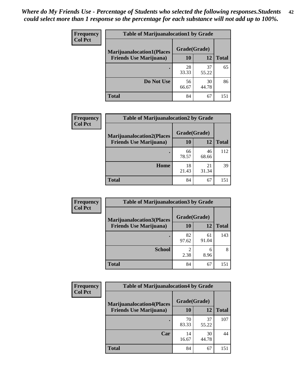| <b>Frequency</b> | <b>Table of Marijuanalocation1 by Grade</b> |              |             |              |
|------------------|---------------------------------------------|--------------|-------------|--------------|
| <b>Col Pct</b>   | <b>Marijuanalocation1(Places</b>            | Grade(Grade) |             |              |
|                  | <b>Friends Use Marijuana</b> )              | 10           | 12          | <b>Total</b> |
|                  |                                             | 28<br>33.33  | 37<br>55.22 | 65           |
|                  | Do Not Use                                  | 56<br>66.67  | 30<br>44.78 | 86           |
|                  | <b>Total</b>                                | 84           | 67          | 151          |

| <b>Frequency</b> | <b>Table of Marijuanalocation2 by Grade</b>                        |                    |             |              |
|------------------|--------------------------------------------------------------------|--------------------|-------------|--------------|
| <b>Col Pct</b>   | <b>Marijuanalocation2(Places</b><br><b>Friends Use Marijuana</b> ) | Grade(Grade)<br>10 | 12          | <b>Total</b> |
|                  |                                                                    | 66<br>78.57        | 46<br>68.66 | 112          |
|                  | Home                                                               | 18<br>21.43        | 21<br>31.34 | 39           |
|                  | <b>Total</b>                                                       | 84                 | 67          | 151          |

| <b>Frequency</b><br><b>Col Pct</b> | <b>Table of Marijuanalocation3 by Grade</b> |              |             |              |
|------------------------------------|---------------------------------------------|--------------|-------------|--------------|
|                                    | <b>Marijuanalocation3(Places</b>            | Grade(Grade) |             |              |
|                                    | <b>Friends Use Marijuana</b> )              | 10           | 12          | <b>Total</b> |
|                                    |                                             | 82<br>97.62  | 61<br>91.04 | 143          |
|                                    | <b>School</b>                               | 2.38         | 6<br>8.96   | 8            |
|                                    | <b>Total</b>                                | 84           | 67          | 151          |

| <b>Frequency</b> | <b>Table of Marijuanalocation4 by Grade</b> |              |             |              |  |
|------------------|---------------------------------------------|--------------|-------------|--------------|--|
| <b>Col Pct</b>   | <b>Marijuanalocation4(Places</b>            | Grade(Grade) |             |              |  |
|                  | <b>Friends Use Marijuana</b> )              | <b>10</b>    | 12          | <b>Total</b> |  |
|                  |                                             | 70<br>83.33  | 37<br>55.22 | 107          |  |
|                  | Car                                         | 14<br>16.67  | 30<br>44.78 | 44           |  |
|                  | <b>Total</b>                                | 84           | 67          | 151          |  |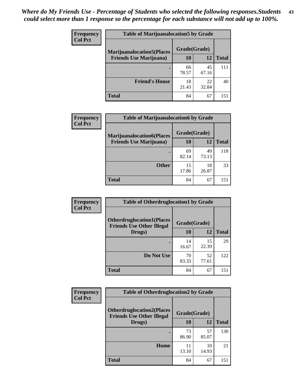| <b>Frequency</b> | <b>Table of Marijuanalocation5 by Grade</b> |              |             |              |
|------------------|---------------------------------------------|--------------|-------------|--------------|
| <b>Col Pct</b>   | <b>Marijuanalocation5(Places)</b>           | Grade(Grade) |             |              |
|                  | <b>Friends Use Marijuana</b> )              | 10           | 12          | <b>Total</b> |
|                  |                                             | 66<br>78.57  | 45<br>67.16 | 111          |
|                  | <b>Friend's House</b>                       | 18<br>21.43  | 22<br>32.84 | 40           |
|                  | <b>Total</b>                                | 84           | 67          | 151          |

| <b>Frequency</b> | <b>Table of Marijuanalocation6 by Grade</b>                        |                    |             |              |
|------------------|--------------------------------------------------------------------|--------------------|-------------|--------------|
| <b>Col Pct</b>   | <b>Marijuanalocation6(Places</b><br><b>Friends Use Marijuana</b> ) | Grade(Grade)<br>10 | 12          | <b>Total</b> |
|                  |                                                                    | 69<br>82.14        | 49<br>73.13 | 118          |
|                  | <b>Other</b>                                                       | 15<br>17.86        | 18<br>26.87 | 33           |
|                  | <b>Total</b>                                                       | 84                 | 67          | 151          |

| Frequency      | <b>Table of Otherdruglocation1 by Grade</b>                          |              |             |              |
|----------------|----------------------------------------------------------------------|--------------|-------------|--------------|
| <b>Col Pct</b> | <b>Otherdruglocation1(Places</b><br><b>Friends Use Other Illegal</b> | Grade(Grade) |             |              |
|                | Drugs)                                                               | <b>10</b>    | 12          | <b>Total</b> |
|                |                                                                      | 14<br>16.67  | 15<br>22.39 | 29           |
|                | Do Not Use                                                           | 70<br>83.33  | 52<br>77.61 | 122          |
|                | <b>Total</b>                                                         | 84           | 67          | 151          |

| <b>Frequency</b> | <b>Table of Otherdruglocation2 by Grade</b>                          |             |              |              |
|------------------|----------------------------------------------------------------------|-------------|--------------|--------------|
| <b>Col Pct</b>   | <b>Otherdruglocation2(Places</b><br><b>Friends Use Other Illegal</b> |             | Grade(Grade) |              |
|                  | Drugs)                                                               | 10          | 12           | <b>Total</b> |
|                  |                                                                      | 73<br>86.90 | 57<br>85.07  | 130          |
|                  | Home                                                                 | 11<br>13.10 | 10<br>14.93  | 21           |
|                  | <b>Total</b>                                                         | 84          | 67           | 151          |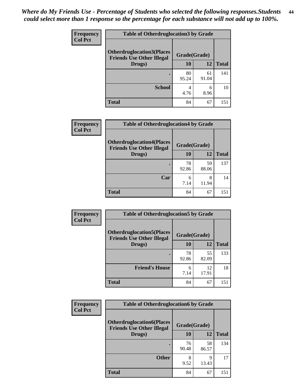| <b>Frequency</b> | <b>Table of Otherdruglocation 3 by Grade</b>                         |              |             |              |
|------------------|----------------------------------------------------------------------|--------------|-------------|--------------|
| <b>Col Pct</b>   | <b>Otherdruglocation3(Places</b><br><b>Friends Use Other Illegal</b> | Grade(Grade) |             |              |
|                  | Drugs)                                                               | 10           | 12          | <b>Total</b> |
|                  |                                                                      | 80<br>95.24  | 61<br>91.04 | 141          |
|                  | <b>School</b>                                                        | 4<br>4.76    | 6<br>8.96   | 10           |
|                  | <b>Total</b>                                                         | 84           | 67          | 151          |

| <b>Frequency</b> | <b>Table of Otherdruglocation4 by Grade</b>                          |              |             |              |
|------------------|----------------------------------------------------------------------|--------------|-------------|--------------|
| <b>Col Pct</b>   | <b>Otherdruglocation4(Places</b><br><b>Friends Use Other Illegal</b> | Grade(Grade) |             |              |
|                  | Drugs)                                                               | 10           | 12          | <b>Total</b> |
|                  |                                                                      | 78<br>92.86  | 59<br>88.06 | 137          |
|                  | Car                                                                  | 6<br>7.14    | 8<br>11.94  | 14           |
|                  | <b>Total</b>                                                         | 84           | 67          | 151          |

| Frequency      | <b>Table of Otherdruglocation5 by Grade</b>                          |              |             |              |
|----------------|----------------------------------------------------------------------|--------------|-------------|--------------|
| <b>Col Pct</b> | <b>Otherdruglocation5(Places</b><br><b>Friends Use Other Illegal</b> | Grade(Grade) |             |              |
|                | Drugs)                                                               | 10           | 12          | <b>Total</b> |
|                |                                                                      | 78<br>92.86  | 55<br>82.09 | 133          |
|                | <b>Friend's House</b>                                                | 6<br>7.14    | 12<br>17.91 | 18           |
|                | <b>Total</b>                                                         | 84           | 67          | 151          |

| <b>Frequency</b>                                                                       | <b>Table of Otherdruglocation6 by Grade</b> |              |             |              |
|----------------------------------------------------------------------------------------|---------------------------------------------|--------------|-------------|--------------|
| <b>Col Pct</b><br><b>Otherdruglocation6(Places</b><br><b>Friends Use Other Illegal</b> |                                             | Grade(Grade) |             |              |
|                                                                                        | Drugs)                                      | 10           | 12          | <b>Total</b> |
|                                                                                        |                                             | 76<br>90.48  | 58<br>86.57 | 134          |
|                                                                                        | <b>Other</b>                                | 8<br>9.52    | 9<br>13.43  | 17           |
|                                                                                        | <b>Total</b>                                | 84           | 67          | 151          |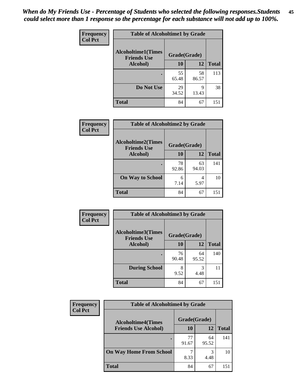| Frequency      | <b>Table of Alcoholtime1 by Grade</b>           |              |             |              |
|----------------|-------------------------------------------------|--------------|-------------|--------------|
| <b>Col Pct</b> | <b>Alcoholtime1(Times</b><br><b>Friends Use</b> | Grade(Grade) |             |              |
|                | Alcohol)                                        | <b>10</b>    | 12          | <b>Total</b> |
|                |                                                 | 55<br>65.48  | 58<br>86.57 | 113          |
|                | Do Not Use                                      | 29<br>34.52  | 9<br>13.43  | 38           |
|                | <b>Total</b>                                    | 84           | 67          | 151          |

| Frequency      | <b>Table of Alcoholtime2 by Grade</b>           |              |             |              |
|----------------|-------------------------------------------------|--------------|-------------|--------------|
| <b>Col Pct</b> | <b>Alcoholtime2(Times</b><br><b>Friends Use</b> | Grade(Grade) |             |              |
|                | Alcohol)                                        | 10           | 12          | <b>Total</b> |
|                |                                                 | 78<br>92.86  | 63<br>94.03 | 141          |
|                | <b>On Way to School</b>                         | 6<br>7.14    | 4<br>5.97   | 10           |
|                | <b>Total</b>                                    | 84           | 67          | 151          |

| Frequency      | <b>Table of Alcoholtime3 by Grade</b>           |              |             |              |
|----------------|-------------------------------------------------|--------------|-------------|--------------|
| <b>Col Pct</b> | <b>Alcoholtime3(Times</b><br><b>Friends Use</b> | Grade(Grade) |             |              |
|                | Alcohol)                                        | 10           | 12          | <b>Total</b> |
|                |                                                 | 76<br>90.48  | 64<br>95.52 | 140          |
|                | <b>During School</b>                            | 8<br>9.52    | 3<br>4.48   | 11           |
|                | <b>Total</b>                                    | 84           | 67          | 151          |

| <b>Frequency</b><br><b>Col Pct</b> | <b>Table of Alcoholtime4 by Grade</b> |              |             |              |
|------------------------------------|---------------------------------------|--------------|-------------|--------------|
|                                    | <b>Alcoholtime4(Times</b>             | Grade(Grade) |             |              |
|                                    | <b>Friends Use Alcohol)</b>           | 10           | 12          | <b>Total</b> |
|                                    |                                       | 77<br>91.67  | 64<br>95.52 | 141          |
|                                    | <b>On Way Home From School</b>        | 8.33         | 3<br>4.48   | 10           |
|                                    | <b>Total</b>                          | 84           | 67          | 151          |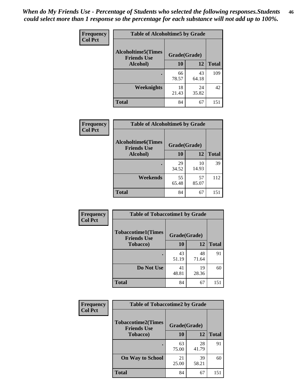*When do My Friends Use - Percentage of Students who selected the following responses.Students could select more than 1 response so the percentage for each substance will not add up to 100%.* **46**

| Frequency      | <b>Table of Alcoholtime5 by Grade</b>           |              |             |              |
|----------------|-------------------------------------------------|--------------|-------------|--------------|
| <b>Col Pct</b> | <b>Alcoholtime5(Times</b><br><b>Friends Use</b> | Grade(Grade) |             |              |
|                | Alcohol)                                        | 10           | 12          | <b>Total</b> |
|                |                                                 | 66<br>78.57  | 43<br>64.18 | 109          |
|                | Weeknights                                      | 18<br>21.43  | 24<br>35.82 | 42           |
|                | <b>Total</b>                                    | 84           | 67          | 151          |

| <b>Frequency</b> | <b>Table of Alcoholtime6 by Grade</b>           |              |             |              |
|------------------|-------------------------------------------------|--------------|-------------|--------------|
| <b>Col Pct</b>   | <b>Alcoholtime6(Times</b><br><b>Friends Use</b> | Grade(Grade) |             |              |
|                  | Alcohol)                                        | 10           | 12          | <b>Total</b> |
|                  |                                                 | 29<br>34.52  | 10<br>14.93 | 39           |
|                  | Weekends                                        | 55<br>65.48  | 57<br>85.07 | 112          |
|                  | <b>Total</b>                                    | 84           | 67          | 151          |

| Frequency      | <b>Table of Tobaccotime1 by Grade</b>           |              |             |              |
|----------------|-------------------------------------------------|--------------|-------------|--------------|
| <b>Col Pct</b> | <b>Tobaccotime1(Times</b><br><b>Friends Use</b> | Grade(Grade) |             |              |
|                | <b>Tobacco</b> )                                | 10           | 12          | <b>Total</b> |
|                | ٠                                               | 43<br>51.19  | 48<br>71.64 | 91           |
|                | Do Not Use                                      | 41<br>48.81  | 19<br>28.36 | 60           |
|                | <b>Total</b>                                    | 84           | 67          | 151          |

| <b>Frequency</b> | <b>Table of Tobaccotime2 by Grade</b>           |              |             |              |
|------------------|-------------------------------------------------|--------------|-------------|--------------|
| <b>Col Pct</b>   | <b>Tobaccotime2(Times</b><br><b>Friends Use</b> | Grade(Grade) |             |              |
|                  | <b>Tobacco</b> )                                | <b>10</b>    | 12          | <b>Total</b> |
|                  |                                                 | 63<br>75.00  | 28<br>41.79 | 91           |
|                  | <b>On Way to School</b>                         | 21<br>25.00  | 39<br>58.21 | 60           |
|                  | <b>Total</b>                                    | 84           | 67          | 151          |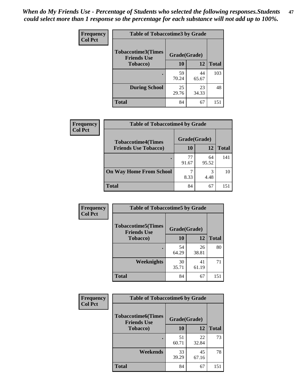| Frequency      |                                                 | <b>Table of Tobaccotime3 by Grade</b> |             |              |  |  |
|----------------|-------------------------------------------------|---------------------------------------|-------------|--------------|--|--|
| <b>Col Pct</b> | <b>Tobaccotime3(Times</b><br><b>Friends Use</b> | Grade(Grade)                          |             |              |  |  |
|                | <b>Tobacco</b> )                                | 10                                    | 12          | <b>Total</b> |  |  |
|                | ٠                                               | 59<br>70.24                           | 44<br>65.67 | 103          |  |  |
|                | <b>During School</b>                            | 25<br>29.76                           | 23<br>34.33 | 48           |  |  |
|                | <b>Total</b>                                    | 84                                    | 67          | 151          |  |  |

| Frequency<br><b>Col Pct</b> | <b>Table of Tobaccotime4 by Grade</b> |              |             |              |
|-----------------------------|---------------------------------------|--------------|-------------|--------------|
|                             | <b>Tobaccotime4(Times</b>             | Grade(Grade) |             |              |
|                             | <b>Friends Use Tobacco)</b>           | 10           | 12          | <b>Total</b> |
|                             |                                       | 77<br>91.67  | 64<br>95.52 | 141          |
|                             | <b>On Way Home From School</b>        | 8.33         | 3<br>4.48   | 10           |
|                             | <b>Total</b>                          | 84           | 67          | 151          |

| Frequency      | <b>Table of Tobaccotime5 by Grade</b>           |              |             |              |
|----------------|-------------------------------------------------|--------------|-------------|--------------|
| <b>Col Pct</b> | <b>Tobaccotime5(Times</b><br><b>Friends Use</b> | Grade(Grade) |             |              |
|                | <b>Tobacco</b> )                                | 10           | 12          | <b>Total</b> |
|                |                                                 | 54<br>64.29  | 26<br>38.81 | 80           |
|                | Weeknights                                      | 30<br>35.71  | 41<br>61.19 | 71           |
|                | <b>Total</b>                                    | 84           | 67          | 151          |

| <b>Frequency</b> | <b>Table of Tobaccotime6 by Grade</b>           |              |             |              |
|------------------|-------------------------------------------------|--------------|-------------|--------------|
| <b>Col Pct</b>   | <b>Tobaccotime6(Times</b><br><b>Friends Use</b> | Grade(Grade) |             |              |
|                  | <b>Tobacco</b> )                                | 10           | 12          | <b>Total</b> |
|                  |                                                 | 51<br>60.71  | 22<br>32.84 | 73           |
|                  | Weekends                                        | 33<br>39.29  | 45<br>67.16 | 78           |
|                  | <b>Total</b>                                    | 84           | 67          | 151          |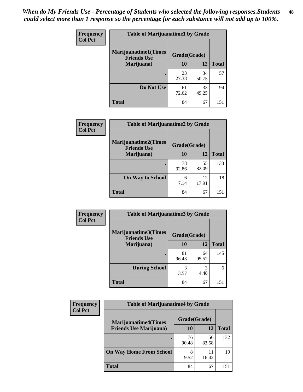| Frequency      | <b>Table of Marijuanatime1 by Grade</b>           |              |             |              |
|----------------|---------------------------------------------------|--------------|-------------|--------------|
| <b>Col Pct</b> | <b>Marijuanatime1(Times</b><br><b>Friends Use</b> | Grade(Grade) |             |              |
|                | Marijuana)                                        | 10           | 12          | <b>Total</b> |
|                |                                                   | 23<br>27.38  | 34<br>50.75 | 57           |
|                | Do Not Use                                        | 61<br>72.62  | 33<br>49.25 | 94           |
|                | <b>Total</b>                                      | 84           | 67          | 151          |

| Frequency      | <b>Table of Marijuanatime2 by Grade</b>           |              |             |              |
|----------------|---------------------------------------------------|--------------|-------------|--------------|
| <b>Col Pct</b> | <b>Marijuanatime2(Times</b><br><b>Friends Use</b> | Grade(Grade) |             |              |
|                | Marijuana)                                        | 10           | 12          | <b>Total</b> |
|                |                                                   | 78<br>92.86  | 55<br>82.09 | 133          |
|                | <b>On Way to School</b>                           | 6<br>7.14    | 12<br>17.91 | 18           |
|                | <b>Total</b>                                      | 84           | 67          | 151          |

| Frequency      | <b>Table of Marijuanatime3 by Grade</b>    |              |             |              |
|----------------|--------------------------------------------|--------------|-------------|--------------|
| <b>Col Pct</b> | Marijuanatime3(Times<br><b>Friends Use</b> | Grade(Grade) |             |              |
|                | Marijuana)                                 | 10           | 12          | <b>Total</b> |
|                |                                            | 81<br>96.43  | 64<br>95.52 | 145          |
|                | <b>During School</b>                       | 3<br>3.57    | 3<br>4.48   | 6            |
|                | <b>Total</b>                               | 84           | 67          | 151          |

| <b>Frequency</b> | <b>Table of Marijuanatime4 by Grade</b> |              |             |              |
|------------------|-----------------------------------------|--------------|-------------|--------------|
| <b>Col Pct</b>   | <b>Marijuanatime4(Times</b>             | Grade(Grade) |             |              |
|                  | <b>Friends Use Marijuana</b> )          | 10           | 12          | <b>Total</b> |
|                  |                                         | 76<br>90.48  | 56<br>83.58 | 132          |
|                  | <b>On Way Home From School</b>          | 8<br>9.52    | 11<br>16.42 | 19           |
|                  | <b>Total</b>                            | 84           | 67          | 151          |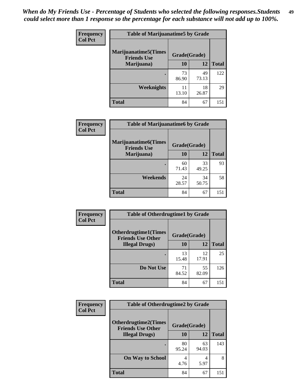| Frequency      | <b>Table of Marijuanatime5 by Grade</b>            |              |             |              |
|----------------|----------------------------------------------------|--------------|-------------|--------------|
| <b>Col Pct</b> | <b>Marijuanatime5</b> (Times<br><b>Friends Use</b> | Grade(Grade) |             |              |
|                | Marijuana)                                         | 10           | 12          | <b>Total</b> |
|                |                                                    | 73<br>86.90  | 49<br>73.13 | 122          |
|                | Weeknights                                         | 11<br>13.10  | 18<br>26.87 | 29           |
|                | <b>Total</b>                                       | 84           | 67          | 151          |

| Frequency      | <b>Table of Marijuanatime6 by Grade</b>           |              |             |              |
|----------------|---------------------------------------------------|--------------|-------------|--------------|
| <b>Col Pct</b> | <b>Marijuanatime6(Times</b><br><b>Friends Use</b> | Grade(Grade) |             |              |
|                | Marijuana)                                        | 10           | 12          | <b>Total</b> |
|                |                                                   | 60<br>71.43  | 33<br>49.25 | 93           |
|                | Weekends                                          | 24<br>28.57  | 34<br>50.75 | 58           |
|                | <b>Total</b>                                      | 84           | 67          | 151          |

| <b>Frequency</b> | <b>Table of Otherdrugtime1 by Grade</b>                  |              |             |              |
|------------------|----------------------------------------------------------|--------------|-------------|--------------|
| <b>Col Pct</b>   | <b>Otherdrugtime1</b> (Times<br><b>Friends Use Other</b> | Grade(Grade) |             |              |
|                  | <b>Illegal Drugs</b> )                                   | 10           | 12          | <b>Total</b> |
|                  |                                                          | 13<br>15.48  | 12<br>17.91 | 25           |
|                  | Do Not Use                                               | 71<br>84.52  | 55<br>82.09 | 126          |
|                  | Total                                                    | 84           | 67          | 151          |

| Frequency      | <b>Table of Otherdrugtime2 by Grade</b>                 |              |             |              |
|----------------|---------------------------------------------------------|--------------|-------------|--------------|
| <b>Col Pct</b> | <b>Otherdrugtime2(Times</b><br><b>Friends Use Other</b> | Grade(Grade) |             |              |
|                | <b>Illegal Drugs</b> )                                  | 10           | 12          | <b>Total</b> |
|                |                                                         | 80<br>95.24  | 63<br>94.03 | 143          |
|                | <b>On Way to School</b>                                 | 4<br>4.76    | 4<br>5.97   | 8            |
|                | <b>Total</b>                                            | 84           | 67          | 151          |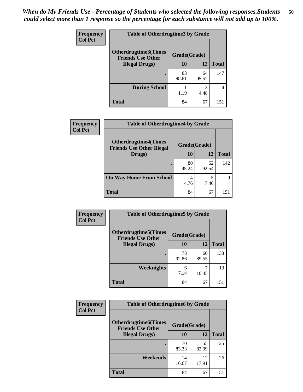| <b>Frequency</b> | <b>Table of Otherdrugtime3 by Grade</b>                          |             |             |              |
|------------------|------------------------------------------------------------------|-------------|-------------|--------------|
| <b>Col Pct</b>   | Otherdrugtime3(Times<br>Grade(Grade)<br><b>Friends Use Other</b> |             |             |              |
|                  | <b>Illegal Drugs</b> )                                           | 10          | 12          | <b>Total</b> |
|                  |                                                                  | 83<br>98.81 | 64<br>95.52 | 147          |
|                  | <b>During School</b>                                             | 1.19        | 3<br>4.48   | 4            |
|                  | Total                                                            | 84          | 67          | 151          |

| Frequency      | <b>Table of Otherdrugtime4 by Grade</b>                         |              |             |              |
|----------------|-----------------------------------------------------------------|--------------|-------------|--------------|
| <b>Col Pct</b> | <b>Otherdrugtime4(Times</b><br><b>Friends Use Other Illegal</b> | Grade(Grade) |             |              |
|                | Drugs)                                                          | 10           | 12          | <b>Total</b> |
|                | ٠                                                               | 80<br>95.24  | 62<br>92.54 | 142          |
|                | <b>On Way Home From School</b>                                  | 4<br>4.76    | 5<br>7.46   | q            |
|                | <b>Total</b>                                                    | 84           | 67          | 151          |

| Frequency      | <b>Table of Otherdrugtime5 by Grade</b>                                  |             |             |              |
|----------------|--------------------------------------------------------------------------|-------------|-------------|--------------|
| <b>Col Pct</b> | <b>Otherdrugtime5</b> (Times<br>Grade(Grade)<br><b>Friends Use Other</b> |             |             |              |
|                | <b>Illegal Drugs</b> )                                                   | 10          | 12          | <b>Total</b> |
|                |                                                                          | 78<br>92.86 | 60<br>89.55 | 138          |
|                | Weeknights                                                               | 6<br>7.14   | 10.45       | 13           |
|                | <b>Total</b>                                                             | 84          | 67          | 151          |

| Frequency      | <b>Table of Otherdrugtime6 by Grade</b>                                 |             |             |              |
|----------------|-------------------------------------------------------------------------|-------------|-------------|--------------|
| <b>Col Pct</b> | <b>Otherdrugtime6(Times</b><br>Grade(Grade)<br><b>Friends Use Other</b> |             |             |              |
|                | <b>Illegal Drugs</b> )                                                  | 10          | 12          | <b>Total</b> |
|                |                                                                         | 70<br>83.33 | 55<br>82.09 | 125          |
|                | Weekends                                                                | 14<br>16.67 | 12<br>17.91 | 26           |
|                | <b>Total</b>                                                            | 84          | 67          | 151          |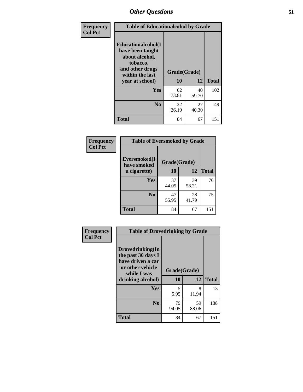| Frequency      | <b>Table of Educationalcohol by Grade</b>                                                                  |              |             |              |
|----------------|------------------------------------------------------------------------------------------------------------|--------------|-------------|--------------|
| <b>Col Pct</b> | Educationalcohol(I<br>have been taught<br>about alcohol,<br>tobacco,<br>and other drugs<br>within the last | Grade(Grade) |             |              |
|                | year at school)                                                                                            | 10           | 12          | <b>Total</b> |
|                | Yes                                                                                                        | 62<br>73.81  | 40<br>59.70 | 102          |
|                | N <sub>0</sub>                                                                                             | 22<br>26.19  | 27<br>40.30 | 49           |
|                | <b>Total</b>                                                                                               | 84           | 67          | 151          |

| Frequency      | <b>Table of Eversmoked by Grade</b> |              |             |              |
|----------------|-------------------------------------|--------------|-------------|--------------|
| <b>Col Pct</b> | Eversmoked(I<br>have smoked         | Grade(Grade) |             |              |
|                | a cigarette)                        | 10           | 12          | <b>Total</b> |
|                | Yes                                 | 37<br>44.05  | 39<br>58.21 | 76           |
|                | N <sub>0</sub>                      | 47<br>55.95  | 28<br>41.79 | 75           |
|                | <b>Total</b>                        | 84           | 67          | 151          |

| Frequency      | <b>Table of Drovedrinking by Grade</b>                                                                              |                    |             |              |
|----------------|---------------------------------------------------------------------------------------------------------------------|--------------------|-------------|--------------|
| <b>Col Pct</b> | Drovedrinking(In<br>the past 30 days I<br>have driven a car<br>or other vehicle<br>while I was<br>drinking alcohol) | Grade(Grade)<br>10 | 12          | <b>Total</b> |
|                | <b>Yes</b>                                                                                                          | 5<br>5.95          | 8<br>11.94  | 13           |
|                | N <sub>0</sub>                                                                                                      | 79<br>94.05        | 59<br>88.06 | 138          |
|                | <b>Total</b>                                                                                                        | 84                 | 67          | 151          |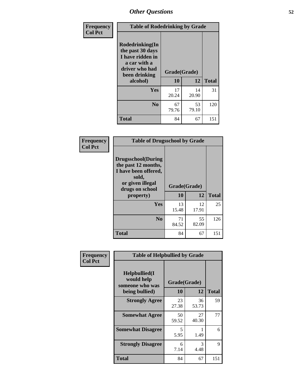| Frequency<br><b>Col Pct</b> | <b>Table of Rodedrinking by Grade</b>                                                                      |              |             |              |
|-----------------------------|------------------------------------------------------------------------------------------------------------|--------------|-------------|--------------|
|                             | Rodedrinking(In<br>the past 30 days<br>I have ridden in<br>a car with a<br>driver who had<br>been drinking | Grade(Grade) |             |              |
|                             | alcohol)                                                                                                   | 10           | 12          | <b>Total</b> |
|                             | Yes                                                                                                        | 17<br>20.24  | 14<br>20.90 | 31           |
|                             | N <sub>0</sub>                                                                                             | 67<br>79.76  | 53<br>79.10 | 120          |
|                             | <b>Total</b>                                                                                               | 84           | 67          | 151          |

#### **Frequency Col Pct**

| <b>Table of Drugsschool by Grade</b>                                                                                      |             |              |              |
|---------------------------------------------------------------------------------------------------------------------------|-------------|--------------|--------------|
| <b>Drugsschool</b> (During<br>the past 12 months,<br>I have been offered,<br>sold,<br>or given illegal<br>drugs on school |             | Grade(Grade) |              |
| property)                                                                                                                 | 10          | 12           | <b>Total</b> |
| Yes                                                                                                                       | 13<br>15.48 | 12<br>17.91  | 25           |
| $\bf No$                                                                                                                  | 71<br>84.52 | 55<br>82.09  | 126          |
| Total                                                                                                                     | 84          | 67           | 151          |

| Frequency      | <b>Table of Helpbullied by Grade</b>                 |              |             |              |
|----------------|------------------------------------------------------|--------------|-------------|--------------|
| <b>Col Pct</b> | $Helpb$ ullied $(I$<br>would help<br>someone who was | Grade(Grade) |             |              |
|                | being bullied)                                       | <b>10</b>    | 12          | <b>Total</b> |
|                | <b>Strongly Agree</b>                                | 23<br>27.38  | 36<br>53.73 | 59           |
|                | <b>Somewhat Agree</b>                                | 50<br>59.52  | 27<br>40.30 | 77           |
|                | <b>Somewhat Disagree</b>                             | 5<br>5.95    | 1.49        | 6            |
|                | <b>Strongly Disagree</b>                             | 6<br>7.14    | 3<br>4.48   | 9            |
|                | Total                                                | 84           | 67          | 151          |
|                |                                                      |              |             |              |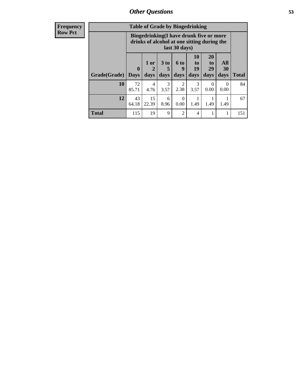| <b>Frequency</b><br>Row Pct |
|-----------------------------|
|                             |

| <b>Table of Grade by Bingedrinking</b> |                  |                                                                                                         |              |                          |                        |                        |                          |              |  |
|----------------------------------------|------------------|---------------------------------------------------------------------------------------------------------|--------------|--------------------------|------------------------|------------------------|--------------------------|--------------|--|
|                                        |                  | Bingedrinking(I have drunk five or more<br>drinks of alcohol at one sitting during the<br>last 30 days) |              |                          |                        |                        |                          |              |  |
| Grade(Grade)                           | 0<br><b>Days</b> | 1 or<br>2<br>days                                                                                       | 3 to<br>days | <b>6 to</b><br>9<br>days | 10<br>to<br>19<br>days | 20<br>to<br>29<br>days | All<br><b>30</b><br>days | <b>Total</b> |  |
| 10                                     | 72<br>85.71      | $\overline{4}$<br>4.76                                                                                  | 3<br>3.57    | 2<br>2.38                | 3<br>3.57              | $\Omega$<br>0.00       | $\theta$<br>0.00         | 84           |  |
| 12                                     | 43               | 15                                                                                                      | 6            | $\Omega$                 |                        |                        |                          | 67           |  |
|                                        | 64.18            | 22.39                                                                                                   | 8.96         | 0.00                     | 1.49                   | 1.49                   | 1.49                     |              |  |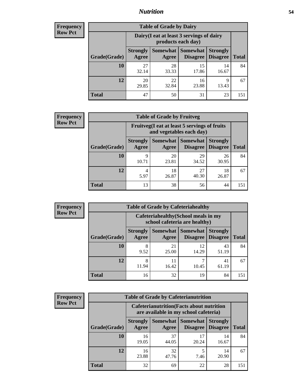### *Nutrition* **54**

| <b>Frequency</b><br>Row Pct |
|-----------------------------|
|                             |

| <b>Table of Grade by Dairy</b> |                          |                                                                 |                             |                                    |              |  |  |
|--------------------------------|--------------------------|-----------------------------------------------------------------|-----------------------------|------------------------------------|--------------|--|--|
|                                |                          | Dairy (I eat at least 3 servings of dairy<br>products each day) |                             |                                    |              |  |  |
| Grade(Grade)                   | <b>Strongly</b><br>Agree | Somewhat  <br>Agree                                             | <b>Somewhat</b><br>Disagree | <b>Strongly</b><br><b>Disagree</b> | <b>Total</b> |  |  |
| 10                             | 27<br>32.14              | 28<br>33.33                                                     | 15<br>17.86                 | 14<br>16.67                        | 84           |  |  |
| 12                             | 20<br>29.85              | 22<br>32.84                                                     | 16<br>23.88                 | 9<br>13.43                         | 67           |  |  |
| <b>Total</b>                   | 47                       | 50                                                              | 31                          | 23                                 | 151          |  |  |

| <b>Frequency</b> |  |
|------------------|--|
| <b>Row Pct</b>   |  |

| y | <b>Table of Grade by Fruitveg</b> |                          |                                                                          |                             |                                    |              |  |  |  |
|---|-----------------------------------|--------------------------|--------------------------------------------------------------------------|-----------------------------|------------------------------------|--------------|--|--|--|
|   |                                   |                          | Fruitveg(I eat at least 5 servings of fruits<br>and vegetables each day) |                             |                                    |              |  |  |  |
|   | Grade(Grade)                      | <b>Strongly</b><br>Agree | Somewhat  <br>Agree                                                      | <b>Somewhat</b><br>Disagree | <b>Strongly</b><br><b>Disagree</b> | <b>Total</b> |  |  |  |
|   | <b>10</b>                         | Q<br>10.71               | 20<br>23.81                                                              | 29<br>34.52                 | 26<br>30.95                        | 84           |  |  |  |
|   | 12                                | 4<br>5.97                | 18<br>26.87                                                              | 27<br>40.30                 | 18<br>26.87                        | 67           |  |  |  |
|   | <b>Total</b>                      | 13                       | 38                                                                       | 56                          | 44                                 | 151          |  |  |  |

| <b>Frequency</b> | <b>Table of Grade by Cafeteriahealthy</b> |                          |                                                                       |                                      |                                    |              |  |  |
|------------------|-------------------------------------------|--------------------------|-----------------------------------------------------------------------|--------------------------------------|------------------------------------|--------------|--|--|
| <b>Row Pct</b>   |                                           |                          | Cafeteriahealthy (School meals in my<br>school cafeteria are healthy) |                                      |                                    |              |  |  |
|                  | Grade(Grade)                              | <b>Strongly</b><br>Agree | Agree                                                                 | Somewhat Somewhat<br><b>Disagree</b> | <b>Strongly</b><br><b>Disagree</b> | <b>Total</b> |  |  |
|                  | 10                                        | 8<br>9.52                | 21<br>25.00                                                           | 12<br>14.29                          | 43<br>51.19                        | 84           |  |  |
|                  | 12                                        | 8<br>11.94               | 11<br>16.42                                                           | 10.45                                | 41<br>61.19                        | 67           |  |  |
|                  | Total                                     | 16                       | 32                                                                    | 19                                   | 84                                 | 151          |  |  |

| <b>Frequency</b> |
|------------------|
| <b>Row Pct</b>   |

| <b>Table of Grade by Cafeterianutrition</b>                                               |                          |                     |                                    |                                    |              |  |  |
|-------------------------------------------------------------------------------------------|--------------------------|---------------------|------------------------------------|------------------------------------|--------------|--|--|
| <b>Cafeterianutrition</b> (Facts about nutrition<br>are available in my school cafeteria) |                          |                     |                                    |                                    |              |  |  |
| Grade(Grade)                                                                              | <b>Strongly</b><br>Agree | Somewhat  <br>Agree | <b>Somewhat</b><br><b>Disagree</b> | <b>Strongly</b><br><b>Disagree</b> | <b>Total</b> |  |  |
| 10                                                                                        | 16<br>19.05              | 37<br>44.05         | 17<br>20.24                        | 14<br>16.67                        | 84           |  |  |
| 12                                                                                        | 16<br>23.88              | 32<br>47.76         | 5<br>7.46                          | 14<br>20.90                        | 67           |  |  |
| Total                                                                                     | 32                       | 69                  | 22                                 | 28                                 | 151          |  |  |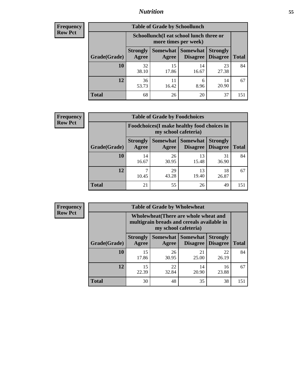### *Nutrition* **55**

| <b>Frequency</b> |
|------------------|
| Row Pct          |

| <b>Table of Grade by Schoollunch</b> |                          |                                                                 |                                 |                                    |              |  |  |  |
|--------------------------------------|--------------------------|-----------------------------------------------------------------|---------------------------------|------------------------------------|--------------|--|--|--|
|                                      |                          | Schoollunch(I eat school lunch three or<br>more times per week) |                                 |                                    |              |  |  |  |
| Grade(Grade)                         | <b>Strongly</b><br>Agree | Agree                                                           | Somewhat   Somewhat<br>Disagree | <b>Strongly</b><br><b>Disagree</b> | <b>Total</b> |  |  |  |
| 10                                   | 32<br>38.10              | 15<br>17.86                                                     | 14<br>16.67                     | 23<br>27.38                        | 84           |  |  |  |
| 12                                   | 36<br>53.73              | 11<br>16.42                                                     | 6<br>8.96                       | 14<br>20.90                        | 67           |  |  |  |
| <b>Total</b>                         | 68                       | 26                                                              | 20                              | 37                                 | 151          |  |  |  |

| <b>Frequency</b> |  |
|------------------|--|
| <b>Row Pct</b>   |  |

| V | <b>Table of Grade by Foodchoices</b> |                                                                     |                     |                             |                                    |              |  |  |
|---|--------------------------------------|---------------------------------------------------------------------|---------------------|-----------------------------|------------------------------------|--------------|--|--|
|   |                                      | Foodchoices (I make healthy food choices in<br>my school cafeteria) |                     |                             |                                    |              |  |  |
|   | Grade(Grade)                         | <b>Strongly</b><br>Agree                                            | Somewhat  <br>Agree | <b>Somewhat</b><br>Disagree | <b>Strongly</b><br><b>Disagree</b> | <b>Total</b> |  |  |
|   | 10                                   | 14<br>16.67                                                         | 26<br>30.95         | 13<br>15.48                 | 31<br>36.90                        | 84           |  |  |
|   | 12                                   | 10.45                                                               | 29<br>43.28         | 13<br>19.40                 | 18<br>26.87                        | 67           |  |  |
|   | <b>Total</b>                         | 21                                                                  | 55                  | 26                          | 49                                 | 151          |  |  |

| <b>Frequency</b> | <b>Table of Grade by Wholewheat</b> |                                                                                                             |             |                                   |                                    |              |  |
|------------------|-------------------------------------|-------------------------------------------------------------------------------------------------------------|-------------|-----------------------------------|------------------------------------|--------------|--|
| <b>Row Pct</b>   |                                     | Wholewheat (There are whole wheat and<br>multigrain breads and cereals available in<br>my school cafeteria) |             |                                   |                                    |              |  |
|                  | Grade(Grade)                        | <b>Strongly</b><br>Agree                                                                                    | Agree       | Somewhat   Somewhat  <br>Disagree | <b>Strongly</b><br><b>Disagree</b> | <b>Total</b> |  |
|                  | 10                                  | 15<br>17.86                                                                                                 | 26<br>30.95 | 21<br>25.00                       | 22<br>26.19                        | 84           |  |
|                  | 12                                  | 15<br>22.39                                                                                                 | 22<br>32.84 | 14<br>20.90                       | 16<br>23.88                        | 67           |  |
|                  | <b>Total</b>                        | 30                                                                                                          | 48          | 35                                | 38                                 | 151          |  |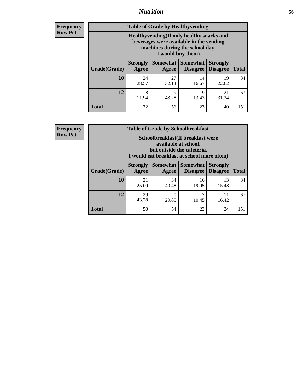### *Nutrition* **56**

**Frequency Row Pct**

| <b>Table of Grade by Healthyvending</b> |                                                                                                                                               |                          |                                    |                                    |              |  |  |
|-----------------------------------------|-----------------------------------------------------------------------------------------------------------------------------------------------|--------------------------|------------------------------------|------------------------------------|--------------|--|--|
|                                         | Healthyvending (If only healthy snacks and<br>beverages were available in the vending<br>machines during the school day,<br>I would buy them) |                          |                                    |                                    |              |  |  |
| Grade(Grade)                            | <b>Strongly</b><br>Agree                                                                                                                      | <b>Somewhat</b><br>Agree | <b>Somewhat</b><br><b>Disagree</b> | <b>Strongly</b><br><b>Disagree</b> | <b>Total</b> |  |  |
| 10                                      | 24<br>28.57                                                                                                                                   | 27<br>32.14              | 14<br>16.67                        | 19<br>22.62                        | 84           |  |  |
| 12                                      | 8<br>11.94                                                                                                                                    | 29<br>43.28              | 9<br>13.43                         | 21<br>31.34                        | 67           |  |  |
| <b>Total</b>                            | 32                                                                                                                                            | 56                       | 23                                 | 40                                 | 151          |  |  |

**Frequency Row Pct**

| <b>Table of Grade by Schoolbreakfast</b> |                                                                                                                                        |             |                                      |                                    |              |  |
|------------------------------------------|----------------------------------------------------------------------------------------------------------------------------------------|-------------|--------------------------------------|------------------------------------|--------------|--|
|                                          | Schoolbreakfast(If breakfast were<br>available at school,<br>but outside the cafeteria,<br>I would eat breakfast at school more often) |             |                                      |                                    |              |  |
| Grade(Grade)                             | <b>Strongly</b><br>Agree                                                                                                               | Agree       | Somewhat Somewhat<br><b>Disagree</b> | <b>Strongly</b><br><b>Disagree</b> | <b>Total</b> |  |
| 10                                       | 21<br>25.00                                                                                                                            | 34<br>40.48 | 16<br>19.05                          | 13<br>15.48                        | 84           |  |
| 12                                       | 29<br>43.28                                                                                                                            | 20<br>29.85 | 7<br>10.45                           | 11<br>16.42                        | 67           |  |
| <b>Total</b>                             | 50                                                                                                                                     | 54          | 23                                   | 24                                 | 151          |  |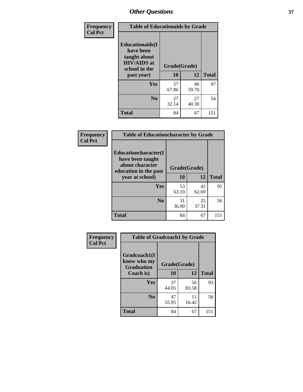| Frequency<br><b>Col Pct</b> | <b>Table of Educationaids by Grade</b>                                                                    |                    |             |              |
|-----------------------------|-----------------------------------------------------------------------------------------------------------|--------------------|-------------|--------------|
|                             | <b>Educationaids</b> (I<br>have been<br>taught about<br><b>HIV/AIDS</b> at<br>school in the<br>past year) | Grade(Grade)<br>10 | 12          | <b>Total</b> |
|                             | Yes                                                                                                       | 57<br>67.86        | 40<br>59.70 | 97           |
|                             | N <sub>0</sub>                                                                                            | 27<br>32.14        | 27<br>40.30 | 54           |
|                             | <b>Total</b>                                                                                              | 84                 | 67          | 151          |

| Frequency      | <b>Table of Educationcharacter by Grade</b>                                                  |              |             |              |
|----------------|----------------------------------------------------------------------------------------------|--------------|-------------|--------------|
| <b>Col Pct</b> | <b>Educationcharacter(I)</b><br>have been taught<br>about character<br>education in the past | Grade(Grade) |             |              |
|                | year at school)                                                                              | 10           | 12          | <b>Total</b> |
|                | Yes                                                                                          | 53<br>63.10  | 42<br>62.69 | 95           |
|                | N <sub>0</sub>                                                                               | 31<br>36.90  | 25<br>37.31 | 56           |
|                | <b>Total</b>                                                                                 | 84           | 67          | 151          |

| Frequency      | <b>Table of Gradcoach1 by Grade</b>              |              |             |              |
|----------------|--------------------------------------------------|--------------|-------------|--------------|
| <b>Col Pct</b> | Gradcoach1(I<br>know who my<br><b>Graduation</b> | Grade(Grade) |             |              |
|                | Coach is)                                        | 10           | 12          | <b>Total</b> |
|                | Yes                                              | 37<br>44.05  | 56<br>83.58 | 93           |
|                | N <sub>0</sub>                                   | 47<br>55.95  | 11<br>16.42 | 58           |
|                | <b>Total</b>                                     | 84           | 67          | 151          |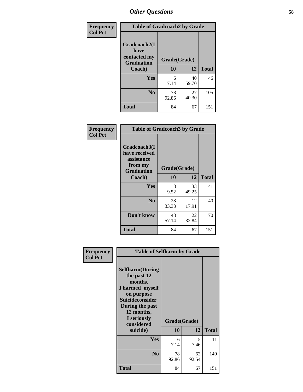| Frequency      | <b>Table of Gradcoach2 by Grade</b>       |              |             |              |
|----------------|-------------------------------------------|--------------|-------------|--------------|
| <b>Col Pct</b> |                                           |              |             |              |
|                | Gradcoach2(I                              |              |             |              |
|                | have<br>contacted my<br><b>Graduation</b> | Grade(Grade) |             |              |
|                | Coach)                                    | 10           | 12          | <b>Total</b> |
|                | Yes                                       | 6<br>7.14    | 40<br>59.70 | 46           |
|                | N <sub>0</sub>                            | 78<br>92.86  | 27<br>40.30 | 105          |
|                | <b>Total</b>                              | 84           | 67          | 151          |

| Frequency<br><b>Col Pct</b> | <b>Table of Gradcoach3 by Grade</b>                                         |              |             |              |
|-----------------------------|-----------------------------------------------------------------------------|--------------|-------------|--------------|
|                             | Gradcoach3(I<br>have received<br>assistance<br>from my<br><b>Graduation</b> | Grade(Grade) |             |              |
|                             | Coach)                                                                      | 10           | 12          | <b>Total</b> |
|                             | Yes                                                                         | 8<br>9.52    | 33<br>49.25 | 41           |
|                             | N <sub>0</sub>                                                              | 28<br>33.33  | 12<br>17.91 | 40           |
|                             | Don't know                                                                  | 48<br>57.14  | 22<br>32.84 | 70           |
|                             | <b>Total</b>                                                                | 84           | 67          | 151          |

|                             | <b>Table of Selfharm by Grade</b>                                                                                                                                          |              |             |              |  |  |
|-----------------------------|----------------------------------------------------------------------------------------------------------------------------------------------------------------------------|--------------|-------------|--------------|--|--|
| Frequency<br><b>Col Pct</b> | <b>Selfharm</b> (During<br>the past 12<br>months,<br>I harmed myself<br>on purpose<br><b>Suicideconsider</b><br>During the past<br>12 months,<br>I seriously<br>considered | Grade(Grade) |             |              |  |  |
|                             | suicide)                                                                                                                                                                   | 10           | 12          | <b>Total</b> |  |  |
|                             | Yes                                                                                                                                                                        | 6<br>7.14    | 5.<br>7.46  | 11           |  |  |
|                             | N <sub>0</sub>                                                                                                                                                             | 78<br>92.86  | 62<br>92.54 | 140          |  |  |
|                             | Total                                                                                                                                                                      | 84           | 67          | 151          |  |  |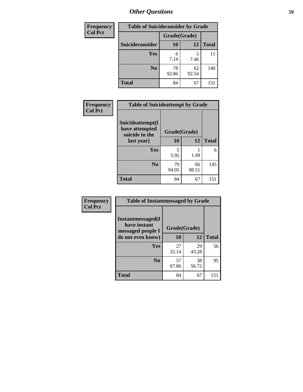| <b>Frequency</b> | <b>Table of Suicideconsider by Grade</b> |              |             |              |
|------------------|------------------------------------------|--------------|-------------|--------------|
| <b>Col Pct</b>   |                                          | Grade(Grade) |             |              |
|                  | Suicideconsider                          | <b>10</b>    | 12          | <b>Total</b> |
|                  | Yes                                      | 6<br>7.14    | 7.46        | 11           |
|                  | N <sub>0</sub>                           | 78<br>92.86  | 62<br>92.54 | 140          |
|                  | <b>Total</b>                             | 84           | 67          | 151          |

| Frequency      | <b>Table of Suicideattempt by Grade</b>              |              |             |              |
|----------------|------------------------------------------------------|--------------|-------------|--------------|
| <b>Col Pct</b> | Suicideattempt(I<br>have attempted<br>suicide in the | Grade(Grade) |             |              |
|                | last year)                                           | 10           | 12          | <b>Total</b> |
|                | Yes                                                  | 5<br>5.95    | 1.49        | 6            |
|                | $\bf No$                                             | 79<br>94.05  | 66<br>98.51 | 145          |
|                | <b>Total</b>                                         | 84           | 67          | 151          |

| Frequency      | <b>Table of Instantmessaged by Grade</b>                       |              |             |              |
|----------------|----------------------------------------------------------------|--------------|-------------|--------------|
| <b>Col Pct</b> | <b>Instantmessaged</b> (I<br>have instant<br>messaged people I | Grade(Grade) |             |              |
|                | do not even know)                                              | 10           | 12          | <b>Total</b> |
|                | Yes                                                            | 27<br>32.14  | 29<br>43.28 | 56           |
|                | N <sub>0</sub>                                                 | 57<br>67.86  | 38<br>56.72 | 95           |
|                | <b>Total</b>                                                   | 84           | 67          | 151          |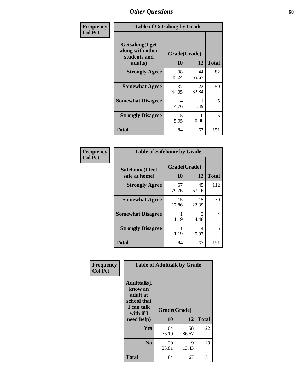| Frequency      | <b>Table of Getsalong by Grade</b>                          |              |             |              |  |  |  |
|----------------|-------------------------------------------------------------|--------------|-------------|--------------|--|--|--|
| <b>Col Pct</b> | <b>Getsalong</b> (I get<br>along with other<br>students and | Grade(Grade) |             |              |  |  |  |
|                | adults)                                                     | 10           | 12          | <b>Total</b> |  |  |  |
|                | <b>Strongly Agree</b>                                       | 38<br>45.24  | 44<br>65.67 | 82           |  |  |  |
|                | <b>Somewhat Agree</b>                                       | 37<br>44.05  | 22<br>32.84 | 59           |  |  |  |
|                | <b>Somewhat Disagree</b>                                    | 4<br>4.76    | 1.49        | 5            |  |  |  |
|                | <b>Strongly Disagree</b>                                    | 5<br>5.95    | 0<br>0.00   | 5            |  |  |  |
|                | <b>Total</b>                                                | 84           | 67          | 151          |  |  |  |

| Frequency      | <b>Table of Safehome by Grade</b> |                    |             |              |  |  |
|----------------|-----------------------------------|--------------------|-------------|--------------|--|--|
| <b>Col Pct</b> | Safehome(I feel<br>safe at home)  | Grade(Grade)<br>10 | 12          | <b>Total</b> |  |  |
|                | <b>Strongly Agree</b>             | 67<br>79.76        | 45<br>67.16 | 112          |  |  |
|                | <b>Somewhat Agree</b>             | 15<br>17.86        | 15<br>22.39 | 30           |  |  |
|                | <b>Somewhat Disagree</b>          | 1.19               | 3<br>4.48   | 4            |  |  |
|                | <b>Strongly Disagree</b>          | 1.19               | 4<br>5.97   | 5            |  |  |
|                | <b>Total</b>                      | 84                 | 67          | 151          |  |  |

| Frequency      | <b>Table of Adulttalk by Grade</b>                                                                |                    |             |              |  |  |  |
|----------------|---------------------------------------------------------------------------------------------------|--------------------|-------------|--------------|--|--|--|
| <b>Col Pct</b> | <b>Adulttalk(I</b><br>know an<br>adult at<br>school that<br>I can talk<br>with if I<br>need help) | Grade(Grade)<br>10 | 12          | <b>Total</b> |  |  |  |
|                | <b>Yes</b>                                                                                        | 64<br>76.19        | 58<br>86.57 | 122          |  |  |  |
|                | N <sub>0</sub>                                                                                    | 20<br>23.81        | 9<br>13.43  | 29           |  |  |  |
|                | <b>Total</b>                                                                                      | 84                 | 67          | 151          |  |  |  |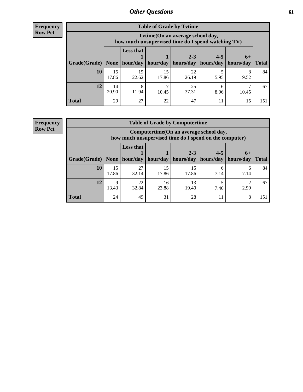**Frequency Row Pct**

| <b>Table of Grade by Tvtime</b> |             |                                                                                         |             |                                                         |         |       |              |  |  |  |
|---------------------------------|-------------|-----------------------------------------------------------------------------------------|-------------|---------------------------------------------------------|---------|-------|--------------|--|--|--|
|                                 |             | Tytime (On an average school day,<br>how much unsupervised time do I spend watching TV) |             |                                                         |         |       |              |  |  |  |
| Grade(Grade)   None             |             | <b>Less that</b><br>hour/day                                                            |             | $2 - 3$<br>hour/day   hours/day   hours/day   hours/day | $4 - 5$ | $6+$  | <b>Total</b> |  |  |  |
| 10                              | 15<br>17.86 | 19<br>22.62                                                                             | 15<br>17.86 | 22<br>26.19                                             | 5.95    | 9.52  | 84           |  |  |  |
| 12                              | 14<br>20.90 | 8<br>11.94                                                                              | 10.45       | 25<br>37.31                                             | 8.96    | 10.45 | 67           |  |  |  |
| <b>Total</b>                    | 29          | 27                                                                                      | 22          | 47                                                      |         | 15    | 151          |  |  |  |

**Frequency Row Pct**

| <b>Table of Grade by Computertime</b> |             |                                                                                                   |             |                        |                      |                   |              |  |  |  |
|---------------------------------------|-------------|---------------------------------------------------------------------------------------------------|-------------|------------------------|----------------------|-------------------|--------------|--|--|--|
|                                       |             | Computertime (On an average school day,<br>how much unsupervised time do I spend on the computer) |             |                        |                      |                   |              |  |  |  |
| Grade(Grade)                          | None        | <b>Less that</b><br>hour/day                                                                      | hour/day    | $2 - 3$<br>  hours/day | $4 - 5$<br>hours/day | $6+$<br>hours/day | <b>Total</b> |  |  |  |
| 10                                    | 15<br>17.86 | 27<br>32.14                                                                                       | 15<br>17.86 | 15<br>17.86            | 6<br>7.14            | 6<br>7.14         | 84           |  |  |  |
| 12                                    | Q<br>13.43  | 22<br>13<br>16<br>32.84<br>23.88<br>19.40<br>2.99<br>7.46                                         |             |                        |                      |                   |              |  |  |  |
| <b>Total</b>                          | 24          | 49                                                                                                | 31          | 28                     | 11                   | 8                 | 151          |  |  |  |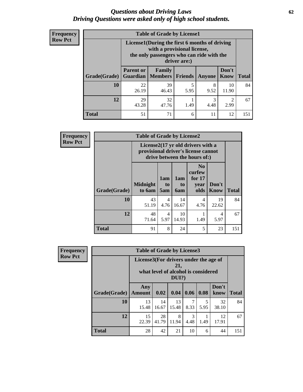#### *Questions about Driving Laws* **62** *Driving Questions were asked only of high school students.*

| <b>Frequency</b> |
|------------------|
| <b>Row Pct</b>   |

| <b>Table of Grade by License1</b> |                                                         |                                                                                                                                           |           |           |                      |              |  |  |  |
|-----------------------------------|---------------------------------------------------------|-------------------------------------------------------------------------------------------------------------------------------------------|-----------|-----------|----------------------|--------------|--|--|--|
|                                   |                                                         | License1(During the first 6 months of driving<br>with a provisional license,<br>the only passengers who can ride with the<br>driver are:) |           |           |                      |              |  |  |  |
| Grade(Grade)                      | <b>Parent or</b><br>Guardian                            | <b>Family</b><br>  Members                                                                                                                | Friends   | Anyone    | Don't<br><b>Know</b> | <b>Total</b> |  |  |  |
| 10                                | 22<br>26.19                                             | 39<br>46.43                                                                                                                               | 5<br>5.95 | 8<br>9.52 | 10<br>11.90          | 84           |  |  |  |
| 12                                | 29<br>3<br>32<br>43.28<br>4.48<br>2.99<br>1.49<br>47.76 |                                                                                                                                           |           |           |                      |              |  |  |  |
| <b>Total</b>                      | 51                                                      | 71                                                                                                                                        | 6         | 11        | 12                   | 151          |  |  |  |

| <b>Frequency</b> |              | <b>Table of Grade by License2</b>                                                                        |                        |                  |                                                      |                      |              |  |
|------------------|--------------|----------------------------------------------------------------------------------------------------------|------------------------|------------------|------------------------------------------------------|----------------------|--------------|--|
| <b>Row Pct</b>   |              | License2(17 yr old drivers with a<br>provisional driver's license cannot<br>drive between the hours of:) |                        |                  |                                                      |                      |              |  |
|                  | Grade(Grade) | <b>Midnight</b><br>to 6am                                                                                | 1am<br>to<br>5am       | 1am<br>to<br>6am | N <sub>0</sub><br>curfew<br>for $17$<br>year<br>olds | Don't<br><b>Know</b> | <b>Total</b> |  |
|                  | 10           | 43<br>51.19                                                                                              | $\overline{4}$<br>4.76 | 14<br>16.67      | 4<br>4.76                                            | 19<br>22.62          | 84           |  |
|                  | 12           | 48<br>71.64                                                                                              | $\overline{4}$<br>5.97 | 10<br>14.93      | 1.49                                                 | 4<br>5.97            | 67           |  |
|                  | <b>Total</b> | 91                                                                                                       | 8                      | 24               | 5                                                    | 23                   | 151          |  |

| <b>Frequency</b>                                                                                                  |              | <b>Table of Grade by License3</b> |             |             |           |           |               |              |  |  |
|-------------------------------------------------------------------------------------------------------------------|--------------|-----------------------------------|-------------|-------------|-----------|-----------|---------------|--------------|--|--|
| <b>Row Pct</b><br>License3(For drivers under the age of<br>21,<br>what level of alcohol is considered<br>$DUI$ ?) |              |                                   |             |             |           |           |               |              |  |  |
|                                                                                                                   | Grade(Grade) | Any<br><b>Amount</b>              | 0.02        | 0.04        | 0.06      | 0.08      | Don't<br>know | <b>Total</b> |  |  |
|                                                                                                                   | <b>10</b>    | 13<br>15.48                       | 14<br>16.67 | 13<br>15.48 | 7<br>8.33 | 5<br>5.95 | 32<br>38.10   | 84           |  |  |
|                                                                                                                   | 12           | 15<br>22.39                       | 28<br>41.79 | 8<br>11.94  | 3<br>4.48 | 1.49      | 12<br>17.91   | 67           |  |  |
|                                                                                                                   | <b>Total</b> | 28                                | 42          | 21          | 10        | 6         | 44            | 151          |  |  |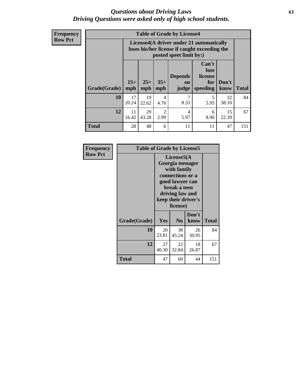#### *Questions about Driving Laws* **63** *Driving Questions were asked only of high school students.*

**Frequency Row Pct**

| <b>Table of Grade by License4</b> |             |                                                                                                                                                                                                                                                                                           |                        |           |           |             |     |  |  |
|-----------------------------------|-------------|-------------------------------------------------------------------------------------------------------------------------------------------------------------------------------------------------------------------------------------------------------------------------------------------|------------------------|-----------|-----------|-------------|-----|--|--|
|                                   |             | License4(A driver under 21 automatically<br>loses his/her license if caught exceeding the<br>posted speet limit by:)<br>Can't<br>lose<br>license<br><b>Depends</b><br>$15+$<br>$25+$<br>$35+$<br>Don't<br>for<br>$\mathbf{on}$<br>speeding<br><b>Total</b><br>mph<br>mph<br>know<br>judge |                        |           |           |             |     |  |  |
| <b>Grade(Grade)</b>               | mph         |                                                                                                                                                                                                                                                                                           |                        |           |           |             |     |  |  |
| 10                                | 17<br>20.24 | 19<br>22.62                                                                                                                                                                                                                                                                               | $\overline{4}$<br>4.76 | 7<br>8.33 | 5<br>5.95 | 32<br>38.10 | 84  |  |  |
| 12                                | 11<br>16.42 | 29<br>$\mathfrak{D}$<br>15<br>4<br>6<br>43.28<br>2.99<br>8.96<br>5.97<br>22.39                                                                                                                                                                                                            |                        |           |           |             |     |  |  |
| <b>Total</b>                      | 28          | 48                                                                                                                                                                                                                                                                                        | 6                      | 11        | 11        | 47          | 151 |  |  |

| Frequency      | <b>Table of Grade by License5</b> |                                                                                                                                                             |                |               |              |
|----------------|-----------------------------------|-------------------------------------------------------------------------------------------------------------------------------------------------------------|----------------|---------------|--------------|
| <b>Row Pct</b> |                                   | License5(A)<br>Georgia teenager<br>with family<br>connections or a<br>good lawyer can<br>break a teen<br>driving law and<br>keep their driver's<br>license) |                |               |              |
|                | Grade(Grade)                      | Yes                                                                                                                                                         | N <sub>0</sub> | Don't<br>know | <b>Total</b> |
|                | 10                                | 20<br>23.81                                                                                                                                                 | 38<br>45.24    | 26<br>30.95   | 84           |
|                | 12                                | 27<br>40.30                                                                                                                                                 | 22<br>32.84    | 18<br>26.87   | 67           |
|                | <b>Total</b>                      | 47                                                                                                                                                          | 60             | 44            | 151          |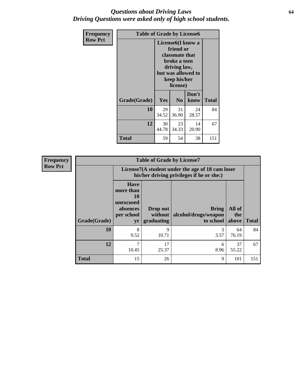#### *Questions about Driving Laws* **64** *Driving Questions were asked only of high school students.*

| <b>Frequency</b> |              | <b>Table of Grade by License6</b>                                                                                                               |                |               |              |  |
|------------------|--------------|-------------------------------------------------------------------------------------------------------------------------------------------------|----------------|---------------|--------------|--|
| <b>Row Pct</b>   |              | License <sub>6</sub> (I know a<br>friend or<br>classmate that<br>broke a teen<br>driving law,<br>but was allowed to<br>keep his/her<br>license) |                |               |              |  |
|                  | Grade(Grade) | <b>Yes</b>                                                                                                                                      | N <sub>0</sub> | Don't<br>know | <b>Total</b> |  |
|                  | 10           | 29<br>34.52                                                                                                                                     | 31<br>36.90    | 24<br>28.57   | 84           |  |
|                  | 12           | 30<br>23<br>14<br>44.78<br>34.33<br>20.90                                                                                                       |                |               | 67           |  |
|                  | <b>Total</b> | 59                                                                                                                                              | 54             | 38            | 151          |  |

| <b>Frequency</b> | <b>Table of Grade by License7</b> |                                                                                               |                                     |                                                   |                        |              |
|------------------|-----------------------------------|-----------------------------------------------------------------------------------------------|-------------------------------------|---------------------------------------------------|------------------------|--------------|
| <b>Row Pct</b>   |                                   | License7(A student under the age of 18 cam loser<br>his/her driving privileges if he or she:) |                                     |                                                   |                        |              |
|                  | Grade(Grade)                      | <b>Have</b><br>more than<br>10<br>unexcused<br>absences<br>per school<br>yr                   | Drop out<br>without  <br>graduating | <b>Bring</b><br>alcohol/drugs/weapon<br>to school | All of<br>the<br>above | <b>Total</b> |
|                  | 10                                | 8<br>9.52                                                                                     | 9<br>10.71                          | 3<br>3.57                                         | 64<br>76.19            | 84           |
|                  | 12                                | 7<br>10.45                                                                                    | 17<br>25.37                         | 6<br>8.96                                         | 37<br>55.22            | 67           |
|                  | <b>Total</b>                      | 15                                                                                            | 26                                  | 9                                                 | 101                    | 151          |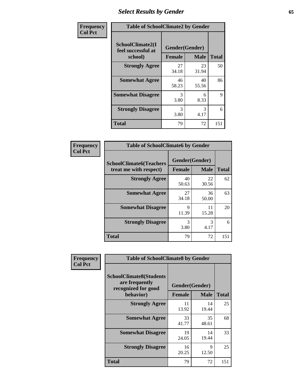## *Select Results by Gender* **65**

| Frequency      | <b>Table of SchoolClimate2 by Gender</b>          |                                 |             |              |
|----------------|---------------------------------------------------|---------------------------------|-------------|--------------|
| <b>Col Pct</b> | SchoolClimate2(I<br>feel successful at<br>school) | Gender(Gender)<br><b>Female</b> | <b>Male</b> | <b>Total</b> |
|                | <b>Strongly Agree</b>                             | 27<br>34.18                     | 23<br>31.94 | 50           |
|                | <b>Somewhat Agree</b>                             | 46<br>58.23                     | 40<br>55.56 | 86           |
|                | <b>Somewhat Disagree</b>                          | 3<br>3.80                       | 6<br>8.33   | 9            |
|                | <b>Strongly Disagree</b>                          | 3<br>3.80                       | 3<br>4.17   | 6            |
|                | <b>Total</b>                                      | 79                              | 72          | 151          |

| Frequency      | <b>Table of SchoolClimate6 by Gender</b>                 |                                 |             |              |  |
|----------------|----------------------------------------------------------|---------------------------------|-------------|--------------|--|
| <b>Col Pct</b> | <b>SchoolClimate6(Teachers</b><br>treat me with respect) | Gender(Gender)<br><b>Female</b> | <b>Male</b> | <b>Total</b> |  |
|                | <b>Strongly Agree</b>                                    | 40<br>50.63                     | 22<br>30.56 | 62           |  |
|                | <b>Somewhat Agree</b>                                    | 27<br>34.18                     | 36<br>50.00 | 63           |  |
|                | <b>Somewhat Disagree</b>                                 | 9<br>11.39                      | 11<br>15.28 | 20           |  |
|                | <b>Strongly Disagree</b>                                 | 3<br>3.80                       | 3<br>4.17   | 6            |  |
|                | <b>Total</b>                                             | 79                              | 72          | 151          |  |

| Frequency      | <b>Table of SchoolClimate8 by Gender</b>                                             |                                 |             |              |
|----------------|--------------------------------------------------------------------------------------|---------------------------------|-------------|--------------|
| <b>Col Pct</b> | <b>SchoolClimate8(Students</b><br>are frequently<br>recognized for good<br>behavior) | Gender(Gender)<br><b>Female</b> | <b>Male</b> | <b>Total</b> |
|                |                                                                                      |                                 |             |              |
|                | <b>Strongly Agree</b>                                                                | 11<br>13.92                     | 14<br>19.44 | 25           |
|                | <b>Somewhat Agree</b>                                                                | 33<br>41.77                     | 35<br>48.61 | 68           |
|                | <b>Somewhat Disagree</b>                                                             | 19<br>24.05                     | 14<br>19.44 | 33           |
|                | <b>Strongly Disagree</b>                                                             | 16<br>20.25                     | 9<br>12.50  | 25           |
|                | Total                                                                                | 79                              | 72          | 151          |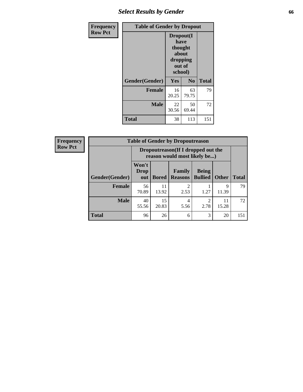## *Select Results by Gender* **66**

| Frequency      | <b>Table of Gender by Dropout</b> |                                                                        |                |              |
|----------------|-----------------------------------|------------------------------------------------------------------------|----------------|--------------|
| <b>Row Pct</b> |                                   | Dropout(I<br>have<br>thought<br>about<br>dropping<br>out of<br>school) |                |              |
|                | Gender(Gender)                    | Yes                                                                    | N <sub>0</sub> | <b>Total</b> |
|                | <b>Female</b>                     | 16<br>20.25                                                            | 63<br>79.75    | 79           |
|                | <b>Male</b>                       | 22<br>30.56                                                            | 50<br>69.44    | 72           |
|                | <b>Total</b>                      | 38                                                                     | 113            | 151          |

| <b>Frequency</b> | <b>Table of Gender by Dropoutreason</b> |                                                                    |              |                                 |                                |              |              |
|------------------|-----------------------------------------|--------------------------------------------------------------------|--------------|---------------------------------|--------------------------------|--------------|--------------|
| <b>Row Pct</b>   |                                         | Dropoutreason(If I dropped out the<br>reason would most likely be) |              |                                 |                                |              |              |
|                  | Gender(Gender)                          | Won't<br><b>Drop</b><br>out                                        | <b>Bored</b> | <b>Family</b><br><b>Reasons</b> | <b>Being</b><br><b>Bullied</b> | <b>Other</b> | <b>Total</b> |
|                  | <b>Female</b>                           | 56<br>70.89                                                        | 11<br>13.92  | ↑<br>2.53                       | 1.27                           | 9<br>11.39   | 79           |
|                  | <b>Male</b>                             | 40<br>55.56                                                        | 15<br>20.83  | 4<br>5.56                       | 2.78                           | 11<br>15.28  | 72           |
|                  | <b>Total</b>                            | 96                                                                 | 26           | 6                               | 3                              | 20           | 151          |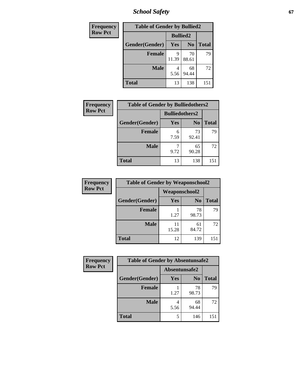*School Safety* **67**

| Frequency      |                | <b>Table of Gender by Bullied2</b> |                |              |  |
|----------------|----------------|------------------------------------|----------------|--------------|--|
| <b>Row Pct</b> |                | <b>Bullied2</b>                    |                |              |  |
|                | Gender(Gender) | <b>Yes</b>                         | N <sub>0</sub> | <b>Total</b> |  |
|                | <b>Female</b>  | Q<br>11.39                         | 70<br>88.61    | 79           |  |
|                | <b>Male</b>    | 5.56                               | 68<br>94.44    | 72           |  |
|                | <b>Total</b>   | 13                                 | 138            | 151          |  |

| Frequency      | <b>Table of Gender by Bulliedothers2</b> |                       |                |              |
|----------------|------------------------------------------|-----------------------|----------------|--------------|
| <b>Row Pct</b> |                                          | <b>Bulliedothers2</b> |                |              |
|                | Gender(Gender)                           | Yes                   | N <sub>0</sub> | <b>Total</b> |
|                | <b>Female</b>                            | 6<br>7.59             | 73<br>92.41    | 79           |
|                | Male                                     | 9.72                  | 65<br>90.28    | 72           |
|                | <b>Total</b>                             | 13                    | 138            | 151          |

| Frequency      | <b>Table of Gender by Weaponschool2</b> |                      |                |              |
|----------------|-----------------------------------------|----------------------|----------------|--------------|
| <b>Row Pct</b> |                                         | <b>Weaponschool2</b> |                |              |
|                | Gender(Gender)                          | Yes                  | N <sub>0</sub> | <b>Total</b> |
|                | <b>Female</b>                           | 1.27                 | 78<br>98.73    | 79           |
|                | <b>Male</b>                             | 11<br>15.28          | 61<br>84.72    | 72           |
|                | <b>Total</b>                            | 12                   | 139            | 151          |

| Frequency      | <b>Table of Gender by Absentunsafe2</b> |               |                |              |
|----------------|-----------------------------------------|---------------|----------------|--------------|
| <b>Row Pct</b> |                                         | Absentunsafe2 |                |              |
|                | Gender(Gender)                          | Yes           | N <sub>0</sub> | <b>Total</b> |
|                | <b>Female</b>                           | 1.27          | 78<br>98.73    | 79           |
|                | <b>Male</b>                             | 4<br>5.56     | 68<br>94.44    | 72           |
|                | <b>Total</b>                            | 5             | 146            | 151          |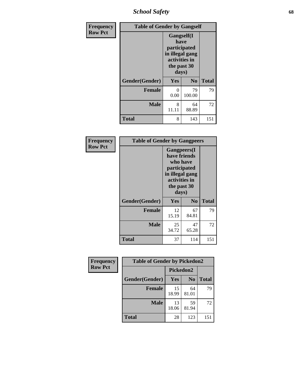*School Safety* **68**

| Frequency      | <b>Table of Gender by Gangself</b> |                                                                                                |                |              |
|----------------|------------------------------------|------------------------------------------------------------------------------------------------|----------------|--------------|
| <b>Row Pct</b> |                                    | Gangself(I<br>have<br>participated<br>in illegal gang<br>activities in<br>the past 30<br>days) |                |              |
|                | Gender(Gender)                     | Yes                                                                                            | N <sub>0</sub> | <b>Total</b> |
|                | <b>Female</b>                      | 0<br>0.00                                                                                      | 79<br>100.00   | 79           |
|                | <b>Male</b>                        | 8<br>11.11                                                                                     | 64<br>88.89    | 72           |
|                | <b>Total</b>                       | 8                                                                                              | 143            | 151          |

| Frequency      | <b>Table of Gender by Gangpeers</b> |                                                                                                                             |                |              |  |
|----------------|-------------------------------------|-----------------------------------------------------------------------------------------------------------------------------|----------------|--------------|--|
| <b>Row Pct</b> |                                     | <b>Gangpeers</b> (I<br>have friends<br>who have<br>participated<br>in illegal gang<br>activities in<br>the past 30<br>days) |                |              |  |
|                | Gender(Gender)                      | <b>Yes</b>                                                                                                                  | N <sub>0</sub> | <b>Total</b> |  |
|                | <b>Female</b>                       | 12<br>15.19                                                                                                                 | 67<br>84.81    | 79           |  |
|                | <b>Male</b>                         | 25<br>34.72                                                                                                                 | 47<br>65.28    | 72           |  |
|                | <b>Total</b>                        | 37                                                                                                                          | 114            | 151          |  |

| Frequency      | <b>Table of Gender by Pickedon2</b> |             |                |              |
|----------------|-------------------------------------|-------------|----------------|--------------|
| <b>Row Pct</b> |                                     | Pickedon2   |                |              |
|                | Gender(Gender)                      | Yes         | N <sub>0</sub> | <b>Total</b> |
|                | <b>Female</b>                       | 15<br>18.99 | 64<br>81.01    | 79           |
|                | <b>Male</b>                         | 13<br>18.06 | 59<br>81.94    | 72           |
|                | <b>Total</b>                        | 28          | 123            | 151          |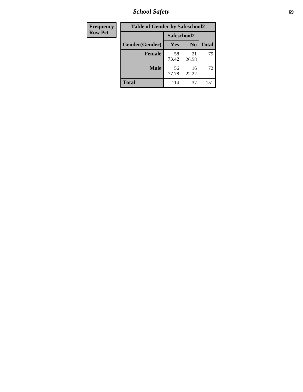*School Safety* **69**

| Frequency      | <b>Table of Gender by Safeschool2</b> |             |                |              |
|----------------|---------------------------------------|-------------|----------------|--------------|
| <b>Row Pct</b> |                                       | Safeschool2 |                |              |
|                | Gender(Gender)                        | Yes         | N <sub>0</sub> | <b>Total</b> |
|                | <b>Female</b>                         | 58<br>73.42 | 21<br>26.58    | 79           |
|                | <b>Male</b>                           | 56<br>77.78 | 16<br>22.22    | 72           |
|                | <b>Total</b>                          | 114         | 37             | 151          |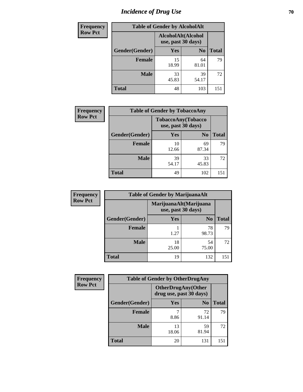# *Incidence of Drug Use* **70**

| <b>Frequency</b> |                | <b>Table of Gender by AlcoholAlt</b>     |                |              |
|------------------|----------------|------------------------------------------|----------------|--------------|
| <b>Row Pct</b>   |                | AlcoholAlt(Alcohol<br>use, past 30 days) |                |              |
|                  | Gender(Gender) | <b>Yes</b>                               | N <sub>0</sub> | <b>Total</b> |
|                  | <b>Female</b>  | 15<br>18.99                              | 64<br>81.01    | 79           |
|                  | <b>Male</b>    | 33<br>45.83                              | 39<br>54.17    | 72           |
|                  | <b>Total</b>   | 48                                       | 103            | 151          |

| <b>Frequency</b> | <b>Table of Gender by TobaccoAny</b> |                                          |                |              |  |
|------------------|--------------------------------------|------------------------------------------|----------------|--------------|--|
| <b>Row Pct</b>   |                                      | TobaccoAny(Tobacco<br>use, past 30 days) |                |              |  |
|                  | Gender(Gender)                       | Yes                                      | N <sub>0</sub> | <b>Total</b> |  |
|                  | <b>Female</b>                        | 10<br>12.66                              | 69<br>87.34    | 79           |  |
|                  | <b>Male</b>                          | 39<br>54.17                              | 33<br>45.83    | 72           |  |
|                  | <b>Total</b>                         | 49                                       | 102            | 151          |  |

| <b>Frequency</b> | <b>Table of Gender by MarijuanaAlt</b> |             |                                              |              |
|------------------|----------------------------------------|-------------|----------------------------------------------|--------------|
| <b>Row Pct</b>   |                                        |             | MarijuanaAlt(Marijuana<br>use, past 30 days) |              |
|                  | Gender(Gender)                         | <b>Yes</b>  | N <sub>0</sub>                               | <b>Total</b> |
|                  | Female                                 | 1.27        | 78<br>98.73                                  | 79           |
|                  | <b>Male</b>                            | 18<br>25.00 | 54<br>75.00                                  | 72           |
|                  | <b>Total</b>                           | 19          | 132                                          | 151          |

| <b>Frequency</b> | <b>Table of Gender by OtherDrugAny</b> |                                                      |                |              |
|------------------|----------------------------------------|------------------------------------------------------|----------------|--------------|
| <b>Row Pct</b>   |                                        | <b>OtherDrugAny(Other</b><br>drug use, past 30 days) |                |              |
|                  | Gender(Gender)                         | <b>Yes</b>                                           | N <sub>0</sub> | <b>Total</b> |
|                  | <b>Female</b>                          | 8.86                                                 | 72<br>91.14    | 79           |
|                  | <b>Male</b>                            | 13<br>18.06                                          | 59<br>81.94    | 72           |
|                  | <b>Total</b>                           | 20                                                   | 131            | 151          |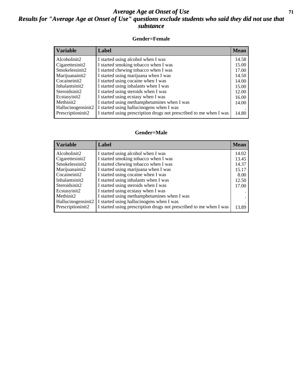#### *Average Age at Onset of Use* **71** *Results for "Average Age at Onset of Use" questions exclude students who said they did not use that substance*

#### **Gender=Female**

| <i><b>Variable</b></i>          | Label                                                              | <b>Mean</b> |
|---------------------------------|--------------------------------------------------------------------|-------------|
| Alcoholinit2                    | I started using alcohol when I was                                 | 14.58       |
| Cigarettesinit2                 | I started smoking tobacco when I was                               | 15.00       |
| Smokelessinit2                  | I started chewing tobacco when I was                               | 17.00       |
| Marijuanainit2                  | I started using marijuana when I was                               | 14.50       |
| Cocaineinit2                    | I started using cocaine when I was                                 | 14.00       |
| Inhalantsinit2                  | I started using inhalants when I was                               | 15.00       |
| Steroidsinit2                   | I started using steroids when I was                                | 12.00       |
| Ecstasyinit2                    | I started using ecstasy when I was                                 | 16.00       |
| Methinit2                       | I started using methamphetamines when I was                        | 14.00       |
| Hallucinogensinit2              | I started using hallucinogens when I was                           |             |
| Prescription in it <sub>2</sub> | I started using prescription drugs not prescribed to me when I was | 14.80       |

#### **Gender=Male**

| <b>Variable</b>    | Label                                                              | <b>Mean</b> |
|--------------------|--------------------------------------------------------------------|-------------|
| Alcoholinit2       | I started using alcohol when I was                                 | 14.02       |
| Cigarettesinit2    | I started smoking tobacco when I was                               | 13.45       |
| Smokelessinit2     | I started chewing tobacco when I was                               | 14.37       |
| Marijuanainit2     | I started using marijuana when I was                               | 15.17       |
| Cocaineinit2       | I started using cocaine when I was                                 | 8.00        |
| Inhalantsinit2     | I started using inhalants when I was                               | 12.50       |
| Steroidsinit2      | I started using steroids when I was                                | 17.00       |
| Ecstasyinit2       | I started using ecstasy when I was                                 |             |
| Methinit2          | I started using methamphetamines when I was                        |             |
| Hallucinogensinit2 | I started using hallucinogens when I was                           |             |
| Prescriptioninit2  | I started using prescription drugs not prescribed to me when I was | 13.89       |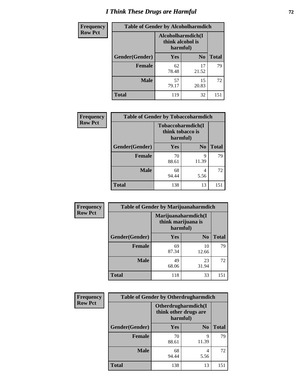# *I Think These Drugs are Harmful* **72**

| Frequency      | <b>Table of Gender by Alcoholharmdich</b> |                                                   |                |              |
|----------------|-------------------------------------------|---------------------------------------------------|----------------|--------------|
| <b>Row Pct</b> |                                           | Alcoholharmdich(I<br>think alcohol is<br>harmful) |                |              |
|                | <b>Gender</b> (Gender)                    | <b>Yes</b>                                        | N <sub>0</sub> | <b>Total</b> |
|                | <b>Female</b>                             | 62<br>78.48                                       | 17<br>21.52    | 79           |
|                | <b>Male</b>                               | 57<br>79.17                                       | 15<br>20.83    | 72           |
|                | <b>Total</b>                              | 119                                               | 32             | 151          |

| Frequency      | <b>Table of Gender by Tobaccoharmdich</b> |                  |                               |              |
|----------------|-------------------------------------------|------------------|-------------------------------|--------------|
| <b>Row Pct</b> |                                           | think tobacco is | Tobaccoharmdich(I<br>harmful) |              |
|                | Gender(Gender)                            | Yes              | N <sub>0</sub>                | <b>Total</b> |
|                | <b>Female</b>                             | 70<br>88.61      | 9<br>11.39                    | 79           |
|                | <b>Male</b>                               | 68<br>94.44      | 4<br>5.56                     | 72           |
|                | <b>Total</b>                              | 138              | 13                            | 151          |

| Frequency      | <b>Table of Gender by Marijuanaharmdich</b> |                                                       |                |              |
|----------------|---------------------------------------------|-------------------------------------------------------|----------------|--------------|
| <b>Row Pct</b> |                                             | Marijuanaharmdich(I<br>think marijuana is<br>harmful) |                |              |
|                | Gender(Gender)                              | <b>Yes</b>                                            | N <sub>0</sub> | <b>Total</b> |
|                | <b>Female</b>                               | 69<br>87.34                                           | 10<br>12.66    | 79           |
|                | <b>Male</b>                                 | 49<br>68.06                                           | 23<br>31.94    | 72           |
|                | <b>Total</b>                                | 118                                                   | 33             | 151          |

| Frequency      | <b>Table of Gender by Otherdrugharmdich</b> |                                                          |                |              |
|----------------|---------------------------------------------|----------------------------------------------------------|----------------|--------------|
| <b>Row Pct</b> |                                             | Otherdrugharmdich(I<br>think other drugs are<br>harmful) |                |              |
|                | Gender(Gender)                              | <b>Yes</b>                                               | N <sub>0</sub> | <b>Total</b> |
|                | <b>Female</b>                               | 70<br>88.61                                              | 9<br>11.39     | 79           |
|                | <b>Male</b>                                 | 68<br>94.44                                              | 4<br>5.56      | 72           |
|                | <b>Total</b>                                | 138                                                      | 13             | 151          |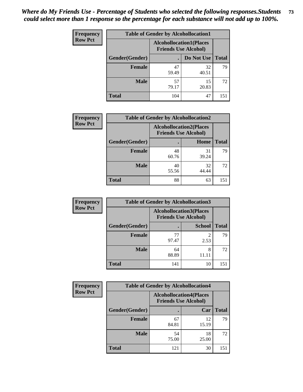| <b>Frequency</b> | <b>Table of Gender by Alcohollocation1</b> |                                                               |             |              |  |
|------------------|--------------------------------------------|---------------------------------------------------------------|-------------|--------------|--|
| <b>Row Pct</b>   |                                            | <b>Alcohollocation1(Places</b><br><b>Friends Use Alcohol)</b> |             |              |  |
|                  | Gender(Gender)                             |                                                               | Do Not Use  | <b>Total</b> |  |
|                  | <b>Female</b>                              | 47<br>59.49                                                   | 32<br>40.51 | 79           |  |
|                  | <b>Male</b>                                | 57<br>79.17                                                   | 15<br>20.83 | 72           |  |
|                  | Total                                      | 104                                                           | 47          | 151          |  |

| <b>Frequency</b> | <b>Table of Gender by Alcohollocation2</b> |                                |                             |              |
|------------------|--------------------------------------------|--------------------------------|-----------------------------|--------------|
| <b>Row Pct</b>   |                                            | <b>Alcohollocation2(Places</b> | <b>Friends Use Alcohol)</b> |              |
|                  | Gender(Gender)                             |                                | Home                        | <b>Total</b> |
|                  | <b>Female</b>                              | 48<br>60.76                    | 31<br>39.24                 | 79           |
|                  | <b>Male</b>                                | 40<br>55.56                    | 32<br>44.44                 | 72           |
|                  | <b>Total</b>                               | 88                             | 63                          | 151          |

| Frequency      | <b>Table of Gender by Alcohollocation3</b> |             |                                                               |              |
|----------------|--------------------------------------------|-------------|---------------------------------------------------------------|--------------|
| <b>Row Pct</b> |                                            |             | <b>Alcohollocation3(Places</b><br><b>Friends Use Alcohol)</b> |              |
|                | Gender(Gender)                             |             | <b>School</b>                                                 | <b>Total</b> |
|                | <b>Female</b>                              | 77<br>97.47 | 2<br>2.53                                                     | 79           |
|                | <b>Male</b>                                | 64<br>88.89 | 8<br>11.11                                                    | 72           |
|                | <b>Total</b>                               | 141         | 10                                                            | 151          |

| <b>Frequency</b> | <b>Table of Gender by Alcohollocation4</b> |                                                               |             |              |
|------------------|--------------------------------------------|---------------------------------------------------------------|-------------|--------------|
| <b>Row Pct</b>   |                                            | <b>Alcohollocation4(Places</b><br><b>Friends Use Alcohol)</b> |             |              |
|                  | Gender(Gender)                             |                                                               | Car         | <b>Total</b> |
|                  | <b>Female</b>                              | 67<br>84.81                                                   | 12<br>15.19 | 79           |
|                  | <b>Male</b>                                | 54<br>75.00                                                   | 18<br>25.00 | 72           |
|                  | <b>Total</b>                               | 121                                                           | 30          | 151          |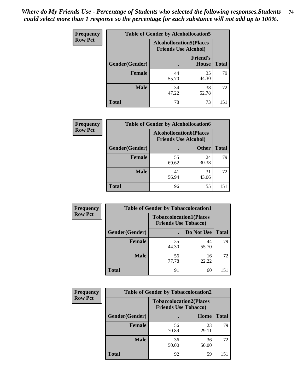| <b>Frequency</b> | <b>Table of Gender by Alcohollocation5</b> |             |                                                                |              |
|------------------|--------------------------------------------|-------------|----------------------------------------------------------------|--------------|
| <b>Row Pct</b>   |                                            |             | <b>Alcohollocation5</b> (Places<br><b>Friends Use Alcohol)</b> |              |
|                  | Gender(Gender)                             |             | <b>Friend's</b><br><b>House</b>                                | <b>Total</b> |
|                  | <b>Female</b>                              | 44<br>55.70 | 35<br>44.30                                                    | 79           |
|                  | <b>Male</b>                                | 34<br>47.22 | 38<br>52.78                                                    | 72           |
|                  | <b>Total</b>                               | 78          | 73                                                             | 151          |

| <b>Frequency</b> | <b>Table of Gender by Alcohollocation6</b> |                                                               |              |              |  |
|------------------|--------------------------------------------|---------------------------------------------------------------|--------------|--------------|--|
| <b>Row Pct</b>   |                                            | <b>Alcohollocation6(Places</b><br><b>Friends Use Alcohol)</b> |              |              |  |
|                  | Gender(Gender)                             | ٠                                                             | <b>Other</b> | <b>Total</b> |  |
|                  | <b>Female</b>                              | 55<br>69.62                                                   | 24<br>30.38  | 79           |  |
|                  | <b>Male</b>                                | 41<br>56.94                                                   | 31<br>43.06  | 72           |  |
|                  | <b>Total</b>                               | 96                                                            | 55           | 151          |  |

| Frequency      | <b>Table of Gender by Tobaccolocation1</b> |                                                               |             |              |  |
|----------------|--------------------------------------------|---------------------------------------------------------------|-------------|--------------|--|
| <b>Row Pct</b> |                                            | <b>Tobaccolocation1(Places</b><br><b>Friends Use Tobacco)</b> |             |              |  |
|                | Gender(Gender)                             |                                                               | Do Not Use  | <b>Total</b> |  |
|                | Female                                     | 35<br>44.30                                                   | 44<br>55.70 | 79           |  |
|                | <b>Male</b>                                | 56<br>77.78                                                   | 16<br>22.22 | 72           |  |
|                | <b>Total</b>                               | 91                                                            | 60          | 151          |  |

| Frequency      | <b>Table of Gender by Tobaccolocation2</b> |                                                               |             |              |
|----------------|--------------------------------------------|---------------------------------------------------------------|-------------|--------------|
| <b>Row Pct</b> |                                            | <b>Tobaccolocation2(Places</b><br><b>Friends Use Tobacco)</b> |             |              |
|                | <b>Gender</b> (Gender)                     |                                                               | Home        | <b>Total</b> |
|                | Female                                     | 56<br>70.89                                                   | 23<br>29.11 | 79           |
|                | <b>Male</b>                                | 36<br>50.00                                                   | 36<br>50.00 | 72           |
|                | <b>Total</b>                               | 92                                                            | 59          | 151          |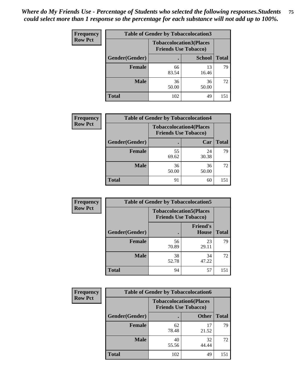| <b>Frequency</b> | <b>Table of Gender by Tobaccolocation3</b> |                                                               |               |              |  |
|------------------|--------------------------------------------|---------------------------------------------------------------|---------------|--------------|--|
| <b>Row Pct</b>   |                                            | <b>Tobaccolocation3(Places</b><br><b>Friends Use Tobacco)</b> |               |              |  |
|                  | Gender(Gender)                             |                                                               | <b>School</b> | <b>Total</b> |  |
|                  | <b>Female</b>                              | 66<br>83.54                                                   | 13<br>16.46   | 79           |  |
|                  | <b>Male</b>                                | 36<br>50.00                                                   | 36<br>50.00   | 72           |  |
|                  | <b>Total</b>                               | 102                                                           | 49            | 151          |  |

| <b>Frequency</b> | <b>Table of Gender by Tobaccolocation4</b> |             |                                                               |              |
|------------------|--------------------------------------------|-------------|---------------------------------------------------------------|--------------|
| <b>Row Pct</b>   |                                            |             | <b>Tobaccolocation4(Places</b><br><b>Friends Use Tobacco)</b> |              |
|                  | Gender(Gender)                             |             | Car                                                           | <b>Total</b> |
|                  | <b>Female</b>                              | 55<br>69.62 | 24<br>30.38                                                   | 79           |
|                  | <b>Male</b>                                | 36<br>50.00 | 36<br>50.00                                                   | 72           |
|                  | <b>Total</b>                               | 91          | 60                                                            | 151          |

| <b>Frequency</b> | <b>Table of Gender by Tobaccolocation5</b> |                                                               |                                 |              |
|------------------|--------------------------------------------|---------------------------------------------------------------|---------------------------------|--------------|
| <b>Row Pct</b>   |                                            | <b>Tobaccolocation5(Places</b><br><b>Friends Use Tobacco)</b> |                                 |              |
|                  | Gender(Gender)                             |                                                               | <b>Friend's</b><br><b>House</b> | <b>Total</b> |
|                  | Female                                     | 56<br>70.89                                                   | 23<br>29.11                     | 79           |
|                  | <b>Male</b>                                | 38<br>52.78                                                   | 34<br>47.22                     | 72           |
|                  | <b>Total</b>                               | 94                                                            | 57                              | 151          |

| <b>Frequency</b> | <b>Table of Gender by Tobaccolocation6</b> |                                                               |              |              |
|------------------|--------------------------------------------|---------------------------------------------------------------|--------------|--------------|
| <b>Row Pct</b>   |                                            | <b>Tobaccolocation6(Places</b><br><b>Friends Use Tobacco)</b> |              |              |
|                  | <b>Gender</b> (Gender)                     |                                                               | <b>Other</b> | <b>Total</b> |
|                  | Female                                     | 62<br>78.48                                                   | 17<br>21.52  | 79           |
|                  | <b>Male</b>                                | 40<br>55.56                                                   | 32<br>44.44  | 72           |
|                  | <b>Total</b>                               | 102                                                           | 49           | 151          |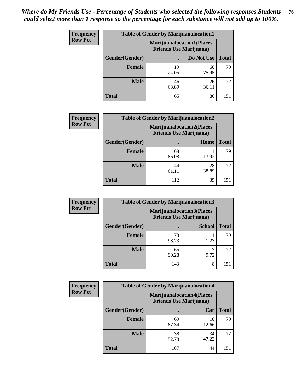| <b>Frequency</b> | <b>Table of Gender by Marijuanalocation1</b> |                                                                    |             |              |
|------------------|----------------------------------------------|--------------------------------------------------------------------|-------------|--------------|
| <b>Row Pct</b>   |                                              | <b>Marijuanalocation1(Places</b><br><b>Friends Use Marijuana</b> ) |             |              |
|                  | Gender(Gender)                               |                                                                    | Do Not Use  | <b>Total</b> |
|                  | <b>Female</b>                                | 19<br>24.05                                                        | 60<br>75.95 | 79           |
|                  | <b>Male</b>                                  | 46<br>63.89                                                        | 26<br>36.11 | 72           |
|                  | <b>Total</b>                                 | 65                                                                 | 86          | 151          |

| <b>Frequency</b> |                | <b>Table of Gender by Marijuanalocation2</b>                       |             |              |
|------------------|----------------|--------------------------------------------------------------------|-------------|--------------|
| <b>Row Pct</b>   |                | <b>Marijuanalocation2(Places</b><br><b>Friends Use Marijuana</b> ) |             |              |
|                  | Gender(Gender) |                                                                    | Home        | <b>Total</b> |
|                  | Female         | 68<br>86.08                                                        | 13.92       | 79           |
|                  | <b>Male</b>    | 44<br>61.11                                                        | 28<br>38.89 | 72           |
|                  | <b>Total</b>   | 112                                                                | 39          | 151          |

| Frequency      | <b>Table of Gender by Marijuanalocation3</b> |                                                                    |               |              |
|----------------|----------------------------------------------|--------------------------------------------------------------------|---------------|--------------|
| <b>Row Pct</b> |                                              | <b>Marijuanalocation3(Places</b><br><b>Friends Use Marijuana</b> ) |               |              |
|                | Gender(Gender)                               |                                                                    | <b>School</b> | <b>Total</b> |
|                | Female                                       | 78<br>98.73                                                        | 1.27          | 79           |
|                | <b>Male</b>                                  | 65<br>90.28                                                        | 9.72          | 72           |
|                | <b>Total</b>                                 | 143                                                                | 8             | 151          |

| Frequency      | <b>Table of Gender by Marijuanalocation4</b> |                                |                                  |              |
|----------------|----------------------------------------------|--------------------------------|----------------------------------|--------------|
| <b>Row Pct</b> |                                              | <b>Friends Use Marijuana</b> ) | <b>Marijuanalocation4(Places</b> |              |
|                | Gender(Gender)                               |                                | Car                              | <b>Total</b> |
|                | <b>Female</b>                                | 69<br>87.34                    | 10<br>12.66                      | 79           |
|                | <b>Male</b>                                  | 38<br>52.78                    | 34<br>47.22                      | 72           |
|                | <b>Total</b>                                 | 107                            | 44                               | 15           |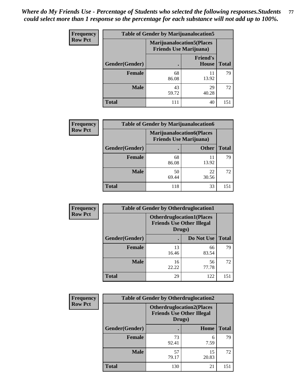| <b>Frequency</b> | <b>Table of Gender by Marijuanalocation5</b> |                                                                     |                                 |              |
|------------------|----------------------------------------------|---------------------------------------------------------------------|---------------------------------|--------------|
| <b>Row Pct</b>   |                                              | <b>Marijuanalocation5</b> (Places<br><b>Friends Use Marijuana</b> ) |                                 |              |
|                  | Gender(Gender)                               |                                                                     | <b>Friend's</b><br><b>House</b> | <b>Total</b> |
|                  | <b>Female</b>                                | 68<br>86.08                                                         | 11<br>13.92                     | 79           |
|                  | <b>Male</b>                                  | 43<br>59.72                                                         | 29<br>40.28                     | 72           |
|                  | <b>Total</b>                                 | 111                                                                 | 40                              | 151          |

| <b>Frequency</b> | <b>Table of Gender by Marijuanalocation6</b> |                                                                    |              |       |  |
|------------------|----------------------------------------------|--------------------------------------------------------------------|--------------|-------|--|
| <b>Row Pct</b>   |                                              | <b>Marijuanalocation6(Places</b><br><b>Friends Use Marijuana</b> ) |              |       |  |
|                  | <b>Gender</b> (Gender)                       |                                                                    | <b>Other</b> | Total |  |
|                  | <b>Female</b>                                | 68<br>86.08                                                        | 13.92        | 79    |  |
|                  | <b>Male</b>                                  | 50<br>69.44                                                        | 22<br>30.56  | 72    |  |
|                  | <b>Total</b>                                 | 118                                                                | 33           | 151   |  |

| <b>Frequency</b> | <b>Table of Gender by Otherdruglocation1</b> |                                                                                |             |              |
|------------------|----------------------------------------------|--------------------------------------------------------------------------------|-------------|--------------|
| <b>Row Pct</b>   |                                              | <b>Otherdruglocation1(Places</b><br><b>Friends Use Other Illegal</b><br>Drugs) |             |              |
|                  | Gender(Gender)                               |                                                                                | Do Not Use  | <b>Total</b> |
|                  | Female                                       | 13<br>16.46                                                                    | 66<br>83.54 | 79           |
|                  | <b>Male</b>                                  | 16<br>22.22                                                                    | 56<br>77.78 | 72           |
|                  | <b>Total</b>                                 | 29                                                                             | 122         | 151          |

| Frequency      | <b>Table of Gender by Otherdruglocation2</b> |                                                                                |             |              |
|----------------|----------------------------------------------|--------------------------------------------------------------------------------|-------------|--------------|
| <b>Row Pct</b> |                                              | <b>Otherdruglocation2(Places</b><br><b>Friends Use Other Illegal</b><br>Drugs) |             |              |
|                | Gender(Gender)                               |                                                                                | Home        | <b>Total</b> |
|                | Female                                       | 73<br>92.41                                                                    | 6<br>7.59   | 79           |
|                | <b>Male</b>                                  | 57<br>79.17                                                                    | 15<br>20.83 | 72           |
|                | <b>Total</b>                                 | 130                                                                            | 21          | 151          |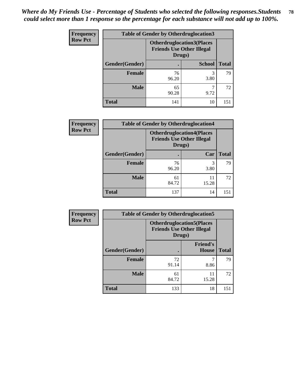| Frequency      | <b>Table of Gender by Otherdruglocation3</b> |                                                                                |               |              |
|----------------|----------------------------------------------|--------------------------------------------------------------------------------|---------------|--------------|
| <b>Row Pct</b> |                                              | <b>Otherdruglocation3(Places</b><br><b>Friends Use Other Illegal</b><br>Drugs) |               |              |
|                | Gender(Gender)                               |                                                                                | <b>School</b> | <b>Total</b> |
|                | Female                                       | 76<br>96.20                                                                    | 3<br>3.80     | 79           |
|                | <b>Male</b>                                  | 65<br>90.28                                                                    | 9.72          | 72           |
|                | <b>Total</b>                                 | 141                                                                            | 10            | 151          |

| <b>Frequency</b> | <b>Table of Gender by Otherdruglocation4</b> |                                                                                |             |              |
|------------------|----------------------------------------------|--------------------------------------------------------------------------------|-------------|--------------|
| <b>Row Pct</b>   |                                              | <b>Otherdruglocation4(Places</b><br><b>Friends Use Other Illegal</b><br>Drugs) |             |              |
|                  | Gender(Gender)                               |                                                                                | Car         | <b>Total</b> |
|                  | Female                                       | 76<br>96.20                                                                    | 3<br>3.80   | 79           |
|                  | <b>Male</b>                                  | 61<br>84.72                                                                    | 11<br>15.28 | 72           |
|                  | <b>Total</b>                                 | 137                                                                            | 14          | 151          |

| Frequency      | <b>Table of Gender by Otherdruglocation5</b> |                                                                                |                                 |              |
|----------------|----------------------------------------------|--------------------------------------------------------------------------------|---------------------------------|--------------|
| <b>Row Pct</b> |                                              | <b>Otherdruglocation5(Places</b><br><b>Friends Use Other Illegal</b><br>Drugs) |                                 |              |
|                | Gender(Gender)                               |                                                                                | <b>Friend's</b><br><b>House</b> | <b>Total</b> |
|                | <b>Female</b>                                | 72<br>91.14                                                                    | 8.86                            | 79           |
|                | <b>Male</b>                                  | 61<br>84.72                                                                    | 11<br>15.28                     | 72           |
|                | <b>Total</b>                                 | 133                                                                            | 18                              | 151          |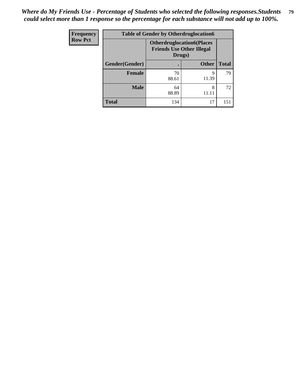| <b>Frequency</b> | <b>Table of Gender by Otherdruglocation6</b> |                                            |                                  |              |
|------------------|----------------------------------------------|--------------------------------------------|----------------------------------|--------------|
| <b>Row Pct</b>   |                                              | <b>Friends Use Other Illegal</b><br>Drugs) | <b>Otherdruglocation6(Places</b> |              |
|                  | Gender(Gender)                               |                                            | <b>Other</b>                     | <b>Total</b> |
|                  | Female                                       | 70<br>88.61                                | q<br>11.39                       | 79           |
|                  | <b>Male</b>                                  | 64<br>88.89                                | 8                                | 72           |
|                  | <b>Total</b>                                 | 134                                        | 17                               | 151          |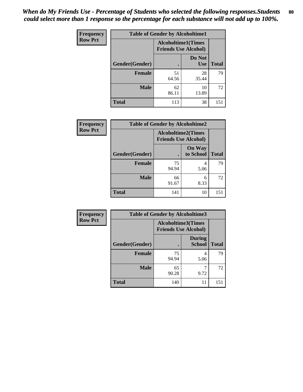| Frequency      | <b>Table of Gender by Alcoholtime1</b> |                                                          |                      |              |
|----------------|----------------------------------------|----------------------------------------------------------|----------------------|--------------|
| <b>Row Pct</b> |                                        | <b>Alcoholtime1(Times</b><br><b>Friends Use Alcohol)</b> |                      |              |
|                | Gender(Gender)                         | $\bullet$                                                | Do Not<br><b>Use</b> | <b>Total</b> |
|                | <b>Female</b>                          | 51<br>64.56                                              | 28<br>35.44          | 79           |
|                | <b>Male</b>                            | 62<br>86.11                                              | 10<br>13.89          | 72           |
|                | <b>Total</b>                           | 113                                                      | 38                   | 151          |

| <b>Frequency</b> | <b>Table of Gender by Alcoholtime2</b> |                                                          |                            |              |
|------------------|----------------------------------------|----------------------------------------------------------|----------------------------|--------------|
| <b>Row Pct</b>   |                                        | <b>Alcoholtime2(Times</b><br><b>Friends Use Alcohol)</b> |                            |              |
|                  | Gender(Gender)                         |                                                          | <b>On Way</b><br>to School | <b>Total</b> |
|                  | <b>Female</b>                          | 75<br>94.94                                              | 4<br>5.06                  | 79           |
|                  | <b>Male</b>                            | 66<br>91.67                                              | 6<br>8.33                  | 72           |
|                  | <b>Total</b>                           | 141                                                      | 10                         | 151          |

| Frequency      | <b>Table of Gender by Alcoholtime3</b> |                                                          |                                |              |
|----------------|----------------------------------------|----------------------------------------------------------|--------------------------------|--------------|
| <b>Row Pct</b> |                                        | <b>Alcoholtime3(Times</b><br><b>Friends Use Alcohol)</b> |                                |              |
|                | Gender(Gender)                         |                                                          | <b>During</b><br><b>School</b> | <b>Total</b> |
|                | Female                                 | 75<br>94.94                                              | 4<br>5.06                      | 79           |
|                | <b>Male</b>                            | 65<br>90.28                                              | 9.72                           | 72           |
|                | <b>Total</b>                           | 140                                                      | 11                             | 151          |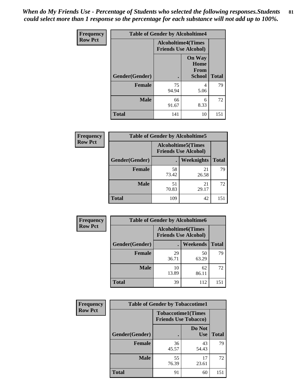*When do My Friends Use - Percentage of Students who selected the following responses.Students could select more than 1 response so the percentage for each substance will not add up to 100%.* **81**

| <b>Frequency</b> | <b>Table of Gender by Alcoholtime4</b> |                                                          |                                                |              |
|------------------|----------------------------------------|----------------------------------------------------------|------------------------------------------------|--------------|
| <b>Row Pct</b>   |                                        | <b>Alcoholtime4(Times</b><br><b>Friends Use Alcohol)</b> |                                                |              |
|                  | Gender(Gender)                         | $\bullet$                                                | <b>On Way</b><br>Home<br>From<br><b>School</b> | <b>Total</b> |
|                  | <b>Female</b>                          | 75<br>94.94                                              | 4<br>5.06                                      | 79           |
|                  | <b>Male</b>                            | 66<br>91.67                                              | 6<br>8.33                                      | 72           |
|                  | <b>Total</b>                           | 141                                                      | 10                                             | 151          |

| <b>Frequency</b> | <b>Table of Gender by Alcoholtime5</b> |                                                           |             |              |
|------------------|----------------------------------------|-----------------------------------------------------------|-------------|--------------|
| <b>Row Pct</b>   |                                        | <b>Alcoholtime5</b> (Times<br><b>Friends Use Alcohol)</b> |             |              |
|                  | Gender(Gender)                         |                                                           | Weeknights  | <b>Total</b> |
|                  | <b>Female</b>                          | 58<br>73.42                                               | 21<br>26.58 | 79           |
|                  | <b>Male</b>                            | 51<br>70.83                                               | 21<br>29.17 | 72           |
|                  | <b>Total</b>                           | 109                                                       | 42          | 151          |

| <b>Frequency</b> | <b>Table of Gender by Alcoholtime6</b> |                                                           |             |              |
|------------------|----------------------------------------|-----------------------------------------------------------|-------------|--------------|
| <b>Row Pct</b>   |                                        | <b>Alcoholtime6</b> (Times<br><b>Friends Use Alcohol)</b> |             |              |
|                  | Gender(Gender)                         |                                                           | Weekends    | <b>Total</b> |
|                  | <b>Female</b>                          | 29<br>36.71                                               | 50<br>63.29 | 79           |
|                  | <b>Male</b>                            | 10<br>13.89                                               | 62<br>86.11 | 72           |
|                  | <b>Total</b>                           | 39                                                        | 112         | 151          |

| <b>Frequency</b> | <b>Table of Gender by Tobaccotime1</b> |                             |                           |              |
|------------------|----------------------------------------|-----------------------------|---------------------------|--------------|
| <b>Row Pct</b>   |                                        | <b>Friends Use Tobacco)</b> | <b>Tobaccotime1(Times</b> |              |
|                  | Gender(Gender)                         |                             | Do Not<br><b>Use</b>      | <b>Total</b> |
|                  | <b>Female</b>                          | 36<br>45.57                 | 43<br>54.43               | 79           |
|                  | <b>Male</b>                            | 55<br>76.39                 | 17<br>23.61               | 72           |
|                  | <b>Total</b>                           | 91                          | 60                        | 151          |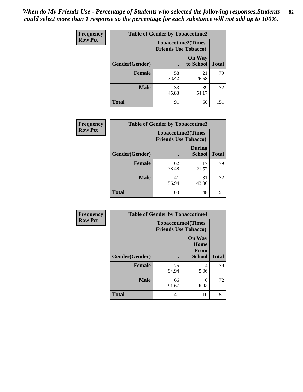| <b>Frequency</b> | <b>Table of Gender by Tobaccotime2</b> |                                                          |                            |              |
|------------------|----------------------------------------|----------------------------------------------------------|----------------------------|--------------|
| <b>Row Pct</b>   |                                        | <b>Tobaccotime2(Times</b><br><b>Friends Use Tobacco)</b> |                            |              |
|                  | Gender(Gender)                         | $\bullet$                                                | <b>On Way</b><br>to School | <b>Total</b> |
|                  | Female                                 | 58<br>73.42                                              | 21<br>26.58                | 79           |
|                  | <b>Male</b>                            | 33<br>45.83                                              | 39<br>54.17                | 72           |
|                  | <b>Total</b>                           | 91                                                       | 60                         | 151          |

| Frequency      | <b>Table of Gender by Tobaccotime3</b> |                                                          |                                |              |
|----------------|----------------------------------------|----------------------------------------------------------|--------------------------------|--------------|
| <b>Row Pct</b> |                                        | <b>Tobaccotime3(Times</b><br><b>Friends Use Tobacco)</b> |                                |              |
|                | Gender(Gender)                         | п                                                        | <b>During</b><br><b>School</b> | <b>Total</b> |
|                | Female                                 | 62<br>78.48                                              | 17<br>21.52                    | 79           |
|                | <b>Male</b>                            | 41<br>56.94                                              | 31<br>43.06                    | 72           |
|                | <b>Total</b>                           | 103                                                      | 48                             | 151          |

| <b>Frequency</b> | <b>Table of Gender by Tobaccotime4</b> |                                                          |                                                |              |
|------------------|----------------------------------------|----------------------------------------------------------|------------------------------------------------|--------------|
| <b>Row Pct</b>   |                                        | <b>Tobaccotime4(Times</b><br><b>Friends Use Tobacco)</b> |                                                |              |
|                  | Gender(Gender)                         |                                                          | <b>On Way</b><br>Home<br>From<br><b>School</b> | <b>Total</b> |
|                  | <b>Female</b>                          | 75<br>94.94                                              | 4<br>5.06                                      | 79           |
|                  | <b>Male</b>                            | 66<br>91.67                                              | 6<br>8.33                                      | 72           |
|                  | <b>Total</b>                           | 141                                                      | 10                                             | 151          |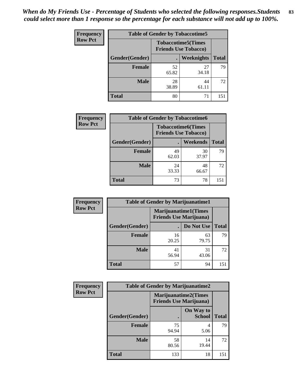| <b>Frequency</b> | <b>Table of Gender by Tobaccotime5</b> |             |                                                           |              |  |
|------------------|----------------------------------------|-------------|-----------------------------------------------------------|--------------|--|
| <b>Row Pct</b>   |                                        |             | <b>Tobaccotime5</b> (Times<br><b>Friends Use Tobacco)</b> |              |  |
|                  | <b>Gender</b> (Gender)                 |             | <b>Weeknights</b>                                         | <b>Total</b> |  |
|                  | <b>Female</b>                          | 52<br>65.82 | 27<br>34.18                                               | 79           |  |
|                  | <b>Male</b>                            | 28<br>38.89 | 44<br>61.11                                               | 72           |  |
|                  | Total                                  | 80          | 71                                                        | 151          |  |

| Frequency      | <b>Table of Gender by Tobaccotime6</b> |                                                          |                 |              |
|----------------|----------------------------------------|----------------------------------------------------------|-----------------|--------------|
| <b>Row Pct</b> |                                        | <b>Tobaccotime6(Times</b><br><b>Friends Use Tobacco)</b> |                 |              |
|                | Gender(Gender)                         |                                                          | <b>Weekends</b> | <b>Total</b> |
|                | Female                                 | 49<br>62.03                                              | 30<br>37.97     | 79           |
|                | <b>Male</b>                            | 24<br>33.33                                              | 48<br>66.67     | 72           |
|                | <b>Total</b>                           | 73                                                       | 78              | 151          |

| <b>Frequency</b> | <b>Table of Gender by Marijuanatime1</b> |                                |                             |              |
|------------------|------------------------------------------|--------------------------------|-----------------------------|--------------|
| <b>Row Pct</b>   |                                          | <b>Friends Use Marijuana</b> ) | <b>Marijuanatime1(Times</b> |              |
|                  | Gender(Gender)                           |                                | Do Not Use                  | <b>Total</b> |
|                  | <b>Female</b>                            | 16<br>20.25                    | 63<br>79.75                 | 79           |
|                  | <b>Male</b>                              | 41<br>56.94                    | 31<br>43.06                 | 72           |
|                  | <b>Total</b>                             | 57                             | 94                          | 151          |

| <b>Frequency</b> | <b>Table of Gender by Marijuanatime2</b> |                                                        |                            |              |
|------------------|------------------------------------------|--------------------------------------------------------|----------------------------|--------------|
| <b>Row Pct</b>   |                                          | Marijuanatime2(Times<br><b>Friends Use Marijuana</b> ) |                            |              |
|                  | Gender(Gender)                           |                                                        | On Way to<br><b>School</b> | <b>Total</b> |
|                  | <b>Female</b>                            | 75<br>94.94                                            | 4<br>5.06                  | 79           |
|                  | <b>Male</b>                              | 58<br>80.56                                            | 14<br>19.44                | 72           |
|                  | <b>Total</b>                             | 133                                                    | 18                         | 151          |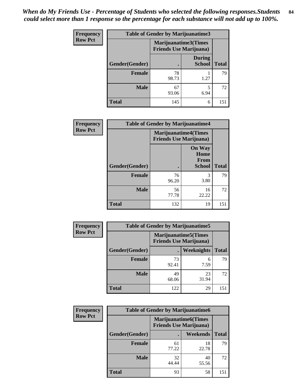| <b>Frequency</b> | <b>Table of Gender by Marijuanatime3</b> |                                |                                |              |
|------------------|------------------------------------------|--------------------------------|--------------------------------|--------------|
| <b>Row Pct</b>   |                                          | <b>Friends Use Marijuana</b> ) | Marijuanatime3(Times           |              |
|                  | <b>Gender</b> (Gender)                   |                                | <b>During</b><br><b>School</b> | <b>Total</b> |
|                  | <b>Female</b>                            | 78<br>98.73                    | 1.27                           | 79           |
|                  | <b>Male</b>                              | 67<br>93.06                    | 5<br>6.94                      | 72           |
|                  | <b>Total</b>                             | 145                            | 6                              | 151          |

| Frequency      | <b>Table of Gender by Marijuanatime4</b> |                                                                |                                                       |              |
|----------------|------------------------------------------|----------------------------------------------------------------|-------------------------------------------------------|--------------|
| <b>Row Pct</b> |                                          | <b>Marijuanatime4</b> (Times<br><b>Friends Use Marijuana</b> ) |                                                       |              |
|                | Gender(Gender)                           |                                                                | <b>On Way</b><br>Home<br><b>From</b><br><b>School</b> | <b>Total</b> |
|                | <b>Female</b>                            | 76<br>96.20                                                    | 3<br>3.80                                             | 79           |
|                | <b>Male</b>                              | 56<br>77.78                                                    | 16<br>22.22                                           | 72           |
|                | <b>Total</b>                             | 132                                                            | 19                                                    | 151          |

| <b>Frequency</b> | <b>Table of Gender by Marijuanatime5</b> |             |                                                                |              |  |
|------------------|------------------------------------------|-------------|----------------------------------------------------------------|--------------|--|
| <b>Row Pct</b>   |                                          |             | <b>Marijuanatime5</b> (Times<br><b>Friends Use Marijuana</b> ) |              |  |
|                  | Gender(Gender)                           | ٠           | Weeknights                                                     | <b>Total</b> |  |
|                  | <b>Female</b>                            | 73<br>92.41 | 6<br>7.59                                                      | 79           |  |
|                  | <b>Male</b>                              | 49<br>68.06 | 23<br>31.94                                                    | 72           |  |
|                  | <b>Total</b>                             | 122         | 29                                                             | 151          |  |

| <b>Frequency</b> | <b>Table of Gender by Marijuanatime6</b> |                                                               |                 |              |
|------------------|------------------------------------------|---------------------------------------------------------------|-----------------|--------------|
| <b>Row Pct</b>   |                                          | <b>Marijuanatime6(Times</b><br><b>Friends Use Marijuana</b> ) |                 |              |
|                  | <b>Gender</b> (Gender)                   |                                                               | <b>Weekends</b> | <b>Total</b> |
|                  | <b>Female</b>                            | 61<br>77.22                                                   | 18<br>22.78     | 79           |
|                  | <b>Male</b>                              | 32<br>44.44                                                   | 40<br>55.56     | 72           |
|                  | <b>Total</b>                             | 93                                                            | 58              | 151          |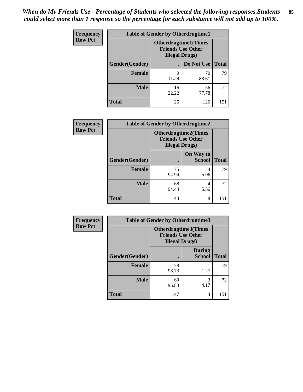*When do My Friends Use - Percentage of Students who selected the following responses.Students could select more than 1 response so the percentage for each substance will not add up to 100%.* **85**

| <b>Frequency</b> | <b>Table of Gender by Otherdrugtime1</b> |                                                    |                             |              |  |
|------------------|------------------------------------------|----------------------------------------------------|-----------------------------|--------------|--|
| <b>Row Pct</b>   |                                          | <b>Friends Use Other</b><br><b>Illegal Drugs</b> ) | <b>Otherdrugtime1(Times</b> |              |  |
|                  | Gender(Gender)                           |                                                    | Do Not Use                  | <b>Total</b> |  |
|                  | <b>Female</b>                            | 9<br>11.39                                         | 70<br>88.61                 | 79           |  |
|                  | <b>Male</b>                              | 16<br>22.22                                        | 56<br>77.78                 | 72           |  |
|                  | <b>Total</b>                             | 25                                                 | 126                         | 151          |  |

| Frequency      | <b>Table of Gender by Otherdrugtime2</b> |                        |                                                         |              |
|----------------|------------------------------------------|------------------------|---------------------------------------------------------|--------------|
| <b>Row Pct</b> |                                          | <b>Illegal Drugs</b> ) | <b>Otherdrugtime2(Times</b><br><b>Friends Use Other</b> |              |
|                | Gender(Gender)                           |                        | On Way to<br><b>School</b>                              | <b>Total</b> |
|                | <b>Female</b>                            | 75<br>94.94            | 4<br>5.06                                               | 79           |
|                | <b>Male</b>                              | 68<br>94.44            | 4<br>5.56                                               | 72           |
|                | <b>Total</b>                             | 143                    | 8                                                       | 151          |

| Frequency      | <b>Table of Gender by Otherdrugtime3</b> |                        |                                                  |              |
|----------------|------------------------------------------|------------------------|--------------------------------------------------|--------------|
| <b>Row Pct</b> |                                          | <b>Illegal Drugs</b> ) | Otherdrugtime3(Times<br><b>Friends Use Other</b> |              |
|                | Gender(Gender)                           |                        | <b>During</b><br><b>School</b>                   | <b>Total</b> |
|                | <b>Female</b>                            | 78<br>98.73            | 1.27                                             | 79           |
|                | <b>Male</b>                              | 69<br>95.83            | 3<br>4.17                                        | 72           |
|                | <b>Total</b>                             | 147                    | 4                                                | 151          |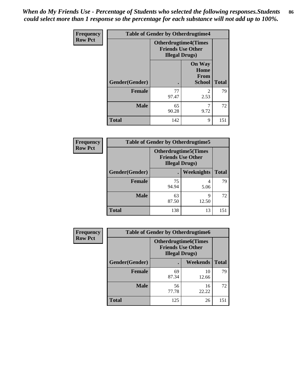*When do My Friends Use - Percentage of Students who selected the following responses.Students could select more than 1 response so the percentage for each substance will not add up to 100%.* **86**

| <b>Frequency</b> | <b>Table of Gender by Otherdrugtime4</b> |                                                    |                                                |              |
|------------------|------------------------------------------|----------------------------------------------------|------------------------------------------------|--------------|
| <b>Row Pct</b>   |                                          | <b>Friends Use Other</b><br><b>Illegal Drugs</b> ) | <b>Otherdrugtime4(Times</b>                    |              |
|                  | Gender(Gender)                           |                                                    | <b>On Way</b><br>Home<br>From<br><b>School</b> | <b>Total</b> |
|                  | <b>Female</b>                            | 77<br>97.47                                        | $\mathfrak{D}$<br>2.53                         | 79           |
|                  | <b>Male</b>                              | 65<br>90.28                                        | 9.72                                           | 72           |
|                  | <b>Total</b>                             | 142                                                | 9                                              | 151          |

| Frequency      | <b>Table of Gender by Otherdrugtime5</b> |                                                                                    |                   |              |
|----------------|------------------------------------------|------------------------------------------------------------------------------------|-------------------|--------------|
| <b>Row Pct</b> |                                          | <b>Otherdrugtime5</b> (Times<br><b>Friends Use Other</b><br><b>Illegal Drugs</b> ) |                   |              |
|                | Gender(Gender)                           |                                                                                    | <b>Weeknights</b> | <b>Total</b> |
|                | Female                                   | 75<br>94.94                                                                        | 5.06              | 79           |
|                | <b>Male</b>                              | 63<br>87.50                                                                        | Q<br>12.50        | 72           |
|                | <b>Total</b>                             | 138                                                                                | 13                | 151          |

| <b>Frequency</b> | <b>Table of Gender by Otherdrugtime6</b> |                                                                                   |             |              |
|------------------|------------------------------------------|-----------------------------------------------------------------------------------|-------------|--------------|
| <b>Row Pct</b>   |                                          | <b>Otherdrugtime6(Times</b><br><b>Friends Use Other</b><br><b>Illegal Drugs</b> ) |             |              |
|                  | Gender(Gender)                           |                                                                                   | Weekends    | <b>Total</b> |
|                  | <b>Female</b>                            | 69<br>87.34                                                                       | 10<br>12.66 | 79           |
|                  | <b>Male</b>                              | 56<br>77.78                                                                       | 16<br>22.22 | 72           |
|                  | <b>Total</b>                             | 125                                                                               | 26          | 151          |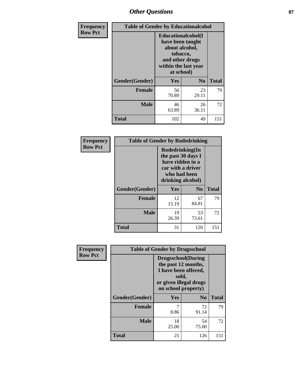# *Other Questions* **87**

| <b>Frequency</b> | <b>Table of Gender by Educationalcohol</b> |                                                                                                                                       |                |              |  |
|------------------|--------------------------------------------|---------------------------------------------------------------------------------------------------------------------------------------|----------------|--------------|--|
| <b>Row Pct</b>   |                                            | <b>Educationalcohol</b> (I<br>have been taught<br>about alcohol,<br>tobacco,<br>and other drugs<br>within the last year<br>at school) |                |              |  |
|                  | Gender(Gender)                             | <b>Yes</b>                                                                                                                            | N <sub>0</sub> | <b>Total</b> |  |
|                  | <b>Female</b>                              | 56<br>70.89                                                                                                                           | 23<br>29.11    | 79           |  |
|                  | <b>Male</b>                                | 46<br>63.89                                                                                                                           | 26<br>36.11    | 72           |  |
|                  | <b>Total</b>                               | 102                                                                                                                                   | 49             | 151          |  |

| Frequency      | <b>Table of Gender by Rodedrinking</b> |                                                                                                                     |                |              |
|----------------|----------------------------------------|---------------------------------------------------------------------------------------------------------------------|----------------|--------------|
| <b>Row Pct</b> |                                        | Rodedrinking(In<br>the past 30 days I<br>have ridden in a<br>car with a driver<br>who had been<br>drinking alcohol) |                |              |
|                | Gender(Gender)                         | Yes                                                                                                                 | N <sub>0</sub> | <b>Total</b> |
|                | <b>Female</b>                          | 12<br>15.19                                                                                                         | 67<br>84.81    | 79           |
|                | <b>Male</b>                            | 19<br>26.39                                                                                                         | 53<br>73.61    | 72           |
|                | <b>Total</b>                           | 31                                                                                                                  | 120            | 151          |

| Frequency      | <b>Table of Gender by Drugsschool</b> |                                                                                                                                     |                |              |  |
|----------------|---------------------------------------|-------------------------------------------------------------------------------------------------------------------------------------|----------------|--------------|--|
| <b>Row Pct</b> |                                       | <b>Drugsschool</b> (During<br>the past 12 months,<br>I have been offered,<br>sold,<br>or given illegal drugs<br>on school property) |                |              |  |
|                | Gender(Gender)                        | Yes                                                                                                                                 | N <sub>0</sub> | <b>Total</b> |  |
|                | <b>Female</b>                         | 7<br>8.86                                                                                                                           | 72<br>91.14    | 79           |  |
|                | <b>Male</b>                           | 18<br>25.00                                                                                                                         | 54<br>75.00    | 72           |  |
|                | Total                                 | 25                                                                                                                                  | 126            | 151          |  |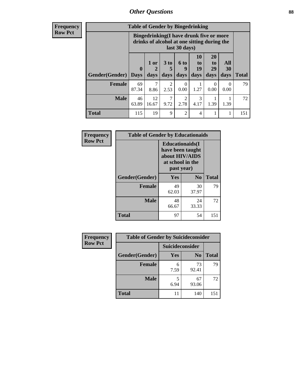# *Other Questions* **88**

**Frequency Row Pct**

| <b>Table of Gender by Bingedrinking</b> |                                                                                                         |              |                   |                        |                                                                     |                               |                   |              |
|-----------------------------------------|---------------------------------------------------------------------------------------------------------|--------------|-------------------|------------------------|---------------------------------------------------------------------|-------------------------------|-------------------|--------------|
|                                         | Bingedrinking(I have drunk five or more<br>drinks of alcohol at one sitting during the<br>last 30 days) |              |                   |                        |                                                                     |                               |                   |              |
| Gender(Gender)                          | $\mathbf{0}$<br><b>Days</b>                                                                             | 1 or<br>days | 3 to<br>5<br>days | 6 to<br>q<br>days      | 10<br>$\mathbf{t}$ <sup><math>\mathbf{0}</math></sup><br>19<br>days | <b>20</b><br>to<br>29<br>days | All<br>30<br>days | <b>Total</b> |
| <b>Female</b>                           | 69                                                                                                      | 7            |                   |                        |                                                                     |                               |                   |              |
|                                         | 87.34                                                                                                   | 8.86         | 2<br>2.53         | 0<br>0.00              | 1.27                                                                | $\Omega$<br>0.00              | 0<br>0.00         | 79           |
| <b>Male</b>                             | 46<br>63.89                                                                                             | 12<br>16.67  | 7<br>9.72         | $\mathfrak{D}$<br>2.78 | 3<br>4.17                                                           | 1.39                          | 1.39              | 72           |

| Frequency      | <b>Table of Gender by Educationaids</b> |                                                                                                 |             |              |
|----------------|-----------------------------------------|-------------------------------------------------------------------------------------------------|-------------|--------------|
| <b>Row Pct</b> |                                         | <b>Educationaids</b> (I<br>have been taught<br>about HIV/AIDS<br>at school in the<br>past year) |             |              |
|                | Gender(Gender)                          | Yes                                                                                             | $\bf N_0$   | <b>Total</b> |
|                | <b>Female</b>                           | 49<br>62.03                                                                                     | 30<br>37.97 | 79           |
|                | <b>Male</b>                             | 48<br>66.67                                                                                     | 24<br>33.33 | 72           |
|                | <b>Total</b>                            | 97                                                                                              | 54          | 151          |

| <b>Frequency</b> | <b>Table of Gender by Suicideconsider</b> |                 |                |              |
|------------------|-------------------------------------------|-----------------|----------------|--------------|
| <b>Row Pct</b>   |                                           | Suicideconsider |                |              |
|                  | Gender(Gender)                            | Yes             | N <sub>0</sub> | <b>Total</b> |
|                  | <b>Female</b>                             | 7.59            | 73<br>92.41    | 79           |
|                  | <b>Male</b>                               | 6.94            | 67<br>93.06    | 72           |
|                  | <b>Total</b>                              | 11              | 140            | 151          |